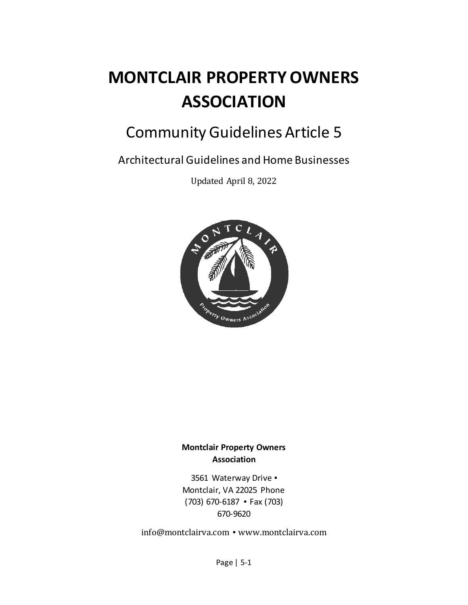# **MONTCLAIR PROPERTY OWNERS ASSOCIATION**

# Community Guidelines Article 5

Architectural Guidelines and Home Businesses

Updated April 8, 2022



# **Montclair Property Owners Association**

3561 Waterway Drive ▪ Montclair, VA 22025 Phone (703) 670-6187 ▪ Fax (703) 670-9620

[info@montclairva.com](mailto:info@montclairva.com) ▪ [www.montclairva.com](http://www.montclairva.com/)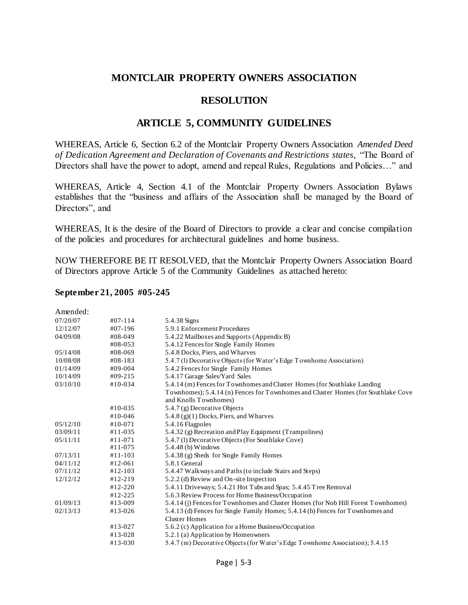# **MONTCLAIR PROPERTY OWNERS ASSOCIATION**

# **RESOLUTION**

# **ARTICLE 5, COMMUNITY GUIDELINES**

WHEREAS, Article 6, Section 6.2 of the Montclair Property Owners Association *Amended Deed of Dedication Agreement and Declaration of Covenants and Restrictions states,* "The Board of Directors shall have the power to adopt, amend and repeal Rules, Regulations and Policies…" and

WHEREAS, Article 4, Section 4.1 of the Montclair Property Owners Association Bylaws establishes that the "business and affairs of the Association shall be managed by the Board of Directors", and

WHEREAS, It is the desire of the Board of Directors to provide a clear and concise compilation of the policies and procedures for architectural guidelines and home business.

NOW THEREFORE BE IT RESOLVED, that the Montclair Property Owners Association Board of Directors approve Article 5 of the Community Guidelines as attached hereto:

#### **September 21, 2005 #05-245**

| Amended: |             |                                                                                   |
|----------|-------------|-----------------------------------------------------------------------------------|
| 07/20/07 | $#07-114$   | 5.4.38 Signs                                                                      |
| 12/12/07 | #07-196     | 5.9.1 Enforcement Procedures                                                      |
| 04/09/08 | #08-049     | 5.4.22 Mailboxes and Supports (Appendix B)                                        |
|          | #08-053     | 5.4.12 Fences for Single Family Homes                                             |
| 05/14/08 | #08-069     | 5.4.8 Docks, Piers, and Wharves                                                   |
| 10/08/08 | $#08-183$   | 5.4.7 (1) Decorative Objects (for Water's Edge Townhome Association)              |
| 01/14/09 | #09-004     | 5.4.2 Fences for Single Family Homes                                              |
| 10/14/09 | $#09-215$   | 5.4.17 Garage Sales/Yard Sales                                                    |
| 03/10/10 | $#10-034$   | 5.4.14 (m) Fences for Townhomes and Cluster Homes (for Southlake Landing          |
|          |             | Townhomes); 5.4.14 (n) Fences for Townhomes and Cluster Homes (for Southlake Cove |
|          |             | and Knolls Townhomes)                                                             |
|          | $#10-035$   | 5.4.7 (g) Decorative Objects                                                      |
|          | $#10-046$   | 5.4.8 (g)(1) Docks, Piers, and Wharves                                            |
| 05/12/10 | $#10-071$   | 5.4.16 Flagpoles                                                                  |
| 03/09/11 | $#11 - 035$ | 5.4.32 (g) Recreation and Play Equipment (Trampolines)                            |
| 05/11/11 | $#11 - 071$ | 5.4.7 (1) Decorative Objects (For Southlake Cove)                                 |
|          | $#11 - 075$ | 5.4.48 (b) Windows                                                                |
| 07/13/11 | $#11 - 103$ | 5.4.38 (g) Sheds for Single Family Homes                                          |
| 04/11/12 | $#12-061$   | 5.8.1 General                                                                     |
| 07/11/12 | $#12-103$   | 5.4.47 Walkways and Paths (to include Stairs and Steps)                           |
| 12/12/12 | $#12-219$   | 5.2.2 (d) Review and On-site Inspection                                           |
|          | $#12-220$   | 5.4.11 Driveways; 5.4.21 Hot Tubs and Spas; 5.4.45 Tree Removal                   |
|          | $#12 - 225$ | 5.6.3 Review Process for Home Business/Occupation                                 |
| 01/09/13 | #13-009     | 5.4.14 (j) Fences for Townhomes and Cluster Homes (for Nob Hill Forest Townhomes) |
| 02/13/13 | $#13-026$   | 5.4.13 (d) Fences for Single Family Homes; 5.4.14 (b) Fences for Townhomes and    |
|          |             | <b>Cluster Homes</b>                                                              |
|          | $#13-027$   | 5.6.2 (c) Application for a Home Business/Occupation                              |
|          | $#13 - 028$ | 5.2.1 (a) Application by Homeowners                                               |
|          | $#13 - 030$ | 5.4.7 (m) Decorative Objects (for Water's Edge Townhome Association); 5.4.15      |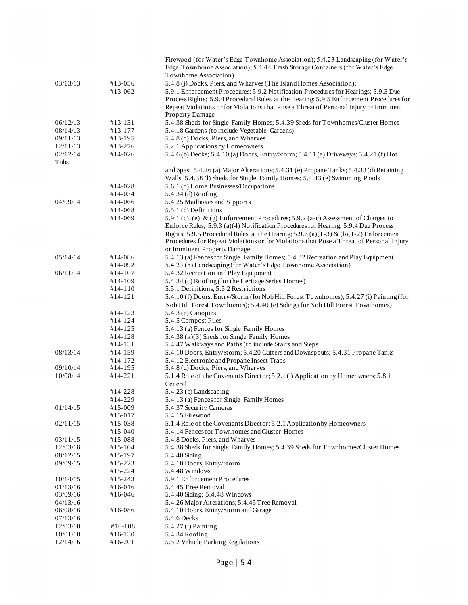|             |                      | Firewood (for Water's Edge Townhome Association); 5.4.23 Landscaping (for Water's                 |
|-------------|----------------------|---------------------------------------------------------------------------------------------------|
|             |                      | Edge Townhome Association); 5.4.44 Trash Storage Containers (for Water's Edge                     |
|             |                      | Townhome Association)                                                                             |
| 03/13/13    | #13-056              | 5.4.8 (j) Docks, Piers, and Wharves (The Island Homes Association);                               |
|             | #13-062              | 5.9.1 Enforcement Procedures; 5.9.2 Notification Procedures for Hearings; 5.9.3 Due               |
|             |                      | Process Rights; 5.9.4 Procedural Rules at the Hearing; 5.9.5 Enforcement Procedures for           |
|             |                      | Repeat Violations or for Violations that Pose a Threat of Personal Injury or Imminent             |
| 06/12/13    | #13-131              | Property Damage<br>5.4.38 Sheds for Single Family Homes; 5.4.39 Sheds for Townhomes/Cluster Homes |
| 08/14/13    | #13-177              | 5.4.18 Gardens (to include Vegetable Gardens)                                                     |
| 09/11/13    | #13-195              | 5.4.8 (d) Docks, Piers, and Wharves                                                               |
| 12/11/13    | #13-276              | 5.2.1 Applications by Homeowners                                                                  |
| 02/12/14    | #14-026              | 5.4.6 (b) Decks; 5.4.10 (a) Doors, Entry/Storm; 5.4.11 (a) Driveways; 5.4.21 (f) Hot              |
| <b>Tubs</b> |                      |                                                                                                   |
|             |                      | and Spas; 5.4.26 (a) Major Alterations; 5.4.31 (e) Propane Tanks; 5.4.33 (d) Retaining            |
|             |                      | Walls; 5.4.38 (1) Sheds for Single Family Homes; 5.4.43 (e) Swimming Pools                        |
|             | #14-028              | 5.6.1 (d) Home Businesses/Occupations                                                             |
|             | #14-034              | 5.4.34 (d) Roofing                                                                                |
| 04/09/14    | #14-066              | 5.4.25 Mailboxes and Supports                                                                     |
|             | #14-068              | 5.5.1 (d) Definitions                                                                             |
|             | #14-069              | 5.9.1 (c), (e), $\&$ (g) Enforcement Procedures; 5.9.2 (a-c) Assessment of Charges to             |
|             |                      | Enforce Rules; 5.9.3 (a)(4) Notification Procedures for Hearing; 5.9.4 Due Process                |
|             |                      | Rights; 5.9.5 Procedural Rules at the Hearing; 5.9.6 (a)(1-3) & (b)(1-2) Enforcement              |
|             |                      | Procedures for Repeat Violations or for Violations that Pose a Threat of Personal Injury          |
|             |                      | or Imminent Property Damage                                                                       |
| 05/14/14    | #14-086              | 5.4.13 (a) Fences for Single Family Homes; 5.4.32 Recreation and Play Equipment                   |
|             | #14-092              | 5.4.23 (h) Landscaping (for Water's Edge Townhome Association)                                    |
| 06/11/14    | #14-107              | 5.4.32 Recreation and Play Equipment                                                              |
|             | #14-109<br>$#14-110$ | 5.4.34 (c) Roofing (for the Heritage Series Homes)<br>5.5.1 Definitions; 5.5.2 Restrictions       |
|             | $#14-121$            | 5.4.10 (f) Doors, Entry/Storm (for Nob Hill Forest Townhomes); 5.4.27 (i) Painting (for           |
|             |                      | Nob Hill Forest Townhomes); 5.4.40 (e) Siding (for Nob Hill Forest Townhomes)                     |
|             | #14-123              | 5.4.3 (e) Canopies                                                                                |
|             | #14-124              | 5.4.5 Compost Piles                                                                               |
|             | #14-125              | 5.4.13 (g) Fences for Single Family Homes                                                         |
|             | #14-128              | 5.4.38 (k)(3) Sheds for Single Family Homes                                                       |
|             | #14-131              | 5.4.47 Walkways and Paths (to include Stairs and Steps                                            |
| 08/13/14    | #14-159              | 5.4.10 Doors, Entry/Storm; 5.4.20 Gutters and Downspouts; 5.4.31 Propane Tanks                    |
|             | #14-172              | 5.4.12 Electronic and Propane Insect Traps                                                        |
| 09/10/14    | #14-195              | 5.4.8 (d) Docks, Piers, and Wharves                                                               |
| 10/08/14    | #14-221              | 5.1.4 Role of the Covenants Director; 5.2.1 (i) Application by Homeowners; 5.8.1                  |
|             |                      | General                                                                                           |
|             | #14-228              | 5.4.23 (b) Landscaping                                                                            |
|             | #14-229              | 5.4.13 (a) Fences for Single Family Homes                                                         |
| 01/14/15    | #15-009              | 5.4.37 Security Cameras<br>5.4.15 Firewood                                                        |
| 02/11/15    | #15-017<br>#15-038   | 5.1.4 Role of the Covenants Director; 5.2.1 Application by Homeowners                             |
|             | #15-040              | 5.4.14 Fences for Townhomes and Cluster Homes                                                     |
| 03/11/15    | #15-088              | 5.4.8 Docks, Piers, and Wharves                                                                   |
| 12/03/18    | #15-104              | 5.4.38 Sheds for Single Family Homes; 5.4.39 Sheds for Townhomes/Cluster Homes                    |
| 08/12/15    | #15-197              | 5.4.40 Siding                                                                                     |
| 09/09/15    | $#15 - 223$          | 5.4.10 Doors, Entry/Storm                                                                         |
|             | $#15 - 224$          | 5.4.48 Windows                                                                                    |
| 10/14/15    | #15-243              | 5.9.1 Enforcement Procedures                                                                      |
| 01/13/16    | #16-016              | 5.4.45 Tree Removal                                                                               |
| 03/09/16    | #16-046              | 5.4.40 Siding; 5.4.48 Windows                                                                     |
| 04/13/16    |                      | 5.4.26 Major Alterations; 5.4.45 Tree Removal                                                     |
| 06/08/16    | #16-086              | 5.4.10 Doors, Entry/Storm and Garage                                                              |
| 07/13/16    |                      | 5.4.6 Decks                                                                                       |
| 12/03/18    | #16-108              | 5.4.27 (i) Painting                                                                               |
| 10/01/18    | #16-130              | 5.4.34 Roofing                                                                                    |
| 12/14/16    | $#16-201$            | 5.5.2 Vehicle Parking Regulations                                                                 |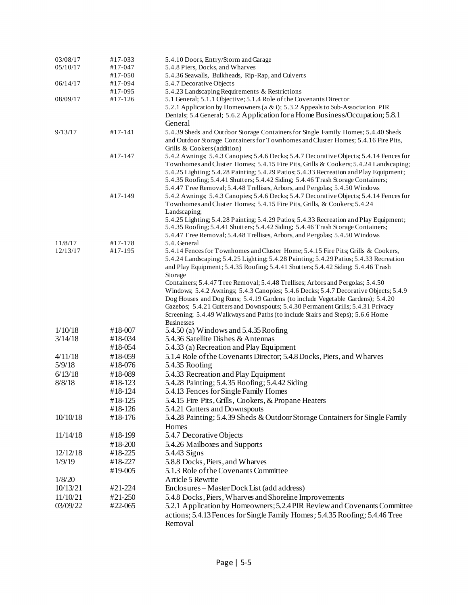| 03/08/17 | $#17-033$ | 5.4.10 Doors, Entry/Storm and Garage                                                                                   |
|----------|-----------|------------------------------------------------------------------------------------------------------------------------|
| 05/10/17 | #17-047   | 5.4.8 Piers, Docks, and Wharves                                                                                        |
|          | $#17-050$ | 5.4.36 Seawalls, Bulkheads, Rip-Rap, and Culverts                                                                      |
| 06/14/17 | #17-094   | 5.4.7 Decorative Objects                                                                                               |
|          | #17-095   | 5.4.23 Landscaping Requirements & Restrictions                                                                         |
| 08/09/17 | $#17-126$ | 5.1 General; 5.1.1 Objective; 5.1.4 Role of the Covenants Director                                                     |
|          |           | 5.2.1 Application by Homeowners (a & i); 5.3.2 Appeals to Sub-Association PIR                                          |
|          |           | Denials; 5.4 General; 5.6.2 Application for a Home Business/Occupation; 5.8.1                                          |
|          |           | General                                                                                                                |
| 9/13/17  | $#17-141$ | 5.4.39 Sheds and Outdoor Storage Containers for Single Family Homes; 5.4.40 Sheds                                      |
|          |           | and Outdoor Storage Containers for Townhomes and Cluster Homes; 5.4.16 Fire Pits,                                      |
|          | $#17-147$ | Grills & Cookers (addition)<br>5.4.2 Awnings; 5.4.3 Canopies; 5.4.6 Decks; 5.4.7 Decorative Objects; 5.4.14 Fences for |
|          |           | Townhomes and Cluster Homes; 5.4.15 Fire Pits, Grills & Cookers; 5.4.24 Landscaping;                                   |
|          |           | 5.4.25 Lighting; 5.4.28 Painting; 5.4.29 Patios; 5.4.33 Recreation and Play Equipment;                                 |
|          |           | 5.4.35 Roofing; 5.4.41 Shutters; 5.4.42 Siding; 5.4.46 Trash Storage Containers;                                       |
|          |           | 5.4.47 Tree Removal; 5.4.48 Trellises, Arbors, and Pergolas; 5.4.50 Windows                                            |
|          | $#17-149$ | 5.4.2 Awnings; 5.4.3 Canopies; 5.4.6 Decks; 5.4.7 Decorative Objects; 5.4.14 Fences for                                |
|          |           | Townhomes and Cluster Homes; 5.4.15 Fire Pits, Grills, & Cookers; 5.4.24                                               |
|          |           | Landscaping;                                                                                                           |
|          |           | 5.4.25 Lighting; 5.4.28 Painting; 5.4.29 Patios; 5.4.33 Recreation and Play Equipment;                                 |
|          |           | 5.4.35 Roofing; 5.4.41 Shutters; 5.4.42 Siding; 5.4.46 Trash Storage Containers;                                       |
|          |           | 5.4.47 Tree Removal; 5.4.48 Trellises, Arbors, and Pergolas; 5.4.50 Windows                                            |
| 11/8/17  | #17-178   | 5.4. General                                                                                                           |
| 12/13/17 | $#17-195$ | 5.4.14 Fences for Townhomes and Cluster Home; 5.4.15 Fire Pits; Grills & Cookers,                                      |
|          |           | 5.4.24 Landscaping; 5.4.25 Lighting; 5.4.28 Painting; 5.4.29 Patios; 5.4.33 Recreation                                 |
|          |           | and Play Equipment; 5.4.35 Roofing; 5.4.41 Shutters; 5.4.42 Siding; 5.4.46 Trash<br>Storage                            |
|          |           | Containers; 5.4.47 Tree Removal; 5.4.48 Trellises; Arbors and Pergolas; 5.4.50                                         |
|          |           | Windows; 5.4.2 Awnings; 5.4.3 Canopies; 5.4.6 Decks; 5.4.7 Decorative Objects; 5.4.9                                   |
|          |           | Dog Houses and Dog Runs; 5.4.19 Gardens (to include Vegetable Gardens); 5.4.20                                         |
|          |           | Gazebos; 5.4.21 Gutters and Downspouts; 5.4.30 Permanent Grills; 5.4.31 Privacy                                        |
|          |           | Screening; 5.4.49 Walkways and Paths (to include Stairs and Steps); 5.6.6 Home                                         |
|          |           | <b>Businesses</b>                                                                                                      |
| 1/10/18  | #18-007   | 5.4.50 (a) Windows and 5.4.35 Roofing                                                                                  |
| 3/14/18  | #18-034   | 5.4.36 Satellite Dishes & Antennas                                                                                     |
|          | #18-054   | 5.4.33 (a) Recreation and Play Equipment                                                                               |
| 4/11/18  | #18-059   | 5.1.4 Role of the Covenants Director; 5.4.8 Docks, Piers, and Wharves                                                  |
| 5/9/18   | #18-076   | 5.4.35 Roofing                                                                                                         |
| 6/13/18  | #18-089   | 5.4.33 Recreation and Play Equipment                                                                                   |
| 8/8/18   | #18-123   | 5.4.28 Painting; 5.4.35 Roofing; 5.4.42 Siding                                                                         |
|          | #18-124   | 5.4.13 Fences for Single Family Homes                                                                                  |
|          | #18-125   | 5.4.15 Fire Pits, Grills, Cookers, & Propane Heaters                                                                   |
|          | #18-126   | 5.4.21 Gutters and Downspouts                                                                                          |
| 10/10/18 | #18-176   | 5.4.28 Painting; 5.4.39 Sheds & Outdoor Storage Containers for Single Family                                           |
|          |           | Homes                                                                                                                  |
| 11/14/18 | #18-199   | 5.4.7 Decorative Objects                                                                                               |
|          | #18-200   | 5.4.26 Mailboxes and Supports                                                                                          |
| 12/12/18 | #18-225   | 5.4.43 Signs                                                                                                           |
| 1/9/19   | #18-227   | 5.8.8 Docks, Piers, and Wharves                                                                                        |
|          | #19-005   | 5.1.3 Role of the Covenants Committee                                                                                  |
| 1/8/20   |           | Article 5 Rewrite                                                                                                      |
| 10/13/21 | #21-224   | Enclosures – Master Dock List (add address)                                                                            |
|          |           |                                                                                                                        |
| 11/10/21 | #21-250   | 5.4.8 Docks, Piers, Wharves and Shoreline Improvements                                                                 |
| 03/09/22 | #22-065   | 5.2.1 Application by Homeowners; 5.2.4 PIR Review and Covenants Committee                                              |
|          |           | actions; 5.4.13 Fences for Single Family Homes; 5.4.35 Roofing; 5.4.46 Tree                                            |
|          |           | Removal                                                                                                                |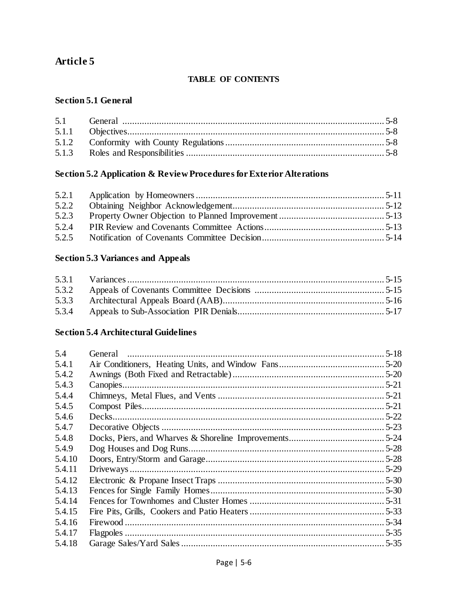# **Article 5**

# **TABLE OF CONTENTS**

### **Section 5.1 General**

# **Section 5.2 Application & Review Procedures for Exterior Alterations**

| 5.2.2 |  |
|-------|--|
| 5.2.3 |  |
| 5.2.4 |  |
| 5.2.5 |  |

# **Section 5.3 Variances and Appeals**

# **Section 5.4 Architectural Guidelines**

| 5.4    | General | $5 - 18$ |
|--------|---------|----------|
| 5.4.1  |         |          |
| 5.4.2  |         |          |
| 5.4.3  |         |          |
| 5.4.4  |         |          |
| 5.4.5  |         |          |
| 5.4.6  |         |          |
| 5.4.7  |         |          |
| 5.4.8  |         |          |
| 5.4.9  |         |          |
| 5.4.10 |         |          |
| 5.4.11 |         |          |
| 5.4.12 |         |          |
| 5.4.13 |         |          |
| 5.4.14 |         |          |
| 5.4.15 |         |          |
| 5.4.16 |         |          |
| 5.4.17 |         |          |
| 5.4.18 |         |          |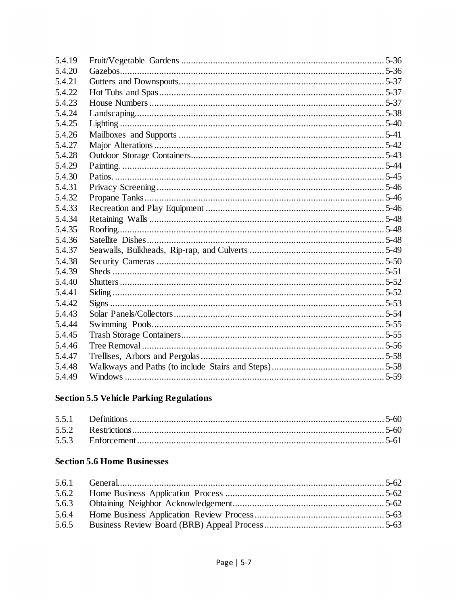| 5.4.19 |  |
|--------|--|
| 5.4.20 |  |
| 5.4.21 |  |
| 5.4.22 |  |
| 5.4.23 |  |
| 5.4.24 |  |
| 5.4.25 |  |
| 5.4.26 |  |
| 5.4.27 |  |
| 5.4.28 |  |
| 5.4.29 |  |
| 5.4.30 |  |
| 5.4.31 |  |
| 5.4.32 |  |
| 5.4.33 |  |
| 5.4.34 |  |
| 5.4.35 |  |
| 5.4.36 |  |
| 5.4.37 |  |
| 5.4.38 |  |
| 5.4.39 |  |
| 5.4.40 |  |
| 5.4.41 |  |
| 5.4.42 |  |
| 5.4.43 |  |
| 5.4.44 |  |
| 5.4.45 |  |
| 5.4.46 |  |
| 5.4.47 |  |
| 5.4.48 |  |
| 5.4.49 |  |

# **Section 5.5 Vehicle Parking Regulations**

# **Section 5.6 Home Businesses**

| 5.6.2 |  |
|-------|--|
|       |  |
| 5.6.4 |  |
| 5.6.5 |  |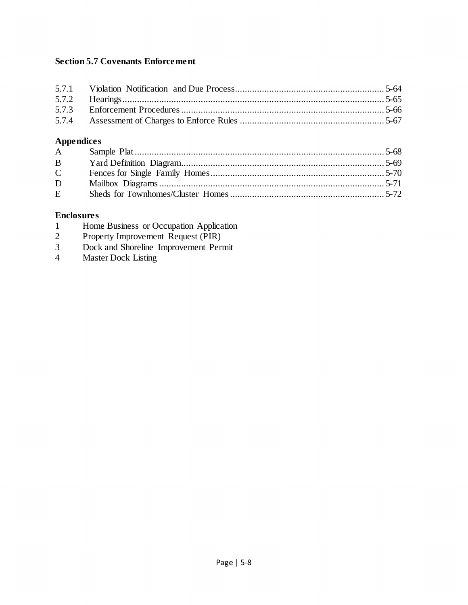# **Section 5.7 Covenants Enforcement**

# **Appendices**

| $\mathbf{A}$ |  |
|--------------|--|
| $\mathbf{B}$ |  |
| $\mathbf C$  |  |
| D            |  |
| $E =$        |  |

### **Enclosures**

- 1 Home Business or Occupation Application
- 2 Property Improvement Request (PIR)
- 3 Dock and Shoreline Improvement Permit
- 4 Master Dock Listing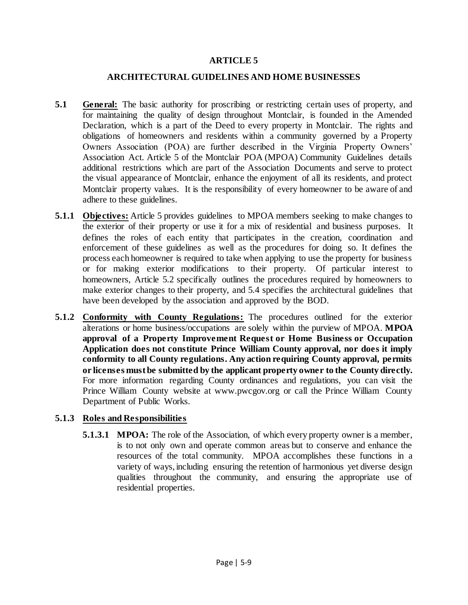### **ARTICLE 5**

#### **ARCHITECTURAL GUIDELINES AND HOME BUSINESSES**

- **5.1 General:** The basic authority for proscribing or restricting certain uses of property, and for maintaining the quality of design throughout Montclair, is founded in the Amended Declaration, which is a part of the Deed to every property in Montclair. The rights and obligations of homeowners and residents within a community governed by a Property Owners Association (POA) are further described in the Virginia Property Owners' Association Act. Article 5 of the Montclair POA (MPOA) Community Guidelines details additional restrictions which are part of the Association Documents and serve to protect the visual appearance of Montclair, enhance the enjoyment of all its residents, and protect Montclair property values. It is the responsibility of every homeowner to be aware of and adhere to these guidelines.
- **5.1.1 Objectives:** Article 5 provides guidelines to MPOA members seeking to make changes to the exterior of their property or use it for a mix of residential and business purposes. It defines the roles of each entity that participates in the creation, coordination and enforcement of these guidelines as well as the procedures for doing so. It defines the process each homeowner is required to take when applying to use the property for business or for making exterior modifications to their property. Of particular interest to homeowners, Article 5.2 specifically outlines the procedures required by homeowners to make exterior changes to their property, and 5.4 specifies the architectural guidelines that have been developed by the association and approved by the BOD.
- **5.1.2 Conformity with County Regulations:** The procedures outlined for the exterior alterations or home business/occupations are solely within the purview of MPOA. **MPOA approval of a Property Improvement Request or Home Business or Occupation Application does not constitute Prince William County approval, nor does it imply conformity to all County regulations. Any action requiring County approval, permits or licenses must be submitted by the applicant property owner to the County directly.**  For more information regarding County ordinances and regulations, you can visit the Prince William County website at www.pwcgov.org or call the Prince William County Department of Public Works.

### **5.1.3 Roles and Responsibilities**

**5.1.3.1 MPOA:** The role of the Association, of which every property owner is a member, is to not only own and operate common areas but to conserve and enhance the resources of the total community. MPOA accomplishes these functions in a variety of ways, including ensuring the retention of harmonious yet diverse design qualities throughout the community, and ensuring the appropriate use of residential properties.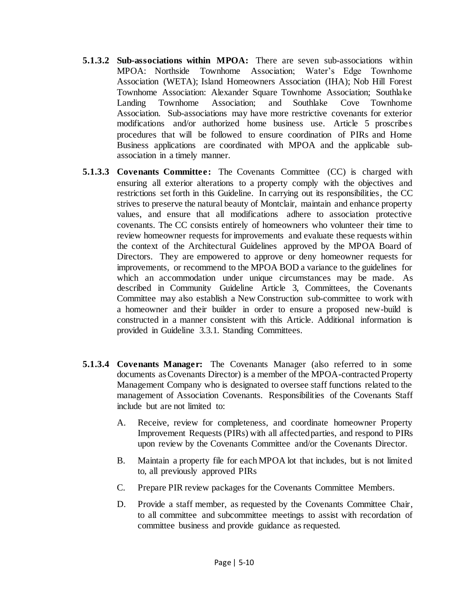- **5.1.3.2 Sub-associations within MPOA:** There are seven sub-associations within MPOA: Northside Townhome Association; Water's Edge Townhome Association (WETA); Island Homeowners Association (IHA); Nob Hill Forest Townhome Association: Alexander Square Townhome Association; Southlake Landing Townhome Association; and Southlake Cove Townhome Association. Sub-associations may have more restrictive covenants for exterior modifications and/or authorized home business use. Article 5 proscribes procedures that will be followed to ensure coordination of PIRs and Home Business applications are coordinated with MPOA and the applicable subassociation in a timely manner.
- **5.1.3.3 Covenants Committee:** The Covenants Committee (CC) is charged with ensuring all exterior alterations to a property comply with the objectives and restrictions set forth in this Guideline. In carrying out its responsibilities, the CC strives to preserve the natural beauty of Montclair, maintain and enhance property values, and ensure that all modifications adhere to association protective covenants. The CC consists entirely of homeowners who volunteer their time to review homeowner requests for improvements and evaluate these requests within the context of the Architectural Guidelines approved by the MPOA Board of Directors. They are empowered to approve or deny homeowner requests for improvements, or recommend to the MPOA BOD a variance to the guidelines for which an accommodation under unique circumstances may be made. As described in Community Guideline Article 3, Committees, the Covenants Committee may also establish a New Construction sub-committee to work with a homeowner and their builder in order to ensure a proposed new-build is constructed in a manner consistent with this Article. Additional information is provided in Guideline 3.3.1. Standing Committees.
- **5.1.3.4 Covenants Manager:** The Covenants Manager (also referred to in some documents as Covenants Director) is a member of the MPOA-contracted Property Management Company who is designated to oversee staff functions related to the management of Association Covenants. Responsibilities of the Covenants Staff include but are not limited to:
	- A. Receive, review for completeness, and coordinate homeowner Property Improvement Requests (PIRs) with all affected parties, and respond to PIRs upon review by the Covenants Committee and/or the Covenants Director.
	- B. Maintain a property file for each MPOA lot that includes, but is not limited to, all previously approved PIRs
	- C. Prepare PIR review packages for the Covenants Committee Members.
	- D. Provide a staff member, as requested by the Covenants Committee Chair, to all committee and subcommittee meetings to assist with recordation of committee business and provide guidance as requested.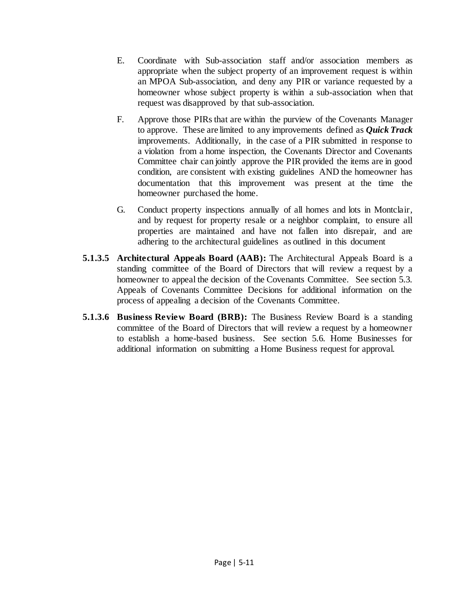- E. Coordinate with Sub-association staff and/or association members as appropriate when the subject property of an improvement request is within an MPOA Sub-association, and deny any PIR or variance requested by a homeowner whose subject property is within a sub-association when that request was disapproved by that sub-association.
- F. Approve those PIRs that are within the purview of the Covenants Manager to approve. These are limited to any improvements defined as *Quick Track* improvements. Additionally, in the case of a PIR submitted in response to a violation from a home inspection, the Covenants Director and Covenants Committee chair can jointly approve the PIR provided the items are in good condition, are consistent with existing guidelines AND the homeowner has documentation that this improvement was present at the time the homeowner purchased the home.
- G. Conduct property inspections annually of all homes and lots in Montclair, and by request for property resale or a neighbor complaint, to ensure all properties are maintained and have not fallen into disrepair, and are adhering to the architectural guidelines as outlined in this document
- **5.1.3.5 Architectural Appeals Board (AAB):** The Architectural Appeals Board is a standing committee of the Board of Directors that will review a request by a homeowner to appeal the decision of the Covenants Committee. See section 5.3. Appeals of Covenants Committee Decisions for additional information on the process of appealing a decision of the Covenants Committee.
- **5.1.3.6 Business Review Board (BRB):** The Business Review Board is a standing committee of the Board of Directors that will review a request by a homeowner to establish a home-based business. See section 5.6. Home Businesses for additional information on submitting a Home Business request for approval.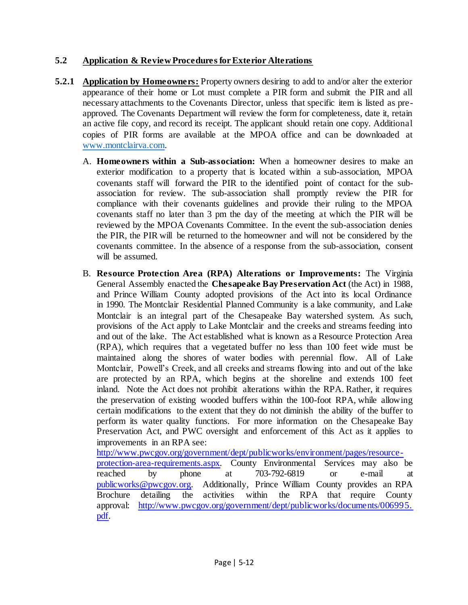# **5.2 Application & Review Procedures for Exterior Alterations**

- **5.2.1 Application by Homeowners:** Property owners desiring to add to and/or alter the exterior appearance of their home or Lot must complete a PIR form and submit the PIR and all necessary attachments to the Covenants Director, unless that specific item is listed as preapproved. The Covenants Department will review the form for completeness, date it, retain an active file copy, and record its receipt. The applicant should retain one copy. Additional copies of PIR forms are available at the MPOA office and can be downloaded at [www.montclairva.com.](http://www.montclairva.com/)
	- A. **Homeowners within a Sub-association:** When a homeowner desires to make an exterior modification to a property that is located within a sub-association, MPOA covenants staff will forward the PIR to the identified point of contact for the subassociation for review. The sub-association shall promptly review the PIR for compliance with their covenants guidelines and provide their ruling to the MPOA covenants staff no later than 3 pm the day of the meeting at which the PIR will be reviewed by the MPOA Covenants Committee. In the event the sub-association denies the PIR, the PIR will be returned to the homeowner and will not be considered by the covenants committee. In the absence of a response from the sub-association, consent will be assumed.
	- B. **Resource Protection Area (RPA) Alterations or Improvements:** The Virginia General Assembly enacted the **Chesapeake Bay Preservation Act** (the Act) in 1988, and Prince William County adopted provisions of the Act into its local Ordinance in 1990. The Montclair Residential Planned Community is a lake community, and Lake Montclair is an integral part of the Chesapeake Bay watershed system. As such, provisions of the Act apply to Lake Montclair and the creeks and streams feeding into and out of the lake. The Act established what is known as a Resource Protection Area (RPA), which requires that a vegetated buffer no less than 100 feet wide must be maintained along the shores of water bodies with perennial flow. All of Lake Montclair, Powell's Creek, and all creeks and streams flowing into and out of the lake are protected by an RPA, which begins at the shoreline and extends 100 feet inland. Note the Act does not prohibit alterations within the RPA. Rather, it requires the preservation of existing wooded buffers within the 100-foot RPA, while allowing certain modifications to the extent that they do not diminish the ability of the buffer to perform its water quality functions. For more information on the Chesapeake Bay Preservation Act, and PWC oversight and enforcement of this Act as it applies to improvements in an RPA see:

[http://www.pwcgov.org/government/dept/publicworks/environment/pages/resource-](http://www.pwcgov.org/government/dept/publicworks/environment/pages/resource-protection-area-requirements.aspx)

[protection-area-requirements.aspx.](http://www.pwcgov.org/government/dept/publicworks/environment/pages/resource-protection-area-requirements.aspx) County Environmental Services may also be reached by phone at 703-792-6819 or e-mail at [publicworks@pwcgov.org.](mailto:publicworks@pwcgov.org) Additionally, Prince William County provides an RPA Brochure detailing the activities within the RPA that require County approval: [http://www.pwcgov.org/government/dept/publicworks/documents/006995.](http://www.pwcgov.org/government/dept/publicworks/documents/006995.pdf) [pdf.](http://www.pwcgov.org/government/dept/publicworks/documents/006995.pdf)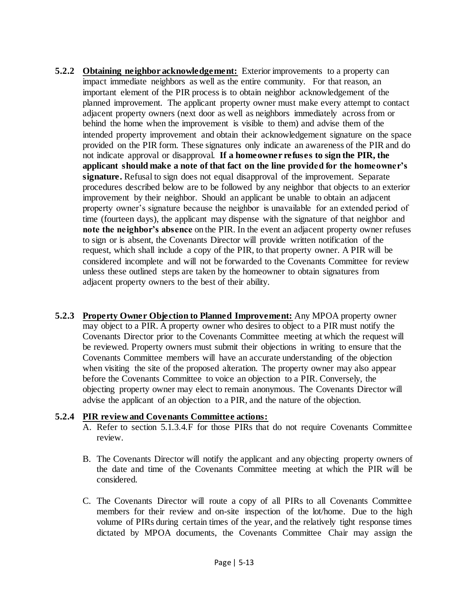- **5.2.2 Obtaining neighbor acknowledgement:** Exterior improvements to a property can impact immediate neighbors as well as the entire community. For that reason, an important element of the PIR process is to obtain neighbor acknowledgement of the planned improvement. The applicant property owner must make every attempt to contact adjacent property owners (next door as well as neighbors immediately across from or behind the home when the improvement is visible to them) and advise them of the intended property improvement and obtain their acknowledgement signature on the space provided on the PIR form. These signatures only indicate an awareness of the PIR and do not indicate approval or disapproval. **If a homeowner refuses to sign the PIR, the applicant should make a note of that fact on the line provided for the homeowner's signature.** Refusal to sign does not equal disapproval of the improvement. Separate procedures described below are to be followed by any neighbor that objects to an exterior improvement by their neighbor. Should an applicant be unable to obtain an adjacent property owner's signature because the neighbor is unavailable for an extended period of time (fourteen days), the applicant may dispense with the signature of that neighbor and **note the neighbor's absence** on the PIR. In the event an adjacent property owner refuses to sign or is absent, the Covenants Director will provide written notification of the request, which shall include a copy of the PIR, to that property owner. A PIR will be considered incomplete and will not be forwarded to the Covenants Committee for review unless these outlined steps are taken by the homeowner to obtain signatures from adjacent property owners to the best of their ability.
- **5.2.3 Property Owner Objection to Planned Improvement:** Any MPOA property owner may object to a PIR. A property owner who desires to object to a PIR must notify the Covenants Director prior to the Covenants Committee meeting at which the request will be reviewed. Property owners must submit their objections in writing to ensure that the Covenants Committee members will have an accurate understanding of the objection when visiting the site of the proposed alteration. The property owner may also appear before the Covenants Committee to voice an objection to a PIR. Conversely, the objecting property owner may elect to remain anonymous. The Covenants Director will advise the applicant of an objection to a PIR, and the nature of the objection.

#### **5.2.4 PIR review and Covenants Committee actions:**

- A. Refer to section 5.1.3.4.F for those PIRs that do not require Covenants Committee review.
- B. The Covenants Director will notify the applicant and any objecting property owners of the date and time of the Covenants Committee meeting at which the PIR will be considered.
- C. The Covenants Director will route a copy of all PIRs to all Covenants Committee members for their review and on-site inspection of the lot/home. Due to the high volume of PIRs during certain times of the year, and the relatively tight response times dictated by MPOA documents, the Covenants Committee Chair may assign the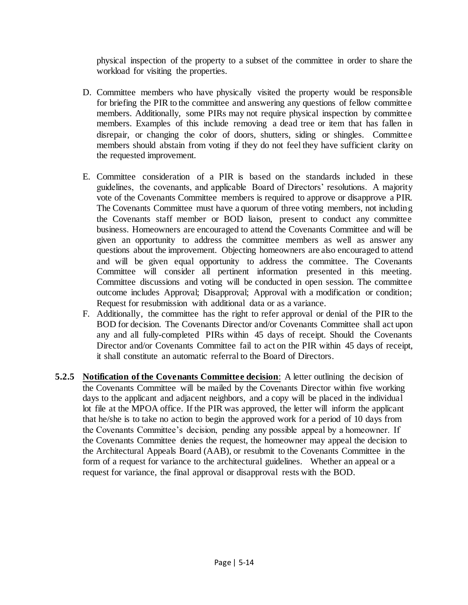physical inspection of the property to a subset of the committee in order to share the workload for visiting the properties.

- D. Committee members who have physically visited the property would be responsible for briefing the PIR to the committee and answering any questions of fellow committee members. Additionally, some PIRs may not require physical inspection by committee members. Examples of this include removing a dead tree or item that has fallen in disrepair, or changing the color of doors, shutters, siding or shingles. Committee members should abstain from voting if they do not feel they have sufficient clarity on the requested improvement.
- E. Committee consideration of a PIR is based on the standards included in these guidelines, the covenants, and applicable Board of Directors' resolutions. A majority vote of the Covenants Committee members is required to approve or disapprove a PIR. The Covenants Committee must have a quorum of three voting members, not including the Covenants staff member or BOD liaison, present to conduct any committee business. Homeowners are encouraged to attend the Covenants Committee and will be given an opportunity to address the committee members as well as answer any questions about the improvement. Objecting homeowners are also encouraged to attend and will be given equal opportunity to address the committee. The Covenants Committee will consider all pertinent information presented in this meeting. Committee discussions and voting will be conducted in open session. The committee outcome includes Approval; Disapproval; Approval with a modification or condition; Request for resubmission with additional data or as a variance.
- F. Additionally, the committee has the right to refer approval or denial of the PIR to the BOD for decision. The Covenants Director and/or Covenants Committee shall act upon any and all fully-completed PIRs within 45 days of receipt. Should the Covenants Director and/or Covenants Committee fail to act on the PIR within 45 days of receipt, it shall constitute an automatic referral to the Board of Directors.
- **5.2.5 Notification of the Covenants Committee decision**: A letter outlining the decision of the Covenants Committee will be mailed by the Covenants Director within five working days to the applicant and adjacent neighbors, and a copy will be placed in the individual lot file at the MPOA office. If the PIR was approved, the letter will inform the applicant that he/she is to take no action to begin the approved work for a period of 10 days from the Covenants Committee's decision, pending any possible appeal by a homeowner. If the Covenants Committee denies the request, the homeowner may appeal the decision to the Architectural Appeals Board (AAB), or resubmit to the Covenants Committee in the form of a request for variance to the architectural guidelines. Whether an appeal or a request for variance, the final approval or disapproval rests with the BOD.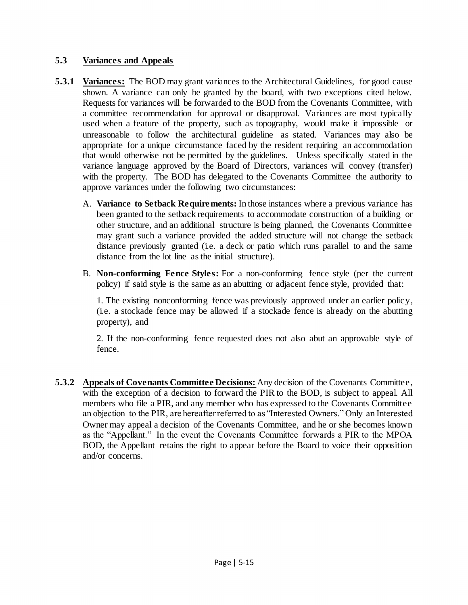# **5.3 Variances and Appeals**

- **5.3.1 Variances:** The BOD may grant variances to the Architectural Guidelines, for good cause shown. A variance can only be granted by the board, with two exceptions cited below. Requests for variances will be forwarded to the BOD from the Covenants Committee, with a committee recommendation for approval or disapproval. Variances are most typically used when a feature of the property, such as topography, would make it impossible or unreasonable to follow the architectural guideline as stated. Variances may also be appropriate for a unique circumstance faced by the resident requiring an accommodation that would otherwise not be permitted by the guidelines. Unless specifically stated in the variance language approved by the Board of Directors, variances will convey (transfer) with the property. The BOD has delegated to the Covenants Committee the authority to approve variances under the following two circumstances:
	- A. **Variance to Setback Requirements:** In those instances where a previous variance has been granted to the setback requirements to accommodate construction of a building or other structure, and an additional structure is being planned, the Covenants Committee may grant such a variance provided the added structure will not change the setback distance previously granted (i.e. a deck or patio which runs parallel to and the same distance from the lot line as the initial structure).
	- B. **Non-conforming Fence Styles:** For a non-conforming fence style (per the current policy) if said style is the same as an abutting or adjacent fence style, provided that:

1. The existing nonconforming fence was previously approved under an earlier policy, (i.e. a stockade fence may be allowed if a stockade fence is already on the abutting property), and

2. If the non-conforming fence requested does not also abut an approvable style of fence.

**5.3.2 Appeals of Covenants Committee Decisions:** Any decision of the Covenants Committee, with the exception of a decision to forward the PIR to the BOD, is subject to appeal. All members who file a PIR, and any member who has expressed to the Covenants Committee an objection to the PIR, are hereafter referred to as "Interested Owners." Only an Interested Owner may appeal a decision of the Covenants Committee, and he or she becomes known as the "Appellant." In the event the Covenants Committee forwards a PIR to the MPOA BOD, the Appellant retains the right to appear before the Board to voice their opposition and/or concerns.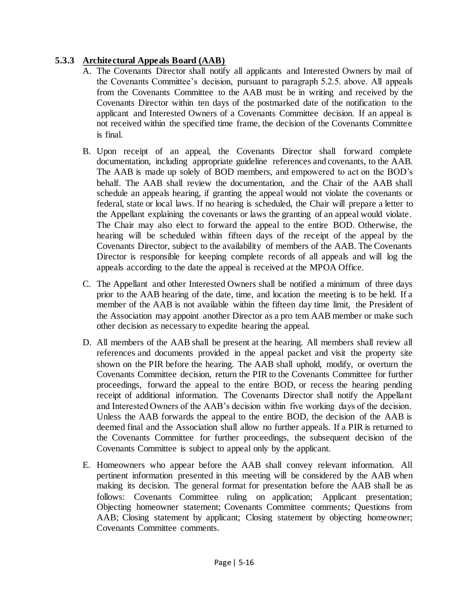# **5.3.3 Architectural Appeals Board (AAB)**

- A. The Covenants Director shall notify all applicants and Interested Owners by mail of the Covenants Committee's decision, pursuant to paragraph 5.2.5. above. All appeals from the Covenants Committee to the AAB must be in writing and received by the Covenants Director within ten days of the postmarked date of the notification to the applicant and Interested Owners of a Covenants Committee decision. If an appeal is not received within the specified time frame, the decision of the Covenants Committee is final.
- B. Upon receipt of an appeal, the Covenants Director shall forward complete documentation, including appropriate guideline references and covenants, to the AAB. The AAB is made up solely of BOD members, and empowered to act on the BOD's behalf. The AAB shall review the documentation, and the Chair of the AAB shall schedule an appeals hearing, if granting the appeal would not violate the covenants or federal, state or local laws. If no hearing is scheduled, the Chair will prepare a letter to the Appellant explaining the covenants or laws the granting of an appeal would violate. The Chair may also elect to forward the appeal to the entire BOD. Otherwise, the hearing will be scheduled within fifteen days of the receipt of the appeal by the Covenants Director, subject to the availability of members of the AAB. The Covenants Director is responsible for keeping complete records of all appeals and will log the appeals according to the date the appeal is received at the MPOA Office.
- C. The Appellant and other Interested Owners shall be notified a minimum of three days prior to the AAB hearing of the date, time, and location the meeting is to be held. If a member of the AAB is not available within the fifteen day time limit, the President of the Association may appoint another Director as a pro tem AAB member or make such other decision as necessary to expedite hearing the appeal.
- D. All members of the AAB shall be present at the hearing. All members shall review all references and documents provided in the appeal packet and visit the property site shown on the PIR before the hearing. The AAB shall uphold, modify, or overturn the Covenants Committee decision, return the PIR to the Covenants Committee for further proceedings, forward the appeal to the entire BOD, or recess the hearing pending receipt of additional information. The Covenants Director shall notify the Appellant and Interested Owners of the AAB's decision within five working days of the decision. Unless the AAB forwards the appeal to the entire BOD, the decision of the AAB is deemed final and the Association shall allow no further appeals. If a PIR is returned to the Covenants Committee for further proceedings, the subsequent decision of the Covenants Committee is subject to appeal only by the applicant.
- E. Homeowners who appear before the AAB shall convey relevant information. All pertinent information presented in this meeting will be considered by the AAB when making its decision. The general format for presentation before the AAB shall be as follows: Covenants Committee ruling on application; Applicant presentation; Objecting homeowner statement; Covenants Committee comments; Questions from AAB; Closing statement by applicant; Closing statement by objecting homeowner; Covenants Committee comments.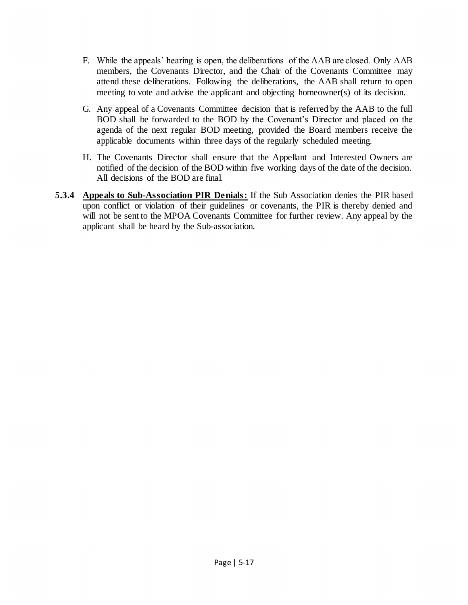- F. While the appeals' hearing is open, the deliberations of the AAB are closed. Only AAB members, the Covenants Director, and the Chair of the Covenants Committee may attend these deliberations. Following the deliberations, the AAB shall return to open meeting to vote and advise the applicant and objecting homeowner(s) of its decision.
- G. Any appeal of a Covenants Committee decision that is referred by the AAB to the full BOD shall be forwarded to the BOD by the Covenant's Director and placed on the agenda of the next regular BOD meeting, provided the Board members receive the applicable documents within three days of the regularly scheduled meeting.
- H. The Covenants Director shall ensure that the Appellant and Interested Owners are notified of the decision of the BOD within five working days of the date of the decision. All decisions of the BOD are final.
- **5.3.4 Appeals to Sub-Association PIR Denials:** If the Sub Association denies the PIR based upon conflict or violation of their guidelines or covenants, the PIR is thereby denied and will not be sent to the MPOA Covenants Committee for further review. Any appeal by the applicant shall be heard by the Sub-association.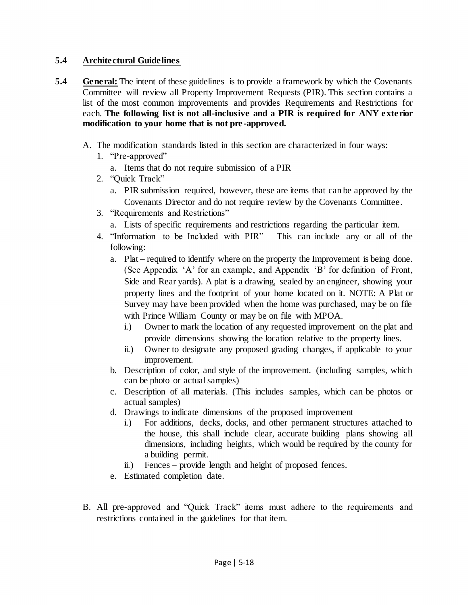### **5.4 Architectural Guidelines**

- **5.4 General:** The intent of these guidelines is to provide a framework by which the Covenants Committee will review all Property Improvement Requests (PIR). This section contains a list of the most common improvements and provides Requirements and Restrictions for each. **The following list is not all-inclusive and a PIR is required for ANY exterior modification to your home that is not pre -approved.**
	- A. The modification standards listed in this section are characterized in four ways:
		- 1. "Pre-approved"
			- a. Items that do not require submission of a PIR
		- 2. "Quick Track"
			- a. PIR submission required, however, these are items that can be approved by the Covenants Director and do not require review by the Covenants Committee.
		- 3. "Requirements and Restrictions"
			- a. Lists of specific requirements and restrictions regarding the particular item.
		- 4. "Information to be Included with PIR" This can include any or all of the following:
			- a. Plat required to identify where on the property the Improvement is being done. (See Appendix 'A' for an example, and Appendix 'B' for definition of Front, Side and Rear yards). A plat is a drawing, sealed by an engineer, showing your property lines and the footprint of your home located on it. NOTE: A Plat or Survey may have been provided when the home was purchased, may be on file with Prince William County or may be on file with MPOA.
				- i.) Owner to mark the location of any requested improvement on the plat and provide dimensions showing the location relative to the property lines.
				- ii.) Owner to designate any proposed grading changes, if applicable to your improvement.
			- b. Description of color, and style of the improvement. (including samples, which can be photo or actual samples)
			- c. Description of all materials. (This includes samples, which can be photos or actual samples)
			- d. Drawings to indicate dimensions of the proposed improvement
				- i.) For additions, decks, docks, and other permanent structures attached to the house, this shall include clear, accurate building plans showing all dimensions, including heights, which would be required by the county for a building permit.
				- ii.) Fences provide length and height of proposed fences.
			- e. Estimated completion date.
	- B. All pre-approved and "Quick Track" items must adhere to the requirements and restrictions contained in the guidelines for that item.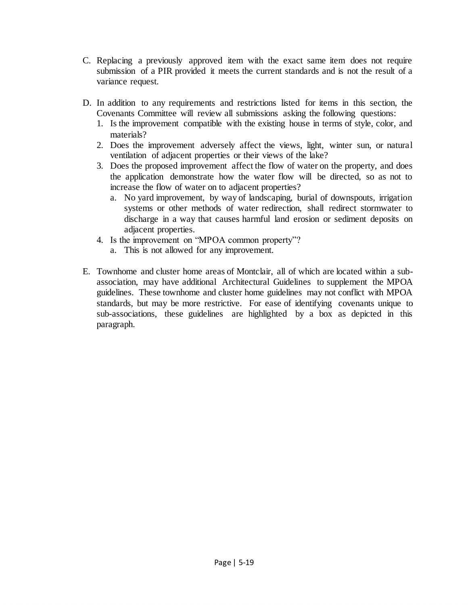- C. Replacing a previously approved item with the exact same item does not require submission of a PIR provided it meets the current standards and is not the result of a variance request.
- D. In addition to any requirements and restrictions listed for items in this section, the Covenants Committee will review all submissions asking the following questions:
	- 1. Is the improvement compatible with the existing house in terms of style, color, and materials?
	- 2. Does the improvement adversely affect the views, light, winter sun, or natural ventilation of adjacent properties or their views of the lake?
	- 3. Does the proposed improvement affect the flow of water on the property, and does the application demonstrate how the water flow will be directed, so as not to increase the flow of water on to adjacent properties?
		- a. No yard improvement, by way of landscaping, burial of downspouts, irrigation systems or other methods of water redirection, shall redirect stormwater to discharge in a way that causes harmful land erosion or sediment deposits on adjacent properties.
	- 4. Is the improvement on "MPOA common property"?
		- a. This is not allowed for any improvement.
- E. Townhome and cluster home areas of Montclair, all of which are located within a subassociation, may have additional Architectural Guidelines to supplement the MPOA guidelines. These townhome and cluster home guidelines may not conflict with MPOA standards, but may be more restrictive. For ease of identifying covenants unique to sub-associations, these guidelines are highlighted by a box as depicted in this paragraph.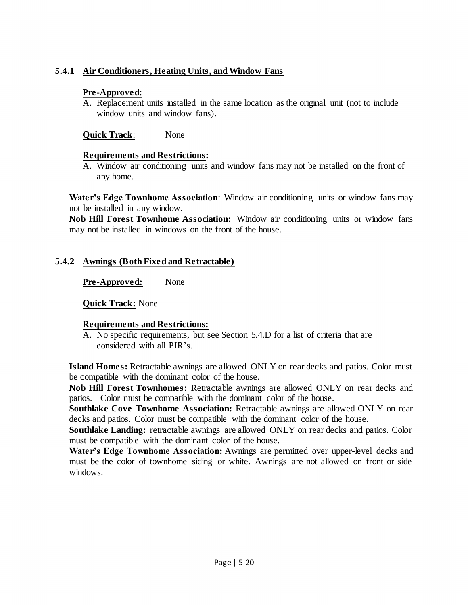# **5.4.1 Air Conditioners, Heating Units, and Window Fans**

#### **Pre-Approved**:

A. Replacement units installed in the same location as the original unit (not to include window units and window fans).

**Quick Track**: None

#### **Requirements and Restrictions:**

A. Window air conditioning units and window fans may not be installed on the front of any home.

**Water's Edge Townhome Association**: Window air conditioning units or window fans may not be installed in any window.

**Nob Hill Forest Townhome Association:** Window air conditioning units or window fans may not be installed in windows on the front of the house.

### **5.4.2 Awnings (Both Fixed and Retractable)**

**Pre-Approved:** None

**Quick Track:** None

### **Requirements and Restrictions:**

A. No specific requirements, but see Section 5.4.D for a list of criteria that are considered with all PIR's.

**Island Homes:** Retractable awnings are allowed ONLY on rear decks and patios. Color must be compatible with the dominant color of the house.

**Nob Hill Forest Townhomes:** Retractable awnings are allowed ONLY on rear decks and patios. Color must be compatible with the dominant color of the house.

**Southlake Cove Townhome Association:** Retractable awnings are allowed ONLY on rear decks and patios. Color must be compatible with the dominant color of the house.

**Southlake Landing:** retractable awnings are allowed ONLY on rear decks and patios. Color must be compatible with the dominant color of the house.

**Water's Edge Townhome Association:** Awnings are permitted over upper-level decks and must be the color of townhome siding or white. Awnings are not allowed on front or side windows.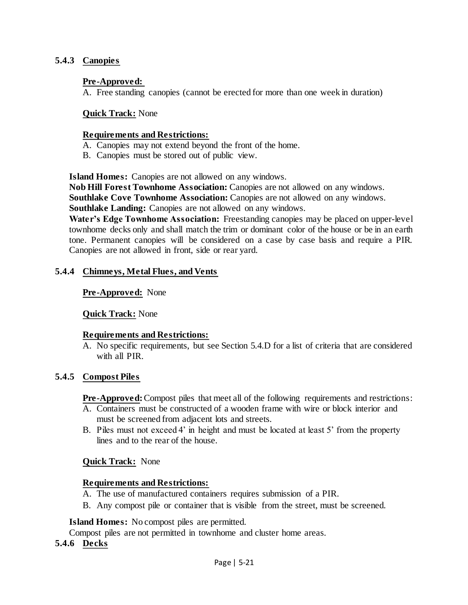#### **5.4.3 Canopies**

#### **Pre-Approved:**

A. Free standing canopies (cannot be erected for more than one week in duration)

#### **Quick Track:** None

#### **Requirements and Restrictions:**

- A. Canopies may not extend beyond the front of the home.
- B. Canopies must be stored out of public view.

**Island Homes:** Canopies are not allowed on any windows.

**Nob Hill Forest Townhome Association:** Canopies are not allowed on any windows. **Southlake Cove Townhome Association:** Canopies are not allowed on any windows. **Southlake Landing:** Canopies are not allowed on any windows.

**Water's Edge Townhome Association:** Freestanding canopies may be placed on upper-level townhome decks only and shall match the trim or dominant color of the house or be in an earth tone. Permanent canopies will be considered on a case by case basis and require a PIR. Canopies are not allowed in front, side or rear yard.

#### **5.4.4 Chimneys, Metal Flues, and Vents**

#### **Pre-Approved:** None

#### **Quick Track:** None

#### **Requirements and Restrictions:**

A. No specific requirements, but see Section 5.4.D for a list of criteria that are considered with all PIR.

#### **5.4.5 Compost Piles**

**Pre-Approved:**Compost piles that meet all of the following requirements and restrictions:

- A. Containers must be constructed of a wooden frame with wire or block interior and must be screened from adjacent lots and streets.
- B. Piles must not exceed 4' in height and must be located at least 5' from the property lines and to the rear of the house.

#### **Quick Track:** None

#### **Requirements and Restrictions:**

- A. The use of manufactured containers requires submission of a PIR.
- B. Any compost pile or container that is visible from the street, must be screened.

**Island Homes:** No compost piles are permitted.

Compost piles are not permitted in townhome and cluster home areas.

#### **5.4.6 Decks**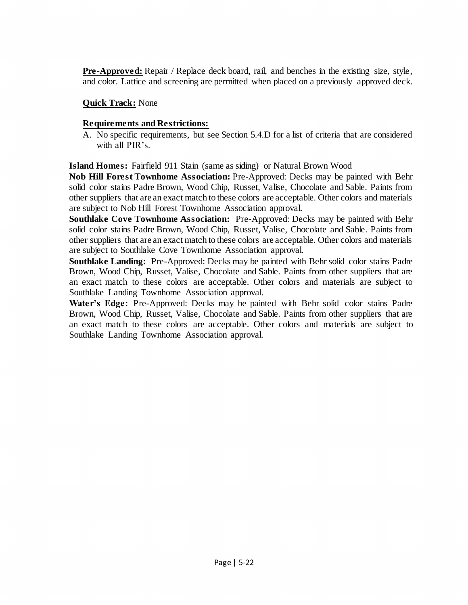**Pre-Approved:** Repair / Replace deck board, rail, and benches in the existing size, style, and color. Lattice and screening are permitted when placed on a previously approved deck.

# **Quick Track:** None

# **Requirements and Restrictions:**

A. No specific requirements, but see Section 5.4.D for a list of criteria that are considered with all PIR's.

**Island Homes:** Fairfield 911 Stain (same as siding) or Natural Brown Wood

**Nob Hill Forest Townhome Association:** Pre-Approved: Decks may be painted with Behr solid color stains Padre Brown, Wood Chip, Russet, Valise, Chocolate and Sable. Paints from other suppliers that are an exact match to these colors are acceptable. Other colors and materials are subject to Nob Hill Forest Townhome Association approval.

**Southlake Cove Townhome Association:** Pre-Approved: Decks may be painted with Behr solid color stains Padre Brown, Wood Chip, Russet, Valise, Chocolate and Sable. Paints from other suppliers that are an exact match to these colors are acceptable. Other colors and materials are subject to Southlake Cove Townhome Association approval.

**Southlake Landing:** Pre-Approved: Decks may be painted with Behr solid color stains Padre Brown, Wood Chip, Russet, Valise, Chocolate and Sable. Paints from other suppliers that are an exact match to these colors are acceptable. Other colors and materials are subject to Southlake Landing Townhome Association approval.

**Water's Edge**: Pre-Approved: Decks may be painted with Behr solid color stains Padre Brown, Wood Chip, Russet, Valise, Chocolate and Sable. Paints from other suppliers that are an exact match to these colors are acceptable. Other colors and materials are subject to Southlake Landing Townhome Association approval.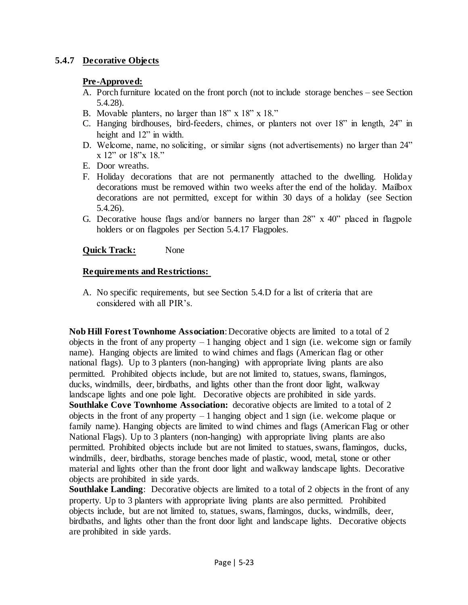# **5.4.7 Decorative Objects**

### **Pre-Approved:**

- A. Porch furniture located on the front porch (not to include storage benches see Section 5.4.28).
- B. Movable planters, no larger than 18" x 18" x 18."
- C. Hanging birdhouses, bird-feeders, chimes, or planters not over 18" in length, 24" in height and 12" in width.
- D. Welcome, name, no soliciting, or similar signs (not advertisements) no larger than 24" x 12" or 18"x 18."
- E. Door wreaths.
- F. Holiday decorations that are not permanently attached to the dwelling. Holiday decorations must be removed within two weeks after the end of the holiday. Mailbox decorations are not permitted, except for within 30 days of a holiday (see Section 5.4.26).
- G. Decorative house flags and/or banners no larger than 28" x 40" placed in flagpole holders or on flagpoles per Section 5.4.17 Flagpoles.

# **Quick Track:** None

# **Requirements and Restrictions:**

A. No specific requirements, but see Section 5.4.D for a list of criteria that are considered with all PIR's.

**Nob Hill Forest Townhome Association**: Decorative objects are limited to a total of 2 objects in the front of any property  $-1$  hanging object and 1 sign (i.e. welcome sign or family name). Hanging objects are limited to wind chimes and flags (American flag or other national flags). Up to 3 planters (non-hanging) with appropriate living plants are also permitted. Prohibited objects include, but are not limited to, statues, swans, flamingos, ducks, windmills, deer, birdbaths, and lights other than the front door light, walkway landscape lights and one pole light. Decorative objects are prohibited in side yards. **Southlake Cove Townhome Association:** decorative objects are limited to a total of 2 objects in the front of any property  $-1$  hanging object and 1 sign (i.e. welcome plaque or family name). Hanging objects are limited to wind chimes and flags (American Flag or other National Flags). Up to 3 planters (non-hanging) with appropriate living plants are also permitted. Prohibited objects include but are not limited to statues, swans, flamingos, ducks, windmills, deer, birdbaths, storage benches made of plastic, wood, metal, stone or other material and lights other than the front door light and walkway landscape lights. Decorative objects are prohibited in side yards.

**Southlake Landing**: Decorative objects are limited to a total of 2 objects in the front of any property. Up to 3 planters with appropriate living plants are also permitted. Prohibited objects include, but are not limited to, statues, swans, flamingos, ducks, windmills, deer, birdbaths, and lights other than the front door light and landscape lights. Decorative objects are prohibited in side yards.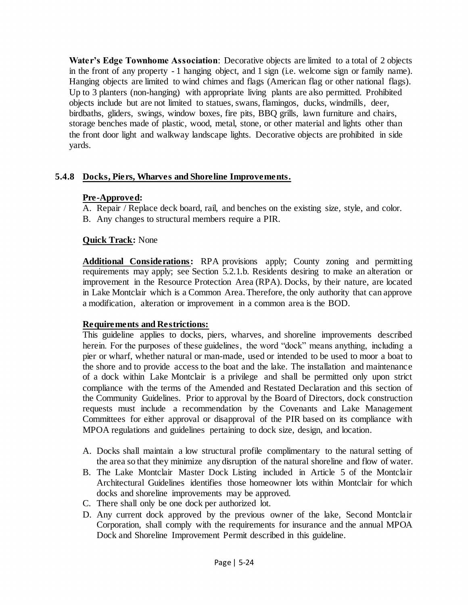**Water's Edge Townhome Association**: Decorative objects are limited to a total of 2 objects in the front of any property - 1 hanging object, and 1 sign (i.e. welcome sign or family name). Hanging objects are limited to wind chimes and flags (American flag or other national flags). Up to 3 planters (non-hanging) with appropriate living plants are also permitted. Prohibited objects include but are not limited to statues, swans, flamingos, ducks, windmills, deer, birdbaths, gliders, swings, window boxes, fire pits, BBQ grills, lawn furniture and chairs, storage benches made of plastic, wood, metal, stone, or other material and lights other than the front door light and walkway landscape lights. Decorative objects are prohibited in side yards.

# **5.4.8 Docks, Piers, Wharves and Shoreline Improvements.**

### **Pre-Approved:**

- A. Repair / Replace deck board, rail, and benches on the existing size, style, and color.
- B. Any changes to structural members require a PIR.

### **Quick Track:** None

**Additional Considerations:** RPA provisions apply; County zoning and permitting requirements may apply; see Section 5.2.1.b. Residents desiring to make an alteration or improvement in the Resource Protection Area (RPA). Docks, by their nature, are located in Lake Montclair which is a Common Area. Therefore, the only authority that can approve a modification, alteration or improvement in a common area is the BOD.

### **Requirements and Restrictions:**

This guideline applies to docks, piers, wharves, and shoreline improvements described herein. For the purposes of these guidelines, the word "dock" means anything, including a pier or wharf, whether natural or man-made, used or intended to be used to moor a boat to the shore and to provide access to the boat and the lake. The installation and maintenance of a dock within Lake Montclair is a privilege and shall be permitted only upon strict compliance with the terms of the Amended and Restated Declaration and this section of the Community Guidelines. Prior to approval by the Board of Directors, dock construction requests must include a recommendation by the Covenants and Lake Management Committees for either approval or disapproval of the PIR based on its compliance with MPOA regulations and guidelines pertaining to dock size, design, and location.

- A. Docks shall maintain a low structural profile complimentary to the natural setting of the area so that they minimize any disruption of the natural shoreline and flow of water.
- B. The Lake Montclair Master Dock Listing included in Article 5 of the Montclair Architectural Guidelines identifies those homeowner lots within Montclair for which docks and shoreline improvements may be approved.
- C. There shall only be one dock per authorized lot.
- D. Any current dock approved by the previous owner of the lake, Second Montclair Corporation, shall comply with the requirements for insurance and the annual MPOA Dock and Shoreline Improvement Permit described in this guideline.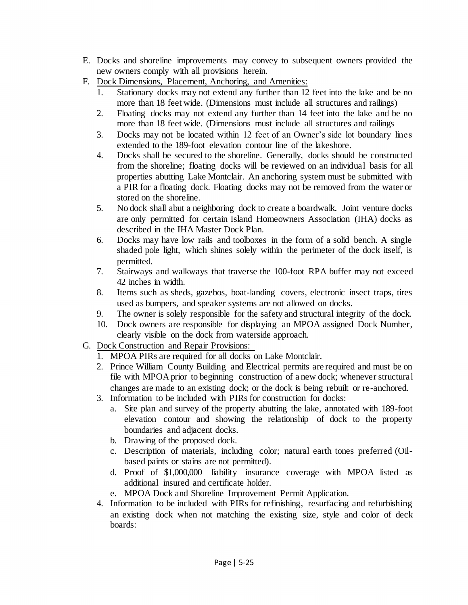- E. Docks and shoreline improvements may convey to subsequent owners provided the new owners comply with all provisions herein.
- F. Dock Dimensions, Placement, Anchoring, and Amenities:
	- 1. Stationary docks may not extend any further than 12 feet into the lake and be no more than 18 feet wide. (Dimensions must include all structures and railings)
	- 2. Floating docks may not extend any further than 14 feet into the lake and be no more than 18 feet wide. (Dimensions must include all structures and railings
	- 3. Docks may not be located within 12 feet of an Owner's side lot boundary lines extended to the 189-foot elevation contour line of the lakeshore.
	- 4. Docks shall be secured to the shoreline. Generally, docks should be constructed from the shoreline; floating docks will be reviewed on an individual basis for all properties abutting Lake Montclair. An anchoring system must be submitted with a PIR for a floating dock. Floating docks may not be removed from the water or stored on the shoreline.
	- 5. No dock shall abut a neighboring dock to create a boardwalk. Joint venture docks are only permitted for certain Island Homeowners Association (IHA) docks as described in the IHA Master Dock Plan.
	- 6. Docks may have low rails and toolboxes in the form of a solid bench. A single shaded pole light, which shines solely within the perimeter of the dock itself, is permitted.
	- 7. Stairways and walkways that traverse the 100-foot RPA buffer may not exceed 42 inches in width.
	- 8. Items such as sheds, gazebos, boat-landing covers, electronic insect traps, tires used as bumpers, and speaker systems are not allowed on docks.
	- 9. The owner is solely responsible for the safety and structural integrity of the dock.
	- 10. Dock owners are responsible for displaying an MPOA assigned Dock Number, clearly visible on the dock from waterside approach.
- G. Dock Construction and Repair Provisions:
	- 1. MPOA PIRs are required for all docks on Lake Montclair.
	- 2. Prince William County Building and Electrical permits are required and must be on file with MPOA prior to beginning construction of a new dock; whenever structural changes are made to an existing dock; or the dock is being rebuilt or re-anchored.
	- 3. Information to be included with PIRs for construction for docks:
		- a. Site plan and survey of the property abutting the lake, annotated with 189-foot elevation contour and showing the relationship of dock to the property boundaries and adjacent docks.
		- b. Drawing of the proposed dock.
		- c. Description of materials, including color; natural earth tones preferred (Oilbased paints or stains are not permitted).
		- d. Proof of \$1,000,000 liability insurance coverage with MPOA listed as additional insured and certificate holder.
		- e. MPOA Dock and Shoreline Improvement Permit Application.
	- 4. Information to be included with PIRs for refinishing, resurfacing and refurbishing an existing dock when not matching the existing size, style and color of deck boards: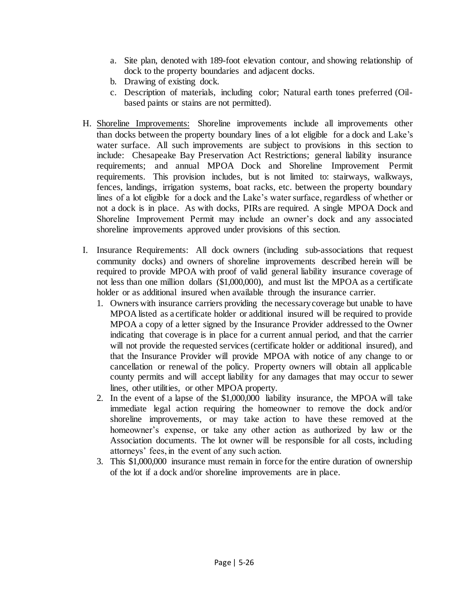- a. Site plan, denoted with 189-foot elevation contour, and showing relationship of dock to the property boundaries and adjacent docks.
- b. Drawing of existing dock.
- c. Description of materials, including color; Natural earth tones preferred (Oilbased paints or stains are not permitted).
- H. Shoreline Improvements: Shoreline improvements include all improvements other than docks between the property boundary lines of a lot eligible for a dock and Lake's water surface. All such improvements are subject to provisions in this section to include: Chesapeake Bay Preservation Act Restrictions; general liability insurance requirements; and annual MPOA Dock and Shoreline Improvement Permit requirements. This provision includes, but is not limited to: stairways, walkways, fences, landings, irrigation systems, boat racks, etc. between the property boundary lines of a lot eligible for a dock and the Lake's water surface, regardless of whether or not a dock is in place. As with docks, PIRs are required. A single MPOA Dock and Shoreline Improvement Permit may include an owner's dock and any associated shoreline improvements approved under provisions of this section.
- I. Insurance Requirements: All dock owners (including sub-associations that request community docks) and owners of shoreline improvements described herein will be required to provide MPOA with proof of valid general liability insurance coverage of not less than one million dollars (\$1,000,000), and must list the MPOA as a certificate holder or as additional insured when available through the insurance carrier.
	- 1. Owners with insurance carriers providing the necessary coverage but unable to have MPOA listed as a certificate holder or additional insured will be required to provide MPOA a copy of a letter signed by the Insurance Provider addressed to the Owner indicating that coverage is in place for a current annual period, and that the carrier will not provide the requested services (certificate holder or additional insured), and that the Insurance Provider will provide MPOA with notice of any change to or cancellation or renewal of the policy. Property owners will obtain all applicable county permits and will accept liability for any damages that may occur to sewer lines, other utilities, or other MPOA property.
	- 2. In the event of a lapse of the \$1,000,000 liability insurance, the MPOA will take immediate legal action requiring the homeowner to remove the dock and/or shoreline improvements, or may take action to have these removed at the homeowner's expense, or take any other action as authorized by law or the Association documents. The lot owner will be responsible for all costs, including attorneys' fees, in the event of any such action.
	- 3. This \$1,000,000 insurance must remain in force for the entire duration of ownership of the lot if a dock and/or shoreline improvements are in place.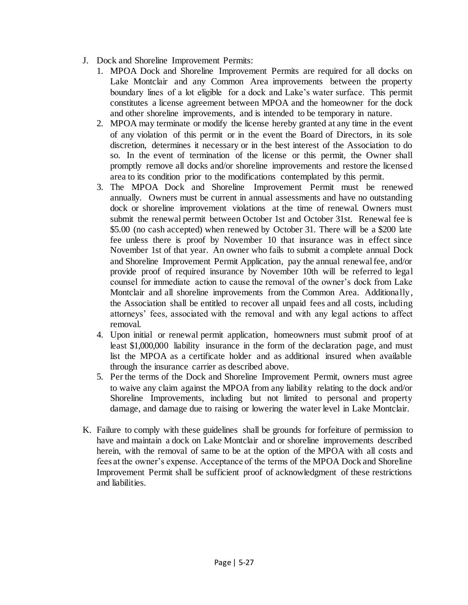- J. Dock and Shoreline Improvement Permits:
	- 1. MPOA Dock and Shoreline Improvement Permits are required for all docks on Lake Montclair and any Common Area improvements between the property boundary lines of a lot eligible for a dock and Lake's water surface. This permit constitutes a license agreement between MPOA and the homeowner for the dock and other shoreline improvements, and is intended to be temporary in nature.
	- 2. MPOA may terminate or modify the license hereby granted at any time in the event of any violation of this permit or in the event the Board of Directors, in its sole discretion, determines it necessary or in the best interest of the Association to do so. In the event of termination of the license or this permit, the Owner shall promptly remove all docks and/or shoreline improvements and restore the licensed area to its condition prior to the modifications contemplated by this permit.
	- 3. The MPOA Dock and Shoreline Improvement Permit must be renewed annually. Owners must be current in annual assessments and have no outstanding dock or shoreline improvement violations at the time of renewal. Owners must submit the renewal permit between October 1st and October 31st. Renewal fee is \$5.00 (no cash accepted) when renewed by October 31. There will be a \$200 late fee unless there is proof by November 10 that insurance was in effect since November 1st of that year. An owner who fails to submit a complete annual Dock and Shoreline Improvement Permit Application, pay the annual renewal fee, and/or provide proof of required insurance by November 10th will be referred to legal counsel for immediate action to cause the removal of the owner's dock from Lake Montclair and all shoreline improvements from the Common Area. Additionally, the Association shall be entitled to recover all unpaid fees and all costs, including attorneys' fees, associated with the removal and with any legal actions to affect removal.
	- 4. Upon initial or renewal permit application, homeowners must submit proof of at least \$1,000,000 liability insurance in the form of the declaration page, and must list the MPOA as a certificate holder and as additional insured when available through the insurance carrier as described above.
	- 5. Per the terms of the Dock and Shoreline Improvement Permit, owners must agree to waive any claim against the MPOA from any liability relating to the dock and/or Shoreline Improvements, including but not limited to personal and property damage, and damage due to raising or lowering the water level in Lake Montclair.
- K. Failure to comply with these guidelines shall be grounds for forfeiture of permission to have and maintain a dock on Lake Montclair and or shoreline improvements described herein, with the removal of same to be at the option of the MPOA with all costs and fees at the owner's expense. Acceptance of the terms of the MPOA Dock and Shoreline Improvement Permit shall be sufficient proof of acknowledgment of these restrictions and liabilities.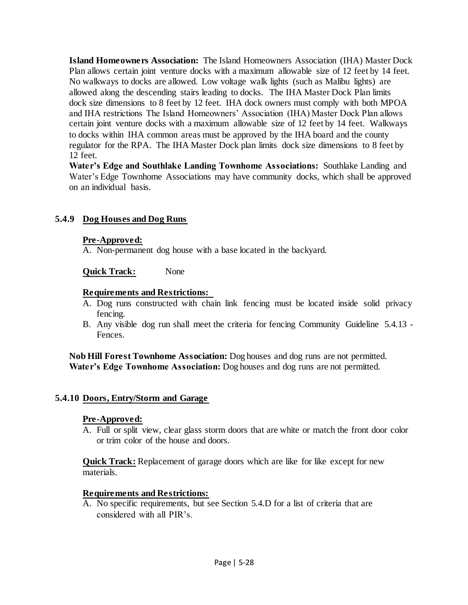**Island Homeowners Association:** The Island Homeowners Association (IHA) Master Dock Plan allows certain joint venture docks with a maximum allowable size of 12 feet by 14 feet. No walkways to docks are allowed. Low voltage walk lights (such as Malibu lights) are allowed along the descending stairs leading to docks. The IHA Master Dock Plan limits dock size dimensions to 8 feet by 12 feet. IHA dock owners must comply with both MPOA and IHA restrictions The Island Homeowners' Association (IHA) Master Dock Plan allows certain joint venture docks with a maximum allowable size of 12 feet by 14 feet. Walkways to docks within IHA common areas must be approved by the IHA board and the county regulator for the RPA. The IHA Master Dock plan limits dock size dimensions to 8 feet by 12 feet.

**Water's Edge and Southlake Landing Townhome Associations:** Southlake Landing and Water's Edge Townhome Associations may have community docks, which shall be approved on an individual basis.

# **5.4.9 Dog Houses and Dog Runs**

### **Pre-Approved:**

A. Non-permanent dog house with a base located in the backyard.

#### **Quick Track:** None

#### **Requirements and Restrictions:**

- A. Dog runs constructed with chain link fencing must be located inside solid privacy fencing.
- B. Any visible dog run shall meet the criteria for fencing Community Guideline 5.4.13 Fences.

**Nob Hill Forest Townhome Association:** Dog houses and dog runs are not permitted. **Water's Edge Townhome Association:** Dog houses and dog runs are not permitted.

#### **5.4.10 Doors, Entry/Storm and Garage**

#### **Pre-Approved:**

A. Full or split view, clear glass storm doors that are white or match the front door color or trim color of the house and doors.

**Quick Track:** Replacement of garage doors which are like for like except for new materials.

#### **Requirements and Restrictions:**

A. No specific requirements, but see Section 5.4.D for a list of criteria that are considered with all PIR's.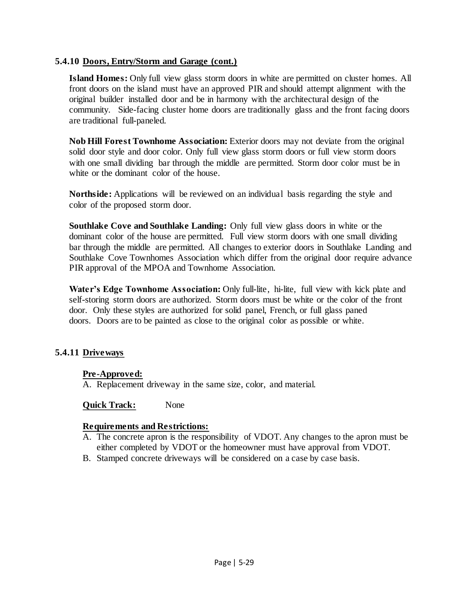#### **5.4.10 Doors, Entry/Storm and Garage (cont.)**

**Island Homes:** Only full view glass storm doors in white are permitted on cluster homes. All front doors on the island must have an approved PIR and should attempt alignment with the original builder installed door and be in harmony with the architectural design of the community. Side-facing cluster home doors are traditionally glass and the front facing doors are traditional full-paneled.

**Nob Hill Forest Townhome Association:** Exterior doors may not deviate from the original solid door style and door color. Only full view glass storm doors or full view storm doors with one small dividing bar through the middle are permitted. Storm door color must be in white or the dominant color of the house.

**Northside:** Applications will be reviewed on an individual basis regarding the style and color of the proposed storm door.

**Southlake Cove and Southlake Landing:** Only full view glass doors in white or the dominant color of the house are permitted. Full view storm doors with one small dividing bar through the middle are permitted. All changes to exterior doors in Southlake Landing and Southlake Cove Townhomes Association which differ from the original door require advance PIR approval of the MPOA and Townhome Association.

Water's Edge Townhome Association: Only full-lite, hi-lite, full view with kick plate and self-storing storm doors are authorized. Storm doors must be white or the color of the front door. Only these styles are authorized for solid panel, French, or full glass paned doors. Doors are to be painted as close to the original color as possible or white.

### **5.4.11 Driveways**

### **Pre-Approved:**

A. Replacement driveway in the same size, color, and material.

#### **Quick Track:** None

### **Requirements and Restrictions:**

- A. The concrete apron is the responsibility of VDOT. Any changes to the apron must be either completed by VDOT or the homeowner must have approval from VDOT.
- B. Stamped concrete driveways will be considered on a case by case basis.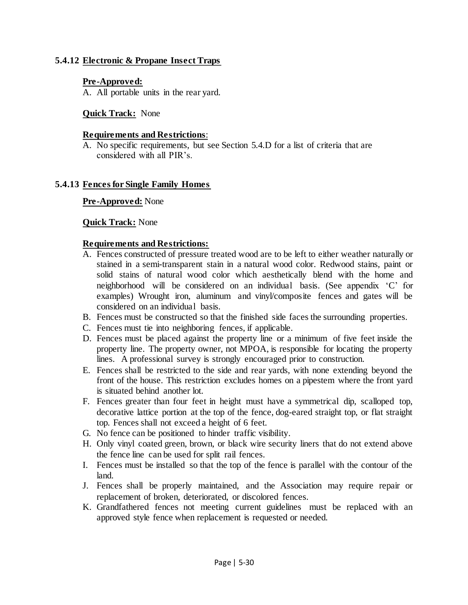# **5.4.12 Electronic & Propane Insect Traps**

#### **Pre-Approved:**

A. All portable units in the rear yard.

#### **Quick Track:** None

#### **Requirements and Restrictions**:

A. No specific requirements, but see Section 5.4.D for a list of criteria that are considered with all PIR's.

#### **5.4.13 Fences for Single Family Homes**

#### **Pre-Approved:** None

#### **Quick Track:** None

#### **Requirements and Restrictions:**

- A. Fences constructed of pressure treated wood are to be left to either weather naturally or stained in a semi-transparent stain in a natural wood color. Redwood stains, paint or solid stains of natural wood color which aesthetically blend with the home and neighborhood will be considered on an individual basis. (See appendix 'C' for examples) Wrought iron, aluminum and vinyl/composite fences and gates will be considered on an individual basis.
- B. Fences must be constructed so that the finished side faces the surrounding properties.
- C. Fences must tie into neighboring fences, if applicable.
- D. Fences must be placed against the property line or a minimum of five feet inside the property line. The property owner, not MPOA, is responsible for locating the property lines. A professional survey is strongly encouraged prior to construction.
- E. Fences shall be restricted to the side and rear yards, with none extending beyond the front of the house. This restriction excludes homes on a pipestem where the front yard is situated behind another lot.
- F. Fences greater than four feet in height must have a symmetrical dip, scalloped top, decorative lattice portion at the top of the fence, dog-eared straight top, or flat straight top. Fences shall not exceed a height of 6 feet.
- G. No fence can be positioned to hinder traffic visibility.
- H. Only vinyl coated green, brown, or black wire security liners that do not extend above the fence line can be used for split rail fences.
- I. Fences must be installed so that the top of the fence is parallel with the contour of the land.
- J. Fences shall be properly maintained, and the Association may require repair or replacement of broken, deteriorated, or discolored fences.
- K. Grandfathered fences not meeting current guidelines must be replaced with an approved style fence when replacement is requested or needed.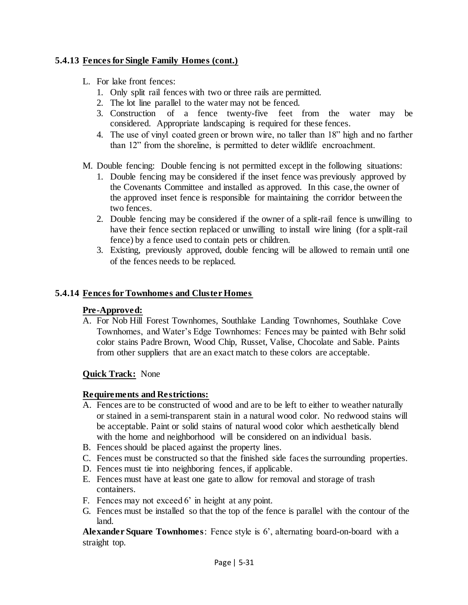# **5.4.13 Fences for Single Family Homes (cont.)**

- L. For lake front fences:
	- 1. Only split rail fences with two or three rails are permitted.
	- 2. The lot line parallel to the water may not be fenced.
	- 3. Construction of a fence twenty-five feet from the water may be considered. Appropriate landscaping is required for these fences.
	- 4. The use of vinyl coated green or brown wire, no taller than 18" high and no farther than 12" from the shoreline, is permitted to deter wildlife encroachment.
- M. Double fencing: Double fencing is not permitted except in the following situations:
	- 1. Double fencing may be considered if the inset fence was previously approved by the Covenants Committee and installed as approved. In this case, the owner of the approved inset fence is responsible for maintaining the corridor between the two fences.
	- 2. Double fencing may be considered if the owner of a split-rail fence is unwilling to have their fence section replaced or unwilling to install wire lining (for a split-rail fence) by a fence used to contain pets or children.
	- 3. Existing, previously approved, double fencing will be allowed to remain until one of the fences needs to be replaced.

# **5.4.14 Fences for Townhomes and Cluster Homes**

### **Pre-Approved:**

A. For Nob Hill Forest Townhomes, Southlake Landing Townhomes, Southlake Cove Townhomes, and Water's Edge Townhomes: Fences may be painted with Behr solid color stains Padre Brown, Wood Chip, Russet, Valise, Chocolate and Sable. Paints from other suppliers that are an exact match to these colors are acceptable.

### **Quick Track:** None

### **Requirements and Restrictions:**

- A. Fences are to be constructed of wood and are to be left to either to weather naturally or stained in a semi-transparent stain in a natural wood color. No redwood stains will be acceptable. Paint or solid stains of natural wood color which aesthetically blend with the home and neighborhood will be considered on an individual basis.
- B. Fences should be placed against the property lines.
- C. Fences must be constructed so that the finished side faces the surrounding properties.
- D. Fences must tie into neighboring fences, if applicable.
- E. Fences must have at least one gate to allow for removal and storage of trash containers.
- F. Fences may not exceed 6' in height at any point.
- G. Fences must be installed so that the top of the fence is parallel with the contour of the land.

**Alexander Square Townhomes**: Fence style is 6', alternating board-on-board with a straight top.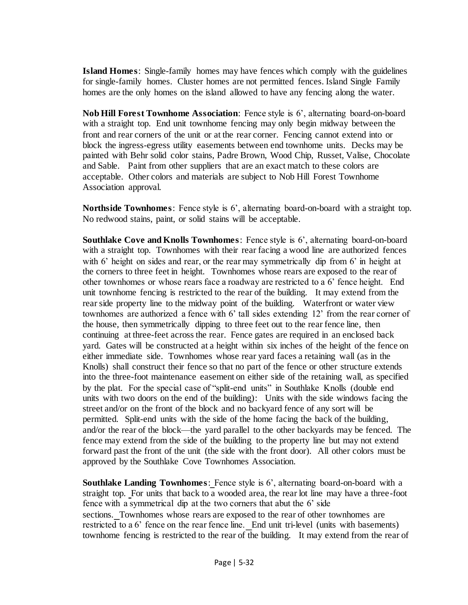**Island Homes**: Single-family homes may have fences which comply with the guidelines for single-family homes. Cluster homes are not permitted fences. Island Single Family homes are the only homes on the island allowed to have any fencing along the water.

**Nob Hill Forest Townhome Association**: Fence style is 6', alternating board-on-board with a straight top. End unit townhome fencing may only begin midway between the front and rear corners of the unit or at the rear corner. Fencing cannot extend into or block the ingress-egress utility easements between end townhome units. Decks may be painted with Behr solid color stains, Padre Brown, Wood Chip, Russet, Valise, Chocolate and Sable. Paint from other suppliers that are an exact match to these colors are acceptable. Other colors and materials are subject to Nob Hill Forest Townhome Association approval.

**Northside Townhomes**: Fence style is 6', alternating board-on-board with a straight top. No redwood stains, paint, or solid stains will be acceptable.

**Southlake Cove and Knolls Townhomes**: Fence style is 6', alternating board-on-board with a straight top. Townhomes with their rear facing a wood line are authorized fences with 6' height on sides and rear, or the rear may symmetrically dip from 6' in height at the corners to three feet in height. Townhomes whose rears are exposed to the rear of other townhomes or whose rears face a roadway are restricted to a 6' fence height. End unit townhome fencing is restricted to the rear of the building. It may extend from the rear side property line to the midway point of the building. Waterfront or water view townhomes are authorized a fence with 6' tall sides extending 12' from the rear corner of the house, then symmetrically dipping to three feet out to the rear fence line, then continuing at three-feet across the rear. Fence gates are required in an enclosed back yard. Gates will be constructed at a height within six inches of the height of the fence on either immediate side. Townhomes whose rear yard faces a retaining wall (as in the Knolls) shall construct their fence so that no part of the fence or other structure extends into the three-foot maintenance easement on either side of the retaining wall, as specified by the plat. For the special case of "split-end units" in Southlake Knolls (double end units with two doors on the end of the building): Units with the side windows facing the street and/or on the front of the block and no backyard fence of any sort will be permitted. Split-end units with the side of the home facing the back of the building, and/or the rear of the block—the yard parallel to the other backyards may be fenced. The fence may extend from the side of the building to the property line but may not extend forward past the front of the unit (the side with the front door). All other colors must be approved by the Southlake Cove Townhomes Association.

**Southlake Landing Townhomes**: Fence style is 6', alternating board-on-board with a straight top. For units that back to a wooded area, the rear lot line may have a three-foot fence with a symmetrical dip at the two corners that abut the 6' side sections. Townhomes whose rears are exposed to the rear of other townhomes are restricted to a 6' fence on the rear fence line. End unit tri-level (units with basements) townhome fencing is restricted to the rear of the building. It may extend from the rear of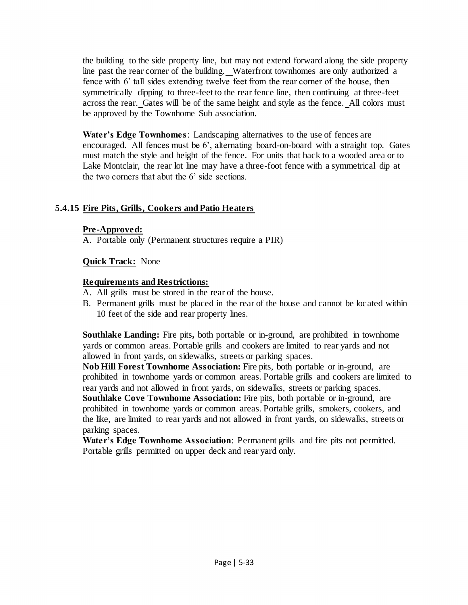the building to the side property line, but may not extend forward along the side property line past the rear corner of the building. Waterfront townhomes are only authorized a fence with 6' tall sides extending twelve feet from the rear corner of the house, then symmetrically dipping to three-feet to the rear fence line, then continuing at three-feet across the rear. Gates will be of the same height and style as the fence. All colors must be approved by the Townhome Sub association.

**Water's Edge Townhomes**: Landscaping alternatives to the use of fences are encouraged. All fences must be 6', alternating board-on-board with a straight top. Gates must match the style and height of the fence. For units that back to a wooded area or to Lake Montclair, the rear lot line may have a three-foot fence with a symmetrical dip at the two corners that abut the 6' side sections.

# **5.4.15 Fire Pits, Grills, Cookers and Patio Heaters**

#### **Pre-Approved:**

A. Portable only (Permanent structures require a PIR)

### **Quick Track:** None

#### **Requirements and Restrictions:**

- A. All grills must be stored in the rear of the house.
- B. Permanent grills must be placed in the rear of the house and cannot be located within 10 feet of the side and rear property lines.

**Southlake Landing:** Fire pits, both portable or in-ground, are prohibited in townhome yards or common areas. Portable grills and cookers are limited to rear yards and not allowed in front yards, on sidewalks, streets or parking spaces.

**Nob Hill Forest Townhome Association:** Fire pits, both portable or in-ground, are prohibited in townhome yards or common areas. Portable grills and cookers are limited to rear yards and not allowed in front yards, on sidewalks, streets or parking spaces.

**Southlake Cove Townhome Association:** Fire pits, both portable or in-ground, are prohibited in townhome yards or common areas. Portable grills, smokers, cookers, and the like, are limited to rear yards and not allowed in front yards, on sidewalks, streets or parking spaces.

**Water's Edge Townhome Association**: Permanent grills and fire pits not permitted. Portable grills permitted on upper deck and rear yard only.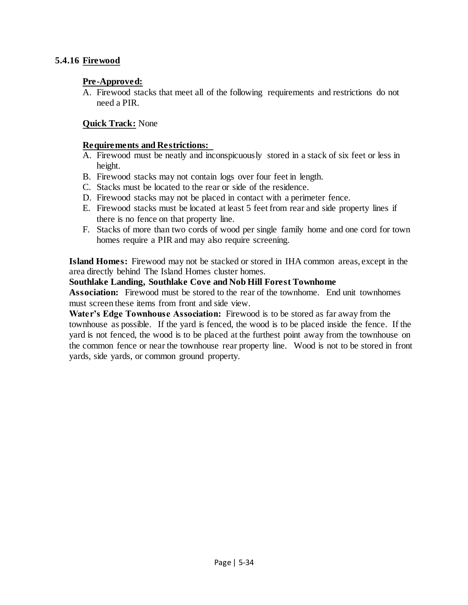# **5.4.16 Firewood**

#### **Pre-Approved:**

A. Firewood stacks that meet all of the following requirements and restrictions do not need a PIR.

### **Quick Track:** None

#### **Requirements and Restrictions:**

- A. Firewood must be neatly and inconspicuously stored in a stack of six feet or less in height.
- B. Firewood stacks may not contain logs over four feet in length.
- C. Stacks must be located to the rear or side of the residence.
- D. Firewood stacks may not be placed in contact with a perimeter fence.
- E. Firewood stacks must be located at least 5 feet from rear and side property lines if there is no fence on that property line.
- F. Stacks of more than two cords of wood per single family home and one cord for town homes require a PIR and may also require screening.

**Island Homes:** Firewood may not be stacked or stored in IHA common areas, except in the area directly behind The Island Homes cluster homes.

#### **Southlake Landing, Southlake Cove and Nob Hill Forest Townhome**

**Association:** Firewood must be stored to the rear of the townhome. End unit townhomes must screen these items from front and side view.

**Water's Edge Townhouse Association:** Firewood is to be stored as far away from the townhouse as possible. If the yard is fenced, the wood is to be placed inside the fence. If the yard is not fenced, the wood is to be placed at the furthest point away from the townhouse on the common fence or near the townhouse rear property line. Wood is not to be stored in front yards, side yards, or common ground property.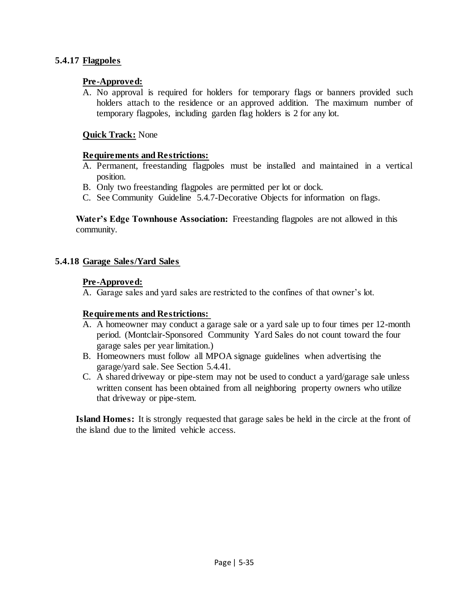# **5.4.17 Flagpoles**

### **Pre-Approved:**

A. No approval is required for holders for temporary flags or banners provided such holders attach to the residence or an approved addition. The maximum number of temporary flagpoles, including garden flag holders is 2 for any lot.

# **Quick Track:** None

### **Requirements and Restrictions:**

- A. Permanent, freestanding flagpoles must be installed and maintained in a vertical position.
- B. Only two freestanding flagpoles are permitted per lot or dock.
- C. See Community Guideline 5.4.7-Decorative Objects for information on flags.

**Water's Edge Townhouse Association:** Freestanding flagpoles are not allowed in this community.

# **5.4.18 Garage Sales/Yard Sales**

# **Pre-Approved:**

A. Garage sales and yard sales are restricted to the confines of that owner's lot.

### **Requirements and Restrictions:**

- A. A homeowner may conduct a garage sale or a yard sale up to four times per 12-month period. (Montclair-Sponsored Community Yard Sales do not count toward the four garage sales per year limitation.)
- B. Homeowners must follow all MPOA signage guidelines when advertising the garage/yard sale. See Section 5.4.41.
- C. A shared driveway or pipe-stem may not be used to conduct a yard/garage sale unless written consent has been obtained from all neighboring property owners who utilize that driveway or pipe-stem.

**Island Homes:** It is strongly requested that garage sales be held in the circle at the front of the island due to the limited vehicle access.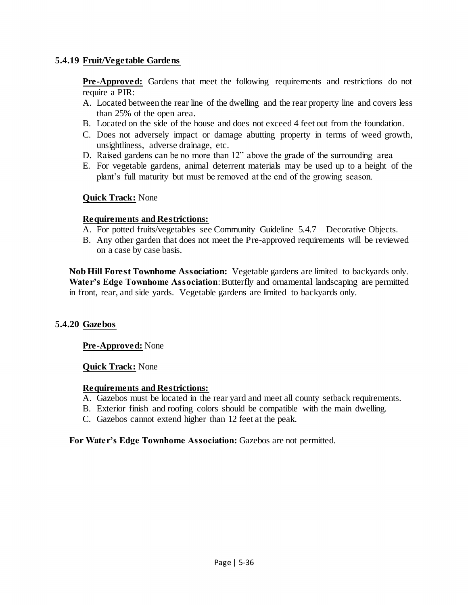# **5.4.19 Fruit/Vegetable Gardens**

**Pre-Approved:** Gardens that meet the following requirements and restrictions do not require a PIR:

- A. Located between the rear line of the dwelling and the rear property line and covers less than 25% of the open area.
- B. Located on the side of the house and does not exceed 4 feet out from the foundation.
- C. Does not adversely impact or damage abutting property in terms of weed growth, unsightliness, adverse drainage, etc.
- D. Raised gardens can be no more than 12" above the grade of the surrounding area
- E. For vegetable gardens, animal deterrent materials may be used up to a height of the plant's full maturity but must be removed at the end of the growing season.

# **Quick Track:** None

### **Requirements and Restrictions:**

- A. For potted fruits/vegetables see Community Guideline 5.4.7 Decorative Objects.
- B. Any other garden that does not meet the Pre-approved requirements will be reviewed on a case by case basis.

**Nob Hill Forest Townhome Association:** Vegetable gardens are limited to backyards only. **Water's Edge Townhome Association**: Butterfly and ornamental landscaping are permitted in front, rear, and side yards. Vegetable gardens are limited to backyards only.

# **5.4.20 Gazebos**

# **Pre-Approved:** None

### **Quick Track:** None

### **Requirements and Restrictions:**

- A. Gazebos must be located in the rear yard and meet all county setback requirements.
- B. Exterior finish and roofing colors should be compatible with the main dwelling.
- C. Gazebos cannot extend higher than 12 feet at the peak.

**For Water's Edge Townhome Association:** Gazebos are not permitted.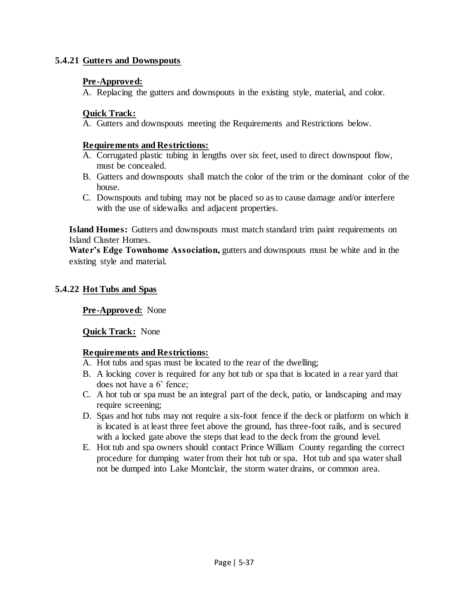# **5.4.21 Gutters and Downspouts**

# **Pre-Approved:**

A. Replacing the gutters and downspouts in the existing style, material, and color.

# **Quick Track:**

A. Gutters and downspouts meeting the Requirements and Restrictions below.

# **Requirements and Restrictions:**

- A. Corrugated plastic tubing in lengths over six feet, used to direct downspout flow, must be concealed.
- B. Gutters and downspouts shall match the color of the trim or the dominant color of the house.
- C. Downspouts and tubing may not be placed so as to cause damage and/or interfere with the use of sidewalks and adjacent properties.

**Island Homes:** Gutters and downspouts must match standard trim paint requirements on Island Cluster Homes.

**Water's Edge Townhome Association,** gutters and downspouts must be white and in the existing style and material.

# **5.4.22 Hot Tubs and Spas**

**Pre-Approved:** None

# **Quick Track:** None

# **Requirements and Restrictions:**

- A. Hot tubs and spas must be located to the rear of the dwelling;
- B. A locking cover is required for any hot tub or spa that is located in a rear yard that does not have a 6' fence;
- C. A hot tub or spa must be an integral part of the deck, patio, or landscaping and may require screening;
- D. Spas and hot tubs may not require a six-foot fence if the deck or platform on which it is located is at least three feet above the ground, has three-foot rails, and is secured with a locked gate above the steps that lead to the deck from the ground level.
- E. Hot tub and spa owners should contact Prince William County regarding the correct procedure for dumping water from their hot tub or spa. Hot tub and spa water shall not be dumped into Lake Montclair, the storm water drains, or common area.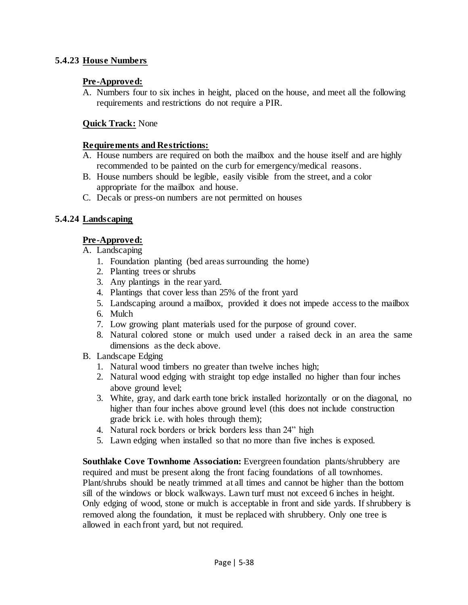# **5.4.23 House Numbers**

# **Pre-Approved:**

A. Numbers four to six inches in height, placed on the house, and meet all the following requirements and restrictions do not require a PIR.

# **Quick Track:** None

#### **Requirements and Restrictions:**

- A. House numbers are required on both the mailbox and the house itself and are highly recommended to be painted on the curb for emergency/medical reasons.
- B. House numbers should be legible, easily visible from the street, and a color appropriate for the mailbox and house.
- C. Decals or press-on numbers are not permitted on houses

# **5.4.24 Landscaping**

# **Pre-Approved:**

- A. Landscaping
	- 1. Foundation planting (bed areas surrounding the home)
	- 2. Planting trees or shrubs
	- 3. Any plantings in the rear yard.
	- 4. Plantings that cover less than 25% of the front yard
	- 5. Landscaping around a mailbox, provided it does not impede access to the mailbox
	- 6. Mulch
	- 7. Low growing plant materials used for the purpose of ground cover.
	- 8. Natural colored stone or mulch used under a raised deck in an area the same dimensions as the deck above.
- B. Landscape Edging
	- 1. Natural wood timbers no greater than twelve inches high;
	- 2. Natural wood edging with straight top edge installed no higher than four inches above ground level;
	- 3. White, gray, and dark earth tone brick installed horizontally or on the diagonal, no higher than four inches above ground level (this does not include construction grade brick i.e. with holes through them);
	- 4. Natural rock borders or brick borders less than 24" high
	- 5. Lawn edging when installed so that no more than five inches is exposed.

**Southlake Cove Townhome Association:** Evergreen foundation plants/shrubbery are required and must be present along the front facing foundations of all townhomes. Plant/shrubs should be neatly trimmed at all times and cannot be higher than the bottom sill of the windows or block walkways. Lawn turf must not exceed 6 inches in height. Only edging of wood, stone or mulch is acceptable in front and side yards. If shrubbery is removed along the foundation, it must be replaced with shrubbery. Only one tree is allowed in each front yard, but not required.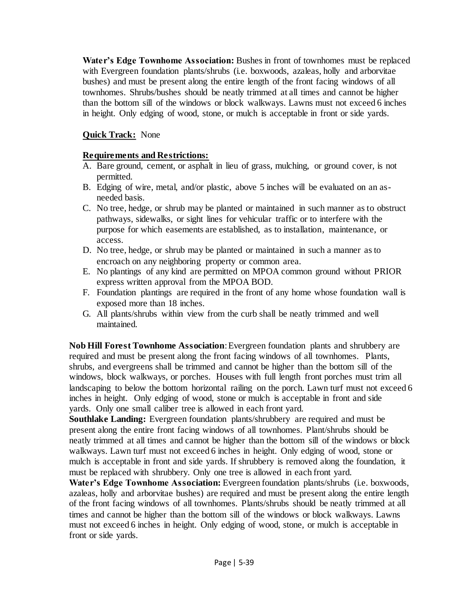**Water's Edge Townhome Association:** Bushes in front of townhomes must be replaced with Evergreen foundation plants/shrubs (i.e. boxwoods, azaleas, holly and arborvitae bushes) and must be present along the entire length of the front facing windows of all townhomes. Shrubs/bushes should be neatly trimmed at all times and cannot be higher than the bottom sill of the windows or block walkways. Lawns must not exceed 6 inches in height. Only edging of wood, stone, or mulch is acceptable in front or side yards.

# **Quick Track:** None

# **Requirements and Restrictions:**

- A. Bare ground, cement, or asphalt in lieu of grass, mulching, or ground cover, is not permitted.
- B. Edging of wire, metal, and/or plastic, above 5 inches will be evaluated on an asneeded basis.
- C. No tree, hedge, or shrub may be planted or maintained in such manner as to obstruct pathways, sidewalks, or sight lines for vehicular traffic or to interfere with the purpose for which easements are established, as to installation, maintenance, or access.
- D. No tree, hedge, or shrub may be planted or maintained in such a manner as to encroach on any neighboring property or common area.
- E. No plantings of any kind are permitted on MPOA common ground without PRIOR express written approval from the MPOA BOD.
- F. Foundation plantings are required in the front of any home whose foundation wall is exposed more than 18 inches.
- G. All plants/shrubs within view from the curb shall be neatly trimmed and well maintained.

**Nob Hill Forest Townhome Association**: Evergreen foundation plants and shrubbery are required and must be present along the front facing windows of all townhomes. Plants, shrubs, and evergreens shall be trimmed and cannot be higher than the bottom sill of the windows, block walkways, or porches. Houses with full length front porches must trim all landscaping to below the bottom horizontal railing on the porch. Lawn turf must not exceed 6 inches in height. Only edging of wood, stone or mulch is acceptable in front and side yards. Only one small caliber tree is allowed in each front yard.

**Southlake Landing:** Evergreen foundation plants/shrubbery are required and must be present along the entire front facing windows of all townhomes. Plant/shrubs should be neatly trimmed at all times and cannot be higher than the bottom sill of the windows or block walkways. Lawn turf must not exceed 6 inches in height. Only edging of wood, stone or mulch is acceptable in front and side yards. If shrubbery is removed along the foundation, it must be replaced with shrubbery. Only one tree is allowed in each front yard.

Water's Edge Townhome Association: Evergreen foundation plants/shrubs (i.e. boxwoods, azaleas, holly and arborvitae bushes) are required and must be present along the entire length of the front facing windows of all townhomes. Plants/shrubs should be neatly trimmed at all times and cannot be higher than the bottom sill of the windows or block walkways. Lawns must not exceed 6 inches in height. Only edging of wood, stone, or mulch is acceptable in front or side yards.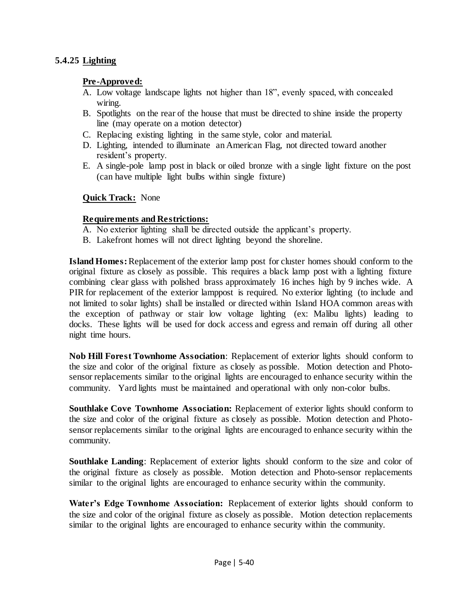# **5.4.25 Lighting**

## **Pre-Approved:**

- A. Low voltage landscape lights not higher than 18", evenly spaced, with concealed wiring.
- B. Spotlights on the rear of the house that must be directed to shine inside the property line (may operate on a motion detector)
- C. Replacing existing lighting in the same style, color and material.
- D. Lighting, intended to illuminate an American Flag, not directed toward another resident's property.
- E. A single-pole lamp post in black or oiled bronze with a single light fixture on the post (can have multiple light bulbs within single fixture)

#### **Quick Track:** None

#### **Requirements and Restrictions:**

- A. No exterior lighting shall be directed outside the applicant's property.
- B. Lakefront homes will not direct lighting beyond the shoreline.

**Island Homes:** Replacement of the exterior lamp post for cluster homes should conform to the original fixture as closely as possible. This requires a black lamp post with a lighting fixture combining clear glass with polished brass approximately 16 inches high by 9 inches wide. A PIR for replacement of the exterior lamppost is required. No exterior lighting (to include and not limited to solar lights) shall be installed or directed within Island HOA common areas with the exception of pathway or stair low voltage lighting (ex: Malibu lights) leading to docks. These lights will be used for dock access and egress and remain off during all other night time hours.

**Nob Hill Forest Townhome Association**: Replacement of exterior lights should conform to the size and color of the original fixture as closely as possible. Motion detection and Photosensor replacements similar to the original lights are encouraged to enhance security within the community. Yard lights must be maintained and operational with only non-color bulbs.

**Southlake Cove Townhome Association:** Replacement of exterior lights should conform to the size and color of the original fixture as closely as possible. Motion detection and Photosensor replacements similar to the original lights are encouraged to enhance security within the community.

**Southlake Landing**: Replacement of exterior lights should conform to the size and color of the original fixture as closely as possible. Motion detection and Photo-sensor replacements similar to the original lights are encouraged to enhance security within the community.

**Water's Edge Townhome Association:** Replacement of exterior lights should conform to the size and color of the original fixture as closely as possible. Motion detection replacements similar to the original lights are encouraged to enhance security within the community.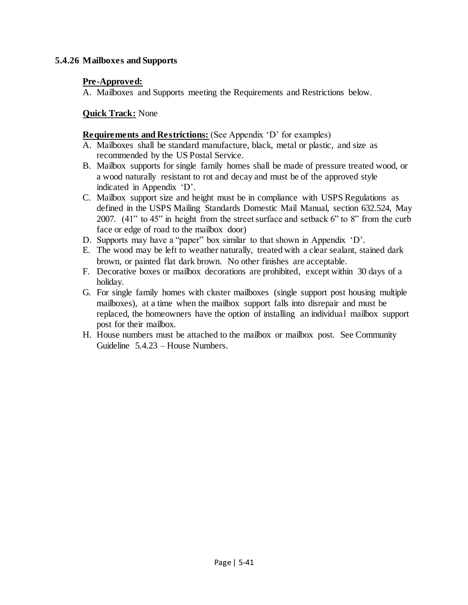# **5.4.26 Mailboxes and Supports**

# **Pre-Approved:**

A. Mailboxes and Supports meeting the Requirements and Restrictions below.

# **Quick Track:** None

#### **Requirements and Restrictions:** (See Appendix 'D' for examples)

- A. Mailboxes shall be standard manufacture, black, metal or plastic, and size as recommended by the US Postal Service.
- B. Mailbox supports for single family homes shall be made of pressure treated wood, or a wood naturally resistant to rot and decay and must be of the approved style indicated in Appendix 'D'.
- C. Mailbox support size and height must be in compliance with USPS Regulations as defined in the USPS Mailing Standards Domestic Mail Manual, section 632.524, May 2007. (41" to 45" in height from the street surface and setback 6" to 8" from the curb face or edge of road to the mailbox door)
- D. Supports may have a "paper" box similar to that shown in Appendix 'D'.
- E. The wood may be left to weather naturally, treated with a clear sealant, stained dark brown, or painted flat dark brown. No other finishes are acceptable.
- F. Decorative boxes or mailbox decorations are prohibited, except within 30 days of a holiday.
- G. For single family homes with cluster mailboxes (single support post housing multiple mailboxes), at a time when the mailbox support falls into disrepair and must be replaced, the homeowners have the option of installing an individual mailbox support post for their mailbox.
- H. House numbers must be attached to the mailbox or mailbox post. See Community Guideline 5.4.23 – House Numbers.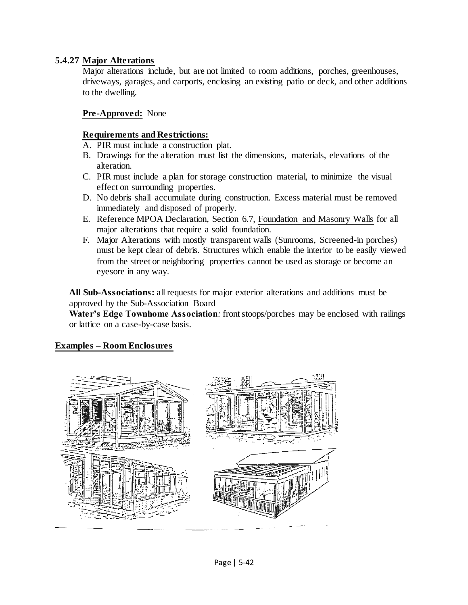# **5.4.27 Major Alterations**

Major alterations include, but are not limited to room additions, porches, greenhouses, driveways, garages, and carports, enclosing an existing patio or deck, and other additions to the dwelling.

# **Pre-Approved:** None

#### **Requirements and Restrictions:**

- A. PIR must include a construction plat.
- B. Drawings for the alteration must list the dimensions, materials, elevations of the alteration.
- C. PIR must include a plan for storage construction material, to minimize the visual effect on surrounding properties.
- D. No debris shall accumulate during construction. Excess material must be removed immediately and disposed of properly.
- E. Reference MPOA Declaration, Section 6.7, Foundation and Masonry Walls for all major alterations that require a solid foundation.
- F. Major Alterations with mostly transparent walls (Sunrooms, Screened-in porches) must be kept clear of debris. Structures which enable the interior to be easily viewed from the street or neighboring properties cannot be used as storage or become an eyesore in any way.

**All Sub-Associations:** all requests for major exterior alterations and additions must be approved by the Sub-Association Board

**Water's Edge Townhome Association***:* front stoops/porches may be enclosed with railings or lattice on a case-by-case basis.

## **Examples – Room Enclosures**

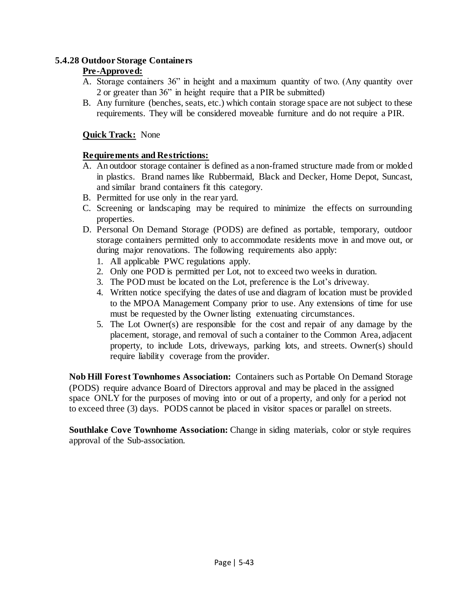# **5.4.28 Outdoor Storage Containers**

# **Pre-Approved:**

- A. Storage containers 36" in height and a maximum quantity of two. (Any quantity over 2 or greater than 36" in height require that a PIR be submitted)
- B. Any furniture (benches, seats, etc.) which contain storage space are not subject to these requirements. They will be considered moveable furniture and do not require a PIR.

# **Quick Track:** None

# **Requirements and Restrictions:**

- A. An outdoor storage container is defined as a non-framed structure made from or molded in plastics. Brand names like Rubbermaid, Black and Decker, Home Depot, Suncast, and similar brand containers fit this category.
- B. Permitted for use only in the rear yard.
- C. Screening or landscaping may be required to minimize the effects on surrounding properties.
- D. Personal On Demand Storage (PODS) are defined as portable, temporary, outdoor storage containers permitted only to accommodate residents move in and move out, or during major renovations. The following requirements also apply:
	- 1. All applicable PWC regulations apply.
	- 2. Only one POD is permitted per Lot, not to exceed two weeks in duration.
	- 3. The POD must be located on the Lot, preference is the Lot's driveway.
	- 4. Written notice specifying the dates of use and diagram of location must be provided to the MPOA Management Company prior to use. Any extensions of time for use must be requested by the Owner listing extenuating circumstances.
	- 5. The Lot Owner(s) are responsible for the cost and repair of any damage by the placement, storage, and removal of such a container to the Common Area, adjacent property, to include Lots, driveways, parking lots, and streets. Owner(s) should require liability coverage from the provider.

**Nob Hill Forest Townhomes Association:** Containers such as Portable On Demand Storage (PODS) require advance Board of Directors approval and may be placed in the assigned space ONLY for the purposes of moving into or out of a property, and only for a period not to exceed three (3) days. PODS cannot be placed in visitor spaces or parallel on streets.

**Southlake Cove Townhome Association:** Change in siding materials, color or style requires approval of the Sub-association.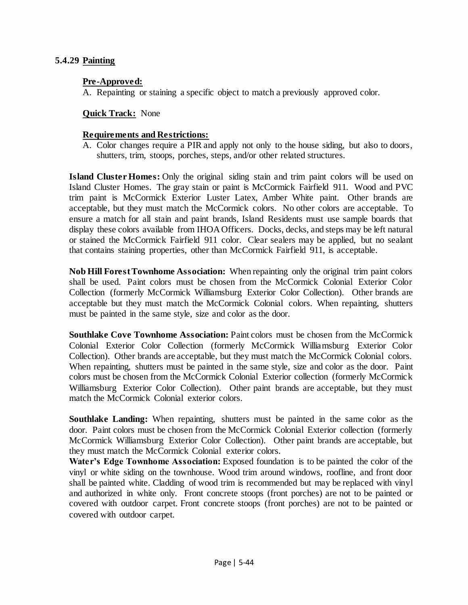#### **5.4.29 Painting**

#### **Pre-Approved:**

A. Repainting or staining a specific object to match a previously approved color.

#### **Quick Track:** None

#### **Requirements and Restrictions:**

A. Color changes require a PIR and apply not only to the house siding, but also to doors, shutters, trim, stoops, porches, steps, and/or other related structures.

**Island Cluster Homes:** Only the original siding stain and trim paint colors will be used on Island Cluster Homes. The gray stain or paint is McCormick Fairfield 911. Wood and PVC trim paint is McCormick Exterior Luster Latex, Amber White paint. Other brands are acceptable, but they must match the McCormick colors. No other colors are acceptable. To ensure a match for all stain and paint brands, Island Residents must use sample boards that display these colors available from IHOA Officers. Docks, decks, and steps may be left natural or stained the McCormick Fairfield 911 color. Clear sealers may be applied, but no sealant that contains staining properties, other than McCormick Fairfield 911, is acceptable.

**Nob Hill Forest Townhome Association:** When repainting only the original trim paint colors shall be used. Paint colors must be chosen from the McCormick Colonial Exterior Color Collection (formerly McCormick Williamsburg Exterior Color Collection). Other brands are acceptable but they must match the McCormick Colonial colors. When repainting, shutters must be painted in the same style, size and color as the door.

**Southlake Cove Townhome Association:** Paint colors must be chosen from the McCormick Colonial Exterior Color Collection (formerly McCormick Williamsburg Exterior Color Collection). Other brands are acceptable, but they must match the McCormick Colonial colors. When repainting, shutters must be painted in the same style, size and color as the door. Paint colors must be chosen from the McCormick Colonial Exterior collection (formerly McCormick Williamsburg Exterior Color Collection). Other paint brands are acceptable, but they must match the McCormick Colonial exterior colors.

**Southlake Landing:** When repainting, shutters must be painted in the same color as the door. Paint colors must be chosen from the McCormick Colonial Exterior collection (formerly McCormick Williamsburg Exterior Color Collection). Other paint brands are acceptable, but they must match the McCormick Colonial exterior colors.

Water's Edge Townhome Association: Exposed foundation is to be painted the color of the vinyl or white siding on the townhouse. Wood trim around windows, roofline, and front door shall be painted white. Cladding of wood trim is recommended but may be replaced with vinyl and authorized in white only. Front concrete stoops (front porches) are not to be painted or covered with outdoor carpet. Front concrete stoops (front porches) are not to be painted or covered with outdoor carpet.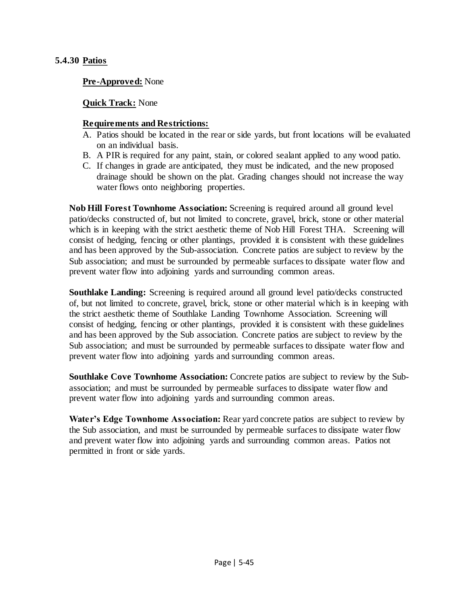#### **5.4.30 Patios**

**Pre-Approved:** None

**Quick Track:** None

#### **Requirements and Restrictions:**

- A. Patios should be located in the rear or side yards, but front locations will be evaluated on an individual basis.
- B. A PIR is required for any paint, stain, or colored sealant applied to any wood patio.
- C. If changes in grade are anticipated, they must be indicated, and the new proposed drainage should be shown on the plat. Grading changes should not increase the way water flows onto neighboring properties.

**Nob Hill Forest Townhome Association:** Screening is required around all ground level patio/decks constructed of, but not limited to concrete, gravel, brick, stone or other material which is in keeping with the strict aesthetic theme of Nob Hill Forest THA. Screening will consist of hedging, fencing or other plantings, provided it is consistent with these guidelines and has been approved by the Sub-association. Concrete patios are subject to review by the Sub association; and must be surrounded by permeable surfaces to dissipate water flow and prevent water flow into adjoining yards and surrounding common areas.

**Southlake Landing:** Screening is required around all ground level patio/decks constructed of, but not limited to concrete, gravel, brick, stone or other material which is in keeping with the strict aesthetic theme of Southlake Landing Townhome Association. Screening will consist of hedging, fencing or other plantings, provided it is consistent with these guidelines and has been approved by the Sub association. Concrete patios are subject to review by the Sub association; and must be surrounded by permeable surfaces to dissipate water flow and prevent water flow into adjoining yards and surrounding common areas.

**Southlake Cove Townhome Association:** Concrete patios are subject to review by the Subassociation; and must be surrounded by permeable surfaces to dissipate water flow and prevent water flow into adjoining yards and surrounding common areas.

**Water's Edge Townhome Association:** Rear yard concrete patios are subject to review by the Sub association, and must be surrounded by permeable surfaces to dissipate water flow and prevent water flow into adjoining yards and surrounding common areas. Patios not permitted in front or side yards.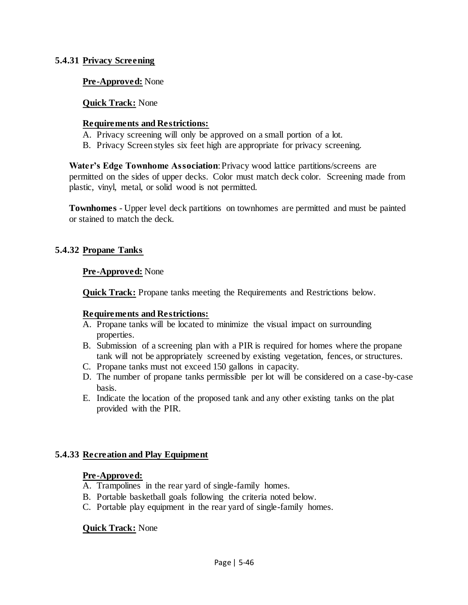#### **5.4.31 Privacy Screening**

#### **Pre-Approved:** None

#### **Quick Track:** None

#### **Requirements and Restrictions:**

- A. Privacy screening will only be approved on a small portion of a lot.
- B. Privacy Screen styles six feet high are appropriate for privacy screening.

Water's Edge Townhome Association: Privacy wood lattice partitions/screens are permitted on the sides of upper decks. Color must match deck color. Screening made from plastic, vinyl, metal, or solid wood is not permitted.

**Townhomes** - Upper level deck partitions on townhomes are permitted and must be painted or stained to match the deck.

#### **5.4.32 Propane Tanks**

#### **Pre-Approved:** None

**Quick Track:** Propane tanks meeting the Requirements and Restrictions below.

#### **Requirements and Restrictions:**

- A. Propane tanks will be located to minimize the visual impact on surrounding properties.
- B. Submission of a screening plan with a PIR is required for homes where the propane tank will not be appropriately screened by existing vegetation, fences, or structures.
- C. Propane tanks must not exceed 150 gallons in capacity.
- D. The number of propane tanks permissible per lot will be considered on a case-by-case basis.
- E. Indicate the location of the proposed tank and any other existing tanks on the plat provided with the PIR.

#### **5.4.33 Recreation and Play Equipment**

#### **Pre-Approved:**

- A. Trampolines in the rear yard of single-family homes.
- B. Portable basketball goals following the criteria noted below.
- C. Portable play equipment in the rear yard of single-family homes.

#### **Quick Track:** None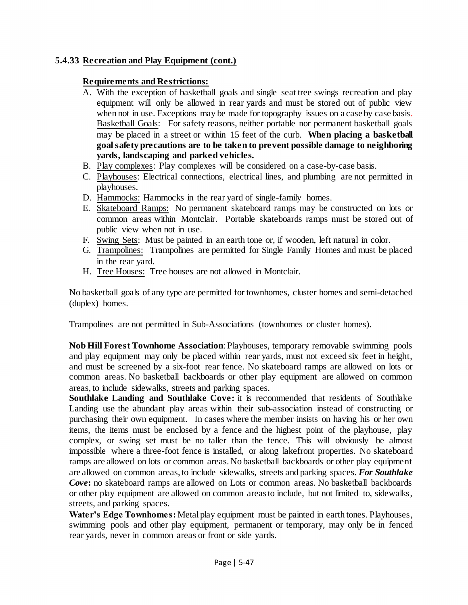# **5.4.33 Recreation and Play Equipment (cont.)**

## **Requirements and Restrictions:**

- A. With the exception of basketball goals and single seat tree swings recreation and play equipment will only be allowed in rear yards and must be stored out of public view when not in use. Exceptions may be made for topography issues on a case by case basis. Basketball Goals: For safety reasons, neither portable nor permanent basketball goals may be placed in a street or within 15 feet of the curb. **When placing a basketball goal safety precautions are to be taken to prevent possible damage to neighboring yards, landscaping and parked vehicles.**
- B. Play complexes: Play complexes will be considered on a case-by-case basis.
- C. Playhouses: Electrical connections, electrical lines, and plumbing are not permitted in playhouses.
- D. Hammocks: Hammocks in the rear yard of single-family homes.
- E. Skateboard Ramps: No permanent skateboard ramps may be constructed on lots or common areas within Montclair. Portable skateboards ramps must be stored out of public view when not in use.
- F. Swing Sets: Must be painted in an earth tone or, if wooden, left natural in color.
- G. Trampolines: Trampolines are permitted for Single Family Homes and must be placed in the rear yard.
- H. Tree Houses: Tree houses are not allowed in Montclair.

No basketball goals of any type are permitted for townhomes, cluster homes and semi-detached (duplex) homes.

Trampolines are not permitted in Sub-Associations (townhomes or cluster homes).

**Nob Hill Forest Townhome Association**: Playhouses, temporary removable swimming pools and play equipment may only be placed within rear yards, must not exceed six feet in height, and must be screened by a six-foot rear fence. No skateboard ramps are allowed on lots or common areas. No basketball backboards or other play equipment are allowed on common areas, to include sidewalks, streets and parking spaces.

**Southlake Landing and Southlake Cove:** it is recommended that residents of Southlake Landing use the abundant play areas within their sub-association instead of constructing or purchasing their own equipment. In cases where the member insists on having his or her own items, the items must be enclosed by a fence and the highest point of the playhouse, play complex, or swing set must be no taller than the fence. This will obviously be almost impossible where a three-foot fence is installed, or along lakefront properties. No skateboard ramps are allowed on lots or common areas. No basketball backboards or other play equipment are allowed on common areas, to include sidewalks, streets and parking spaces. *For Southlake Cove***:** no skateboard ramps are allowed on Lots or common areas. No basketball backboards or other play equipment are allowed on common areas to include, but not limited to, sidewalks, streets, and parking spaces.

**Water's Edge Townhomes:** Metal play equipment must be painted in earth tones. Playhouses, swimming pools and other play equipment, permanent or temporary, may only be in fenced rear yards, never in common areas or front or side yards.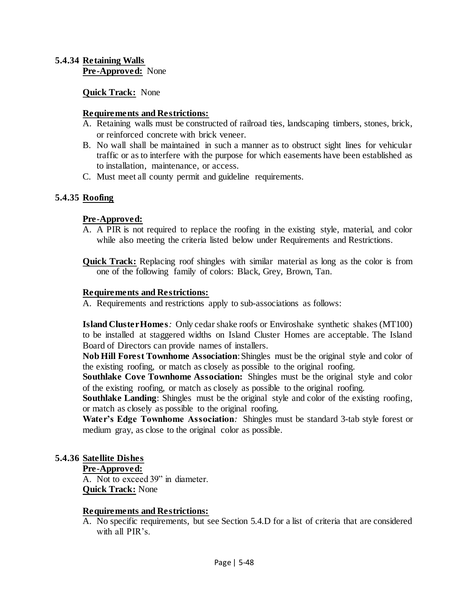#### **5.4.34 Retaining Walls Pre-Approved:** None

**Quick Track:** None

#### **Requirements and Restrictions:**

- A. Retaining walls must be constructed of railroad ties, landscaping timbers, stones, brick, or reinforced concrete with brick veneer.
- B. No wall shall be maintained in such a manner as to obstruct sight lines for vehicular traffic or as to interfere with the purpose for which easements have been established as to installation, maintenance, or access.
- C. Must meet all county permit and guideline requirements.

## **5.4.35 Roofing**

#### **Pre-Approved:**

- A. A PIR is not required to replace the roofing in the existing style, material, and color while also meeting the criteria listed below under Requirements and Restrictions.
- **Quick Track:** Replacing roof shingles with similar material as long as the color is from one of the following family of colors: Black, Grey, Brown, Tan.

#### **Requirements and Restrictions:**

A. Requirements and restrictions apply to sub-associations as follows:

**Island Cluster Homes***:* Only cedar shake roofs or Enviroshake synthetic shakes (MT100) to be installed at staggered widths on Island Cluster Homes are acceptable. The Island Board of Directors can provide names of installers.

**Nob Hill Forest Townhome Association**: Shingles must be the original style and color of the existing roofing, or match as closely as possible to the original roofing.

**Southlake Cove Townhome Association:** Shingles must be the original style and color of the existing roofing, or match as closely as possible to the original roofing.

**Southlake Landing**: Shingles must be the original style and color of the existing roofing, or match as closely as possible to the original roofing.

Water's Edge Townhome Association: Shingles must be standard 3-tab style forest or medium gray, as close to the original color as possible.

## **5.4.36 Satellite Dishes**

#### **Pre-Approved:**

A. Not to exceed 39" in diameter. **Quick Track:** None

#### **Requirements and Restrictions:**

A. No specific requirements, but see Section 5.4.D for a list of criteria that are considered with all PIR's.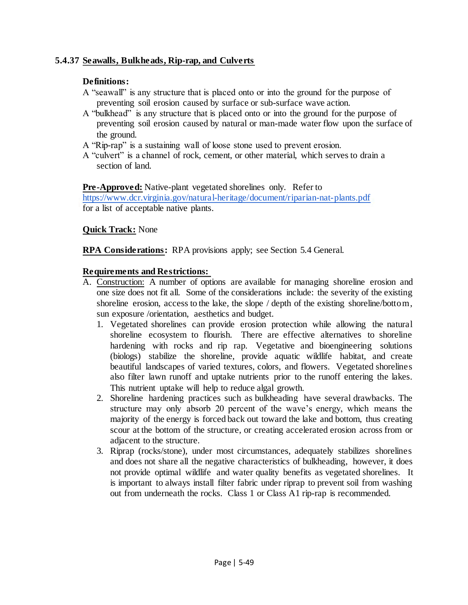# **5.4.37 Seawalls, Bulkheads, Rip-rap, and Culverts**

# **Definitions:**

- A "seawall" is any structure that is placed onto or into the ground for the purpose of preventing soil erosion caused by surface or sub-surface wave action.
- A "bulkhead" is any structure that is placed onto or into the ground for the purpose of preventing soil erosion caused by natural or man-made water flow upon the surface of the ground.
- A "Rip-rap" is a sustaining wall of loose stone used to prevent erosion.
- A "culvert" is a channel of rock, cement, or other material, which serves to drain a section of land.

## **Pre-Approved:** Native-plant vegetated shorelines only. Refer to

<https://www.dcr.virginia.gov/natural-heritage/document/riparian-nat-plants.pdf> for a list of acceptable native plants.

## **Quick Track:** None

**RPA Considerations:** RPA provisions apply; see Section 5.4 General.

## **Requirements and Restrictions:**

- A. Construction: A number of options are available for managing shoreline erosion and one size does not fit all. Some of the considerations include: the severity of the existing shoreline erosion, access to the lake, the slope / depth of the existing shoreline/bottom, sun exposure /orientation, aesthetics and budget.
	- 1. Vegetated shorelines can provide erosion protection while allowing the natural shoreline ecosystem to flourish. There are effective alternatives to shoreline hardening with rocks and rip rap. Vegetative and bioengineering solutions (biologs) stabilize the shoreline, provide aquatic wildlife habitat, and create beautiful landscapes of varied textures, colors, and flowers. Vegetated shorelines also filter lawn runoff and uptake nutrients prior to the runoff entering the lakes. This nutrient uptake will help to reduce algal growth.
	- 2. Shoreline hardening practices such as bulkheading have several drawbacks. The structure may only absorb 20 percent of the wave's energy, which means the majority of the energy is forced back out toward the lake and bottom, thus creating scour at the bottom of the structure, or creating accelerated erosion across from or adjacent to the structure.
	- 3. Riprap (rocks/stone), under most circumstances, adequately stabilizes shorelines and does not share all the negative characteristics of bulkheading, however, it does not provide optimal wildlife and water quality benefits as vegetated shorelines. It is important to always install filter fabric under riprap to prevent soil from washing out from underneath the rocks. Class 1 or Class A1 rip-rap is recommended.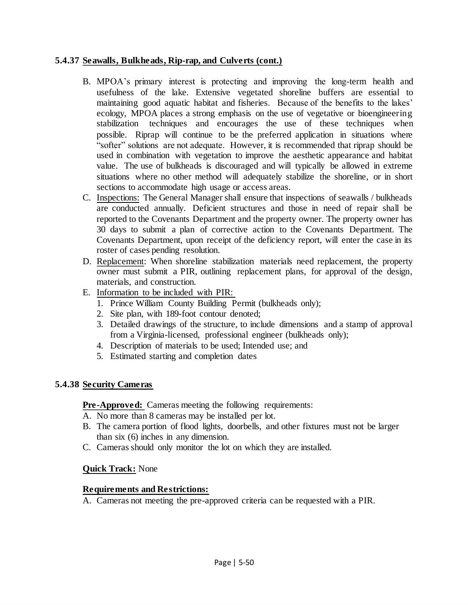# **5.4.37 Seawalls, Bulkheads, Rip-rap, and Culverts (cont.)**

- B. MPOA's primary interest is protecting and improving the long-term health and usefulness of the lake. Extensive vegetated shoreline buffers are essential to maintaining good aquatic habitat and fisheries. Because of the benefits to the lakes' ecology, MPOA places a strong emphasis on the use of vegetative or bioengineering stabilization techniques and encourages the use of these techniques when possible. Riprap will continue to be the preferred application in situations where "softer" solutions are not adequate. However, it is recommended that riprap should be used in combination with vegetation to improve the aesthetic appearance and habitat value. The use of bulkheads is discouraged and will typically be allowed in extreme situations where no other method will adequately stabilize the shoreline, or in short sections to accommodate high usage or access areas.
- C. Inspections: The General Manager shall ensure that inspections of seawalls / bulkheads are conducted annually. Deficient structures and those in need of repair shall be reported to the Covenants Department and the property owner. The property owner has 30 days to submit a plan of corrective action to the Covenants Department. The Covenants Department, upon receipt of the deficiency report, will enter the case in its roster of cases pending resolution.
- D. Replacement: When shoreline stabilization materials need replacement, the property owner must submit a PIR, outlining replacement plans, for approval of the design, materials, and construction.
- E. Information to be included with PIR:
	- 1. Prince William County Building Permit (bulkheads only);
	- 2. Site plan, with 189-foot contour denoted;
	- 3. Detailed drawings of the structure, to include dimensions and a stamp of approval from a Virginia-licensed, professional engineer (bulkheads only);
	- 4. Description of materials to be used; Intended use; and
	- 5. Estimated starting and completion dates

# **5.4.38 Security Cameras**

# **Pre-Approved:** Cameras meeting the following requirements:

- A. No more than 8 cameras may be installed per lot.
- B. The camera portion of flood lights, doorbells, and other fixtures must not be larger than six (6) inches in any dimension.
- C. Cameras should only monitor the lot on which they are installed.

# **Quick Track:** None

## **Requirements and Restrictions:**

A. Cameras not meeting the pre-approved criteria can be requested with a PIR.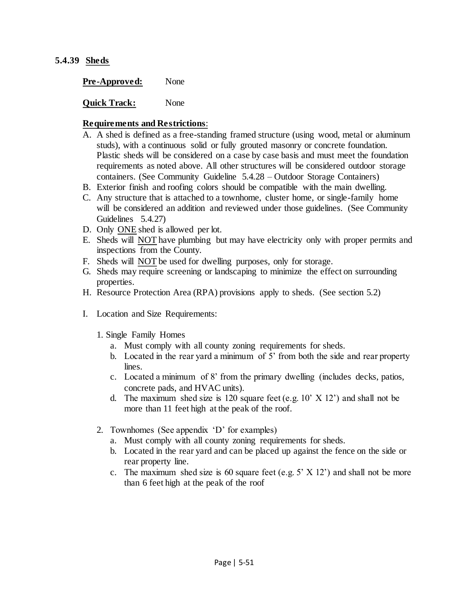#### **5.4.39 Sheds**

**Quick Track:** None

#### **Requirements and Restrictions**:

- A. A shed is defined as a free-standing framed structure (using wood, metal or aluminum studs), with a continuous solid or fully grouted masonry or concrete foundation. Plastic sheds will be considered on a case by case basis and must meet the foundation requirements as noted above. All other structures will be considered outdoor storage containers. (See Community Guideline 5.4.28 – Outdoor Storage Containers)
- B. Exterior finish and roofing colors should be compatible with the main dwelling.
- C. Any structure that is attached to a townhome, cluster home, or single-family home will be considered an addition and reviewed under those guidelines. (See Community Guidelines 5.4.27)
- D. Only ONE shed is allowed per lot.
- E. Sheds will NOT have plumbing but may have electricity only with proper permits and inspections from the County.
- F. Sheds will NOT be used for dwelling purposes, only for storage.
- G. Sheds may require screening or landscaping to minimize the effect on surrounding properties.
- H. Resource Protection Area (RPA) provisions apply to sheds. (See section 5.2)
- I. Location and Size Requirements:
	- 1. Single Family Homes
		- a. Must comply with all county zoning requirements for sheds.
		- b. Located in the rear yard a minimum of 5' from both the side and rear property lines.
		- c. Located a minimum of 8' from the primary dwelling (includes decks, patios, concrete pads, and HVAC units).
		- d. The maximum shed size is 120 square feet (e.g.  $10'$  X 12') and shall not be more than 11 feet high at the peak of the roof.
	- 2. Townhomes (See appendix 'D' for examples)
		- a. Must comply with all county zoning requirements for sheds.
		- b. Located in the rear yard and can be placed up against the fence on the side or rear property line.
		- c. The maximum shed size is 60 square feet (e.g.  $5'$  X 12') and shall not be more than 6 feet high at the peak of the roof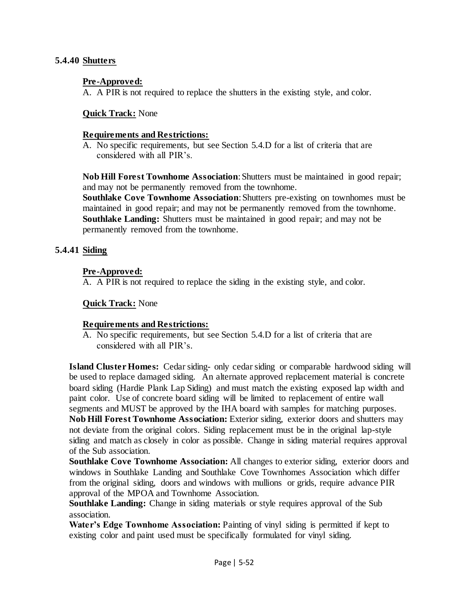## **5.4.40 Shutters**

# **Pre-Approved:**

A. A PIR is not required to replace the shutters in the existing style, and color.

# **Quick Track:** None

## **Requirements and Restrictions:**

A. No specific requirements, but see Section 5.4.D for a list of criteria that are considered with all PIR's.

**Nob Hill Forest Townhome Association**: Shutters must be maintained in good repair; and may not be permanently removed from the townhome.

**Southlake Cove Townhome Association**: Shutters pre-existing on townhomes must be maintained in good repair; and may not be permanently removed from the townhome. **Southlake Landing:** Shutters must be maintained in good repair; and may not be permanently removed from the townhome.

# **5.4.41 Siding**

# **Pre-Approved:**

A. A PIR is not required to replace the siding in the existing style, and color.

## **Quick Track:** None

## **Requirements and Restrictions:**

A. No specific requirements, but see Section 5.4.D for a list of criteria that are considered with all PIR's.

**Island Cluster Homes:** Cedar siding- only cedar siding or comparable hardwood siding will be used to replace damaged siding. An alternate approved replacement material is concrete board siding (Hardie Plank Lap Siding) and must match the existing exposed lap width and paint color. Use of concrete board siding will be limited to replacement of entire wall segments and MUST be approved by the IHA board with samples for matching purposes. **Nob Hill Forest Townhome Association:** Exterior siding, exterior doors and shutters may not deviate from the original colors. Siding replacement must be in the original lap-style siding and match as closely in color as possible. Change in siding material requires approval of the Sub association.

**Southlake Cove Townhome Association:** All changes to exterior siding, exterior doors and windows in Southlake Landing and Southlake Cove Townhomes Association which differ from the original siding, doors and windows with mullions or grids, require advance PIR approval of the MPOA and Townhome Association.

**Southlake Landing:** Change in siding materials or style requires approval of the Sub association.

**Water's Edge Townhome Association:** Painting of vinyl siding is permitted if kept to existing color and paint used must be specifically formulated for vinyl siding.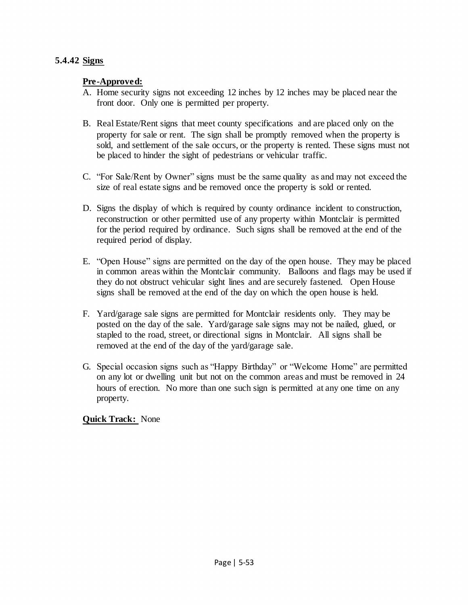# **5.4.42 Signs**

## **Pre-Approved:**

- A. Home security signs not exceeding 12 inches by 12 inches may be placed near the front door. Only one is permitted per property.
- B. Real Estate/Rent signs that meet county specifications and are placed only on the property for sale or rent. The sign shall be promptly removed when the property is sold, and settlement of the sale occurs, or the property is rented. These signs must not be placed to hinder the sight of pedestrians or vehicular traffic.
- C. "For Sale/Rent by Owner" signs must be the same quality as and may not exceed the size of real estate signs and be removed once the property is sold or rented.
- D. Signs the display of which is required by county ordinance incident to construction, reconstruction or other permitted use of any property within Montclair is permitted for the period required by ordinance. Such signs shall be removed at the end of the required period of display.
- E. "Open House" signs are permitted on the day of the open house. They may be placed in common areas within the Montclair community. Balloons and flags may be used if they do not obstruct vehicular sight lines and are securely fastened. Open House signs shall be removed at the end of the day on which the open house is held.
- F. Yard/garage sale signs are permitted for Montclair residents only. They may be posted on the day of the sale. Yard/garage sale signs may not be nailed, glued, or stapled to the road, street, or directional signs in Montclair. All signs shall be removed at the end of the day of the yard/garage sale.
- G. Special occasion signs such as "Happy Birthday" or "Welcome Home" are permitted on any lot or dwelling unit but not on the common areas and must be removed in 24 hours of erection. No more than one such sign is permitted at any one time on any property.

**Quick Track:** None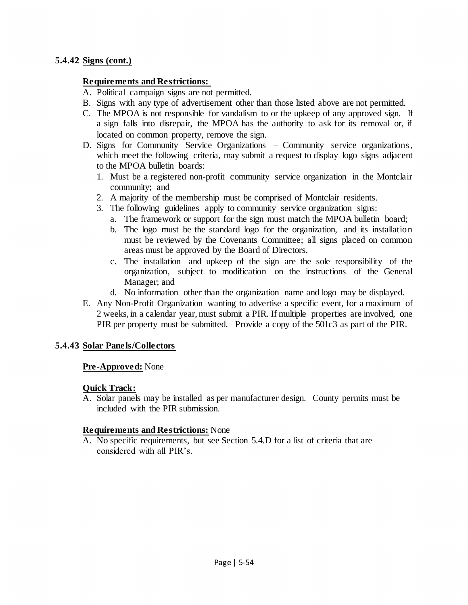#### **5.4.42 Signs (cont.)**

#### **Requirements and Restrictions:**

- A. Political campaign signs are not permitted.
- B. Signs with any type of advertisement other than those listed above are not permitted.
- C. The MPOA is not responsible for vandalism to or the upkeep of any approved sign. If a sign falls into disrepair, the MPOA has the authority to ask for its removal or, if located on common property, remove the sign.
- D. Signs for Community Service Organizations Community service organizations , which meet the following criteria, may submit a request to display logo signs adjacent to the MPOA bulletin boards:
	- 1. Must be a registered non-profit community service organization in the Montclair community; and
	- 2. A majority of the membership must be comprised of Montclair residents.
	- 3. The following guidelines apply to community service organization signs:
		- a. The framework or support for the sign must match the MPOA bulletin board;
		- b. The logo must be the standard logo for the organization, and its installation must be reviewed by the Covenants Committee; all signs placed on common areas must be approved by the Board of Directors.
		- c. The installation and upkeep of the sign are the sole responsibility of the organization, subject to modification on the instructions of the General Manager; and
		- d. No information other than the organization name and logo may be displayed.
- E. Any Non-Profit Organization wanting to advertise a specific event, for a maximum of 2 weeks, in a calendar year, must submit a PIR. If multiple properties are involved, one PIR per property must be submitted. Provide a copy of the 501c3 as part of the PIR.

#### **5.4.43 Solar Panels/Collectors**

#### **Pre-Approved:** None

#### **Quick Track:**

A. Solar panels may be installed as per manufacturer design. County permits must be included with the PIR submission.

#### **Requirements and Restrictions:** None

A. No specific requirements, but see Section 5.4.D for a list of criteria that are considered with all PIR's.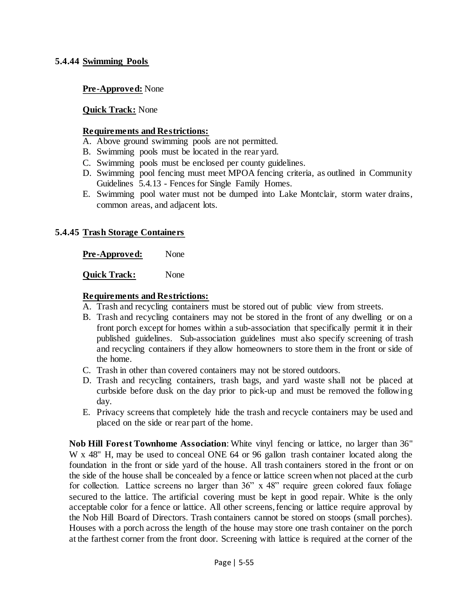## **5.4.44 Swimming Pools**

#### **Pre-Approved:** None

#### **Quick Track:** None

#### **Requirements and Restrictions:**

- A. Above ground swimming pools are not permitted.
- B. Swimming pools must be located in the rear yard.
- C. Swimming pools must be enclosed per county guidelines.
- D. Swimming pool fencing must meet MPOA fencing criteria, as outlined in Community Guidelines 5.4.13 - Fences for Single Family Homes.
- E. Swimming pool water must not be dumped into Lake Montclair, storm water drains, common areas, and adjacent lots.

#### **5.4.45 Trash Storage Containers**

**Pre-Approved:** None

**Quick Track:** None

#### **Requirements and Restrictions:**

- A. Trash and recycling containers must be stored out of public view from streets.
- B. Trash and recycling containers may not be stored in the front of any dwelling or on a front porch except for homes within a sub-association that specifically permit it in their published guidelines. Sub-association guidelines must also specify screening of trash and recycling containers if they allow homeowners to store them in the front or side of the home.
- C. Trash in other than covered containers may not be stored outdoors.
- D. Trash and recycling containers, trash bags, and yard waste shall not be placed at curbside before dusk on the day prior to pick-up and must be removed the following day.
- E. Privacy screens that completely hide the trash and recycle containers may be used and placed on the side or rear part of the home.

**Nob Hill Forest Townhome Association**: White vinyl fencing or lattice, no larger than 36" W x 48" H, may be used to conceal ONE 64 or 96 gallon trash container located along the foundation in the front or side yard of the house. All trash containers stored in the front or on the side of the house shall be concealed by a fence or lattice screen when not placed at the curb for collection. Lattice screens no larger than 36" x 48" require green colored faux foliage secured to the lattice. The artificial covering must be kept in good repair. White is the only acceptable color for a fence or lattice. All other screens, fencing or lattice require approval by the Nob Hill Board of Directors. Trash containers cannot be stored on stoops (small porches). Houses with a porch across the length of the house may store one trash container on the porch at the farthest corner from the front door. Screening with lattice is required at the corner of the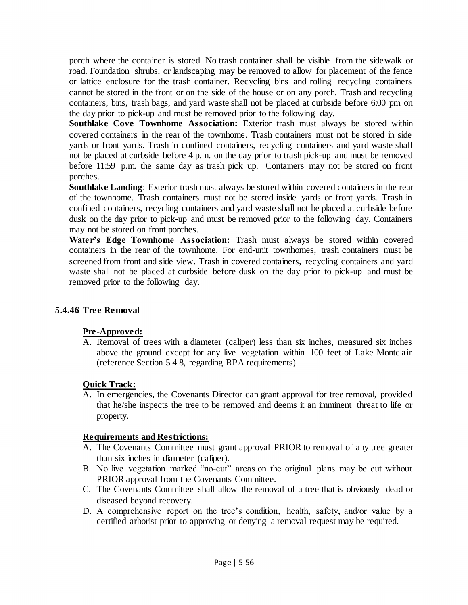porch where the container is stored. No trash container shall be visible from the sidewalk or road. Foundation shrubs, or landscaping may be removed to allow for placement of the fence or lattice enclosure for the trash container. Recycling bins and rolling recycling containers cannot be stored in the front or on the side of the house or on any porch. Trash and recycling containers, bins, trash bags, and yard waste shall not be placed at curbside before 6:00 pm on the day prior to pick-up and must be removed prior to the following day.

**Southlake Cove Townhome Association:** Exterior trash must always be stored within covered containers in the rear of the townhome. Trash containers must not be stored in side yards or front yards. Trash in confined containers, recycling containers and yard waste shall not be placed at curbside before 4 p.m. on the day prior to trash pick-up and must be removed before 11:59 p.m. the same day as trash pick up. Containers may not be stored on front porches.

**Southlake Landing**: Exterior trash must always be stored within covered containers in the rear of the townhome. Trash containers must not be stored inside yards or front yards. Trash in confined containers, recycling containers and yard waste shall not be placed at curbside before dusk on the day prior to pick-up and must be removed prior to the following day. Containers may not be stored on front porches.

**Water's Edge Townhome Association:** Trash must always be stored within covered containers in the rear of the townhome. For end-unit townhomes, trash containers must be screened from front and side view. Trash in covered containers, recycling containers and yard waste shall not be placed at curbside before dusk on the day prior to pick-up and must be removed prior to the following day.

# **5.4.46 Tree Removal**

## **Pre-Approved:**

A. Removal of trees with a diameter (caliper) less than six inches, measured six inches above the ground except for any live vegetation within 100 feet of Lake Montclair (reference Section 5.4.8, regarding RPA requirements).

# **Quick Track:**

A. In emergencies, the Covenants Director can grant approval for tree removal, provided that he/she inspects the tree to be removed and deems it an imminent threat to life or property.

## **Requirements and Restrictions:**

- A. The Covenants Committee must grant approval PRIOR to removal of any tree greater than six inches in diameter (caliper).
- B. No live vegetation marked "no-cut" areas on the original plans may be cut without PRIOR approval from the Covenants Committee.
- C. The Covenants Committee shall allow the removal of a tree that is obviously dead or diseased beyond recovery.
- D. A comprehensive report on the tree's condition, health, safety, and/or value by a certified arborist prior to approving or denying a removal request may be required.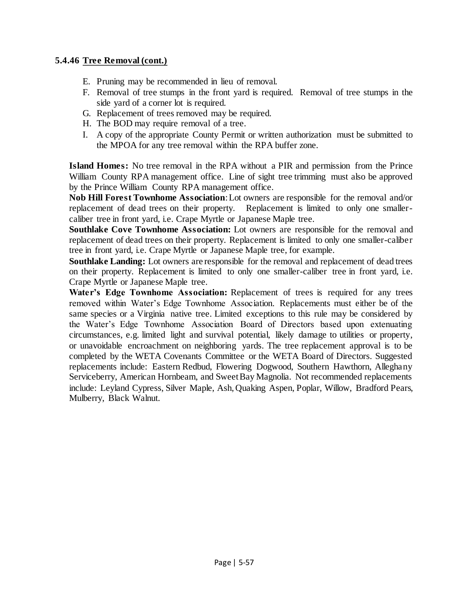# **5.4.46 Tree Removal (cont.)**

- E. Pruning may be recommended in lieu of removal.
- F. Removal of tree stumps in the front yard is required. Removal of tree stumps in the side yard of a corner lot is required.
- G. Replacement of trees removed may be required.
- H. The BOD may require removal of a tree.
- I. A copy of the appropriate County Permit or written authorization must be submitted to the MPOA for any tree removal within the RPA buffer zone.

**Island Homes:** No tree removal in the RPA without a PIR and permission from the Prince William County RPA management office. Line of sight tree trimming must also be approved by the Prince William County RPA management office.

**Nob Hill Forest Townhome Association**: Lot owners are responsible for the removal and/or replacement of dead trees on their property. Replacement is limited to only one smallercaliber tree in front yard, i.e. Crape Myrtle or Japanese Maple tree.

**Southlake Cove Townhome Association:** Lot owners are responsible for the removal and replacement of dead trees on their property. Replacement is limited to only one smaller-caliber tree in front yard, i.e. Crape Myrtle or Japanese Maple tree, for example.

**Southlake Landing:** Lot owners are responsible for the removal and replacement of dead trees on their property. Replacement is limited to only one smaller-caliber tree in front yard, i.e. Crape Myrtle or Japanese Maple tree.

**Water's Edge Townhome Association:** Replacement of trees is required for any trees removed within Water's Edge Townhome Association. Replacements must either be of the same species or a Virginia native tree. Limited exceptions to this rule may be considered by the Water's Edge Townhome Association Board of Directors based upon extenuating circumstances, e.g. limited light and survival potential, likely damage to utilities or property, or unavoidable encroachment on neighboring yards. The tree replacement approval is to be completed by the WETA Covenants Committee or the WETA Board of Directors. Suggested replacements include: Eastern Redbud, Flowering Dogwood, Southern Hawthorn, Alleghany Serviceberry, American Hornbeam, and Sweet Bay Magnolia. Not recommended replacements include: Leyland Cypress, Silver Maple, Ash, Quaking Aspen, Poplar, Willow, Bradford Pears, Mulberry, Black Walnut.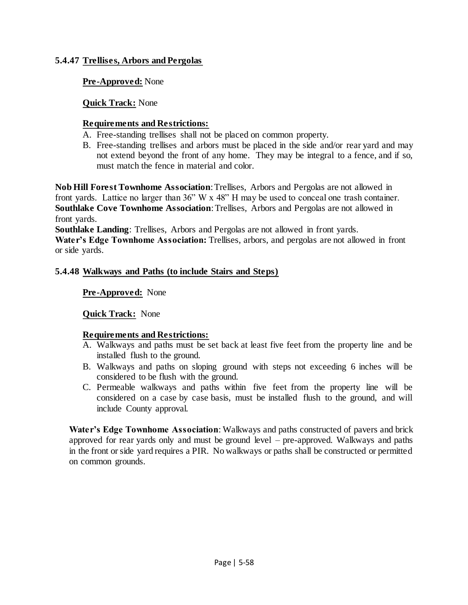# **5.4.47 Trellises, Arbors and Pergolas**

# **Pre-Approved:** None

# **Quick Track:** None

# **Requirements and Restrictions:**

- A. Free-standing trellises shall not be placed on common property.
- B. Free-standing trellises and arbors must be placed in the side and/or rear yard and may not extend beyond the front of any home. They may be integral to a fence, and if so, must match the fence in material and color.

**Nob Hill Forest Townhome Association**: Trellises, Arbors and Pergolas are not allowed in front yards. Lattice no larger than 36" W x 48" H may be used to conceal one trash container. **Southlake Cove Townhome Association**: Trellises, Arbors and Pergolas are not allowed in front yards.

**Southlake Landing**: Trellises, Arbors and Pergolas are not allowed in front yards. **Water's Edge Townhome Association:** Trellises, arbors, and pergolas are not allowed in front or side yards.

# **5.4.48 Walkways and Paths (to include Stairs and Steps)**

# **Pre-Approved:** None

## **Quick Track:** None

# **Requirements and Restrictions:**

- A. Walkways and paths must be set back at least five feet from the property line and be installed flush to the ground.
- B. Walkways and paths on sloping ground with steps not exceeding 6 inches will be considered to be flush with the ground.
- C. Permeable walkways and paths within five feet from the property line will be considered on a case by case basis, must be installed flush to the ground, and will include County approval.

**Water's Edge Townhome Association**: Walkways and paths constructed of pavers and brick approved for rear yards only and must be ground level – pre-approved. Walkways and paths in the front or side yard requires a PIR. No walkways or paths shall be constructed or permitted on common grounds.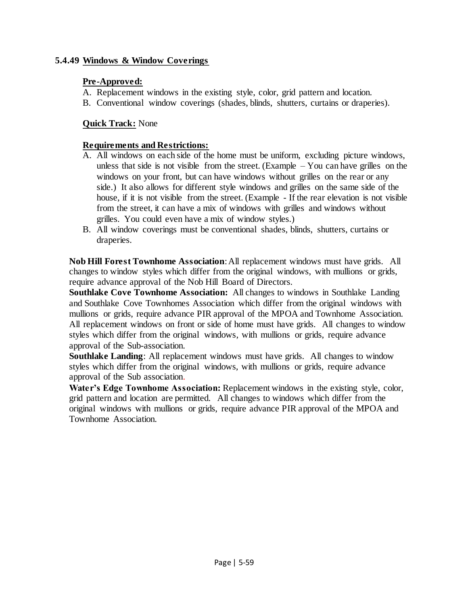# **5.4.49 Windows & Window Coverings**

# **Pre-Approved:**

- A. Replacement windows in the existing style, color, grid pattern and location.
- B. Conventional window coverings (shades, blinds, shutters, curtains or draperies).

# **Quick Track:** None

# **Requirements and Restrictions:**

- A. All windows on each side of the home must be uniform, excluding picture windows, unless that side is not visible from the street. (Example  $-$  You can have grilles on the windows on your front, but can have windows without grilles on the rear or any side.) It also allows for different style windows and grilles on the same side of the house, if it is not visible from the street. (Example - If the rear elevation is not visible from the street, it can have a mix of windows with grilles and windows without grilles. You could even have a mix of window styles.)
- B. All window coverings must be conventional shades, blinds, shutters, curtains or draperies.

**Nob Hill Forest Townhome Association**: All replacement windows must have grids. All changes to window styles which differ from the original windows, with mullions or grids, require advance approval of the Nob Hill Board of Directors.

**Southlake Cove Townhome Association:** All changes to windows in Southlake Landing and Southlake Cove Townhomes Association which differ from the original windows with mullions or grids, require advance PIR approval of the MPOA and Townhome Association. All replacement windows on front or side of home must have grids. All changes to window styles which differ from the original windows, with mullions or grids, require advance approval of the Sub-association.

**Southlake Landing**: All replacement windows must have grids. All changes to window styles which differ from the original windows, with mullions or grids, require advance approval of the Sub association.

**Water's Edge Townhome Association:** Replacement windows in the existing style, color, grid pattern and location are permitted. All changes to windows which differ from the original windows with mullions or grids, require advance PIR approval of the MPOA and Townhome Association.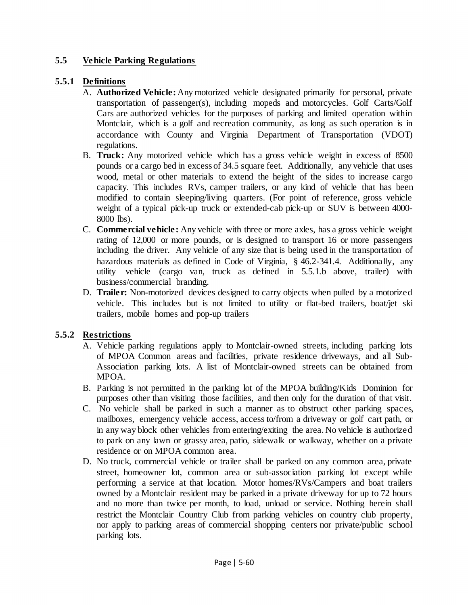# **5.5 Vehicle Parking Regulations**

# **5.5.1 Definitions**

- A. **Authorized Vehicle:** Any motorized vehicle designated primarily for personal, private transportation of passenger(s), including mopeds and motorcycles. Golf Carts/Golf Cars are authorized vehicles for the purposes of parking and limited operation within Montclair, which is a golf and recreation community, as long as such operation is in accordance with County and Virginia Department of Transportation (VDOT) regulations.
- B. **Truck:** Any motorized vehicle which has a gross vehicle weight in excess of 8500 pounds or a cargo bed in excess of 34.5 square feet. Additionally, any vehicle that uses wood, metal or other materials to extend the height of the sides to increase cargo capacity. This includes RVs, camper trailers, or any kind of vehicle that has been modified to contain sleeping/living quarters. (For point of reference, gross vehicle weight of a typical pick-up truck or extended-cab pick-up or SUV is between 4000- 8000 lbs).
- C. **Commercial vehicle:** Any vehicle with three or more axles, has a gross vehicle weight rating of 12,000 or more pounds, or is designed to transport 16 or more passengers including the driver. Any vehicle of any size that is being used in the transportation of hazardous materials as defined in Code of Virginia, § 46.2-341.4. Additionally, any utility vehicle (cargo van, truck as defined in 5.5.1.b above, trailer) with business/commercial branding.
- D. **Trailer:** Non-motorized devices designed to carry objects when pulled by a motorized vehicle. This includes but is not limited to utility or flat-bed trailers, boat/jet ski trailers, mobile homes and pop-up trailers

# **5.5.2 Restrictions**

- A. Vehicle parking regulations apply to Montclair-owned streets, including parking lots of MPOA Common areas and facilities, private residence driveways, and all Sub-Association parking lots. A list of Montclair-owned streets can be obtained from MPOA.
- B. Parking is not permitted in the parking lot of the MPOA building/Kids Dominion for purposes other than visiting those facilities, and then only for the duration of that visit.
- C. No vehicle shall be parked in such a manner as to obstruct other parking spaces, mailboxes, emergency vehicle access, access to/from a driveway or golf cart path, or in any way block other vehicles from entering/exiting the area. No vehicle is authorized to park on any lawn or grassy area, patio, sidewalk or walkway, whether on a private residence or on MPOA common area.
- D. No truck, commercial vehicle or trailer shall be parked on any common area, private street, homeowner lot, common area or sub-association parking lot except while performing a service at that location. Motor homes/RVs/Campers and boat trailers owned by a Montclair resident may be parked in a private driveway for up to 72 hours and no more than twice per month, to load, unload or service. Nothing herein shall restrict the Montclair Country Club from parking vehicles on country club property, nor apply to parking areas of commercial shopping centers nor private/public school parking lots.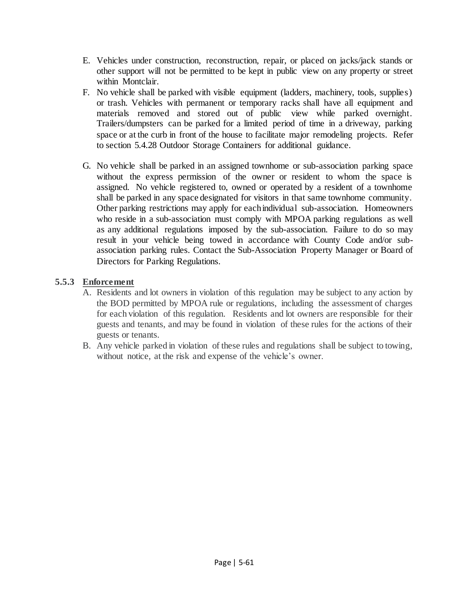- E. Vehicles under construction, reconstruction, repair, or placed on jacks/jack stands or other support will not be permitted to be kept in public view on any property or street within Montclair.
- F. No vehicle shall be parked with visible equipment (ladders, machinery, tools, supplies) or trash. Vehicles with permanent or temporary racks shall have all equipment and materials removed and stored out of public view while parked overnight. Trailers/dumpsters can be parked for a limited period of time in a driveway, parking space or at the curb in front of the house to facilitate major remodeling projects. Refer to section 5.4.28 Outdoor Storage Containers for additional guidance.
- G. No vehicle shall be parked in an assigned townhome or sub-association parking space without the express permission of the owner or resident to whom the space is assigned. No vehicle registered to, owned or operated by a resident of a townhome shall be parked in any space designated for visitors in that same townhome community. Other parking restrictions may apply for each individual sub-association. Homeowners who reside in a sub-association must comply with MPOA parking regulations as well as any additional regulations imposed by the sub-association. Failure to do so may result in your vehicle being towed in accordance with County Code and/or subassociation parking rules. Contact the Sub-Association Property Manager or Board of Directors for Parking Regulations.

# **5.5.3 Enforcement**

- A. Residents and lot owners in violation of this regulation may be subject to any action by the BOD permitted by MPOA rule or regulations, including the assessment of charges for each violation of this regulation. Residents and lot owners are responsible for their guests and tenants, and may be found in violation of these rules for the actions of their guests or tenants.
- B. Any vehicle parked in violation of these rules and regulations shall be subject to towing, without notice, at the risk and expense of the vehicle's owner.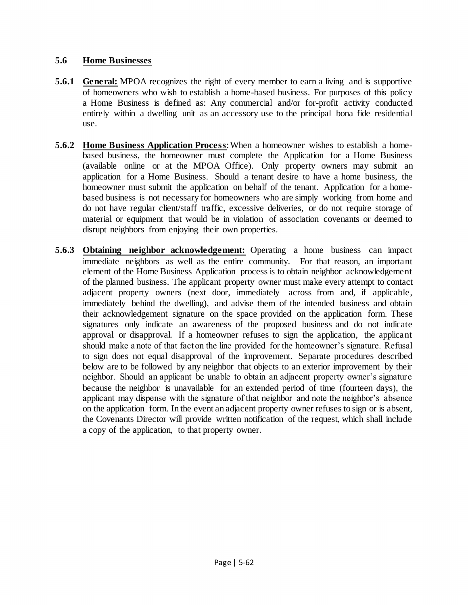# **5.6 Home Businesses**

- **5.6.1 General:** MPOA recognizes the right of every member to earn a living and is supportive of homeowners who wish to establish a home-based business. For purposes of this policy a Home Business is defined as: Any commercial and/or for-profit activity conducted entirely within a dwelling unit as an accessory use to the principal bona fide residential use.
- **5.6.2 Home Business Application Process**: When a homeowner wishes to establish a homebased business, the homeowner must complete the Application for a Home Business (available online or at the MPOA Office). Only property owners may submit an application for a Home Business. Should a tenant desire to have a home business, the homeowner must submit the application on behalf of the tenant. Application for a homebased business is not necessary for homeowners who are simply working from home and do not have regular client/staff traffic, excessive deliveries, or do not require storage of material or equipment that would be in violation of association covenants or deemed to disrupt neighbors from enjoying their own properties.
- **5.6.3 Obtaining neighbor acknowledgement:** Operating a home business can impact immediate neighbors as well as the entire community. For that reason, an important element of the Home Business Application process is to obtain neighbor acknowledgement of the planned business. The applicant property owner must make every attempt to contact adjacent property owners (next door, immediately across from and, if applicable, immediately behind the dwelling), and advise them of the intended business and obtain their acknowledgement signature on the space provided on the application form. These signatures only indicate an awareness of the proposed business and do not indicate approval or disapproval. If a homeowner refuses to sign the application, the applicant should make a note of that fact on the line provided for the homeowner's signature. Refusal to sign does not equal disapproval of the improvement. Separate procedures described below are to be followed by any neighbor that objects to an exterior improvement by their neighbor. Should an applicant be unable to obtain an adjacent property owner's signature because the neighbor is unavailable for an extended period of time (fourteen days), the applicant may dispense with the signature of that neighbor and note the neighbor's absence on the application form. In the event an adjacent property owner refuses to sign or is absent, the Covenants Director will provide written notification of the request, which shall include a copy of the application, to that property owner.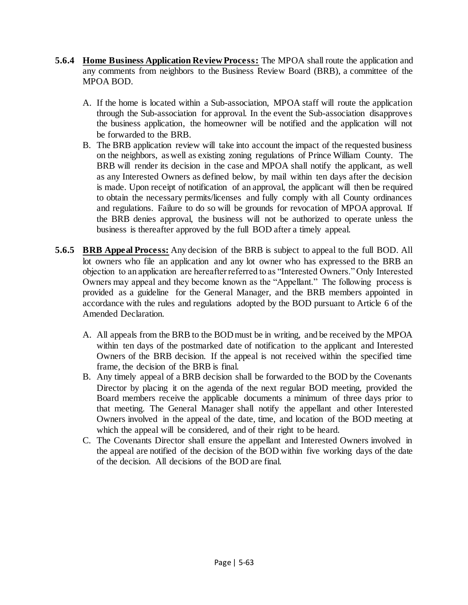- **5.6.4 Home Business Application Review Process:** The MPOA shall route the application and any comments from neighbors to the Business Review Board (BRB), a committee of the MPOA BOD.
	- A. If the home is located within a Sub-association, MPOA staff will route the application through the Sub-association for approval. In the event the Sub-association disapproves the business application, the homeowner will be notified and the application will not be forwarded to the BRB.
	- B. The BRB application review will take into account the impact of the requested business on the neighbors, as well as existing zoning regulations of Prince William County. The BRB will render its decision in the case and MPOA shall notify the applicant, as well as any Interested Owners as defined below, by mail within ten days after the decision is made. Upon receipt of notification of an approval, the applicant will then be required to obtain the necessary permits/licenses and fully comply with all County ordinances and regulations. Failure to do so will be grounds for revocation of MPOA approval. If the BRB denies approval, the business will not be authorized to operate unless the business is thereafter approved by the full BOD after a timely appeal.
- **5.6.5 BRB Appeal Process:** Any decision of the BRB is subject to appeal to the full BOD. All lot owners who file an application and any lot owner who has expressed to the BRB an objection to an application are hereafter referred to as "Interested Owners." Only Interested Owners may appeal and they become known as the "Appellant." The following process is provided as a guideline for the General Manager, and the BRB members appointed in accordance with the rules and regulations adopted by the BOD pursuant to Article 6 of the Amended Declaration.
	- A. All appeals from the BRB to the BOD must be in writing, and be received by the MPOA within ten days of the postmarked date of notification to the applicant and Interested Owners of the BRB decision. If the appeal is not received within the specified time frame, the decision of the BRB is final.
	- B. Any timely appeal of a BRB decision shall be forwarded to the BOD by the Covenants Director by placing it on the agenda of the next regular BOD meeting, provided the Board members receive the applicable documents a minimum of three days prior to that meeting. The General Manager shall notify the appellant and other Interested Owners involved in the appeal of the date, time, and location of the BOD meeting at which the appeal will be considered, and of their right to be heard.
	- C. The Covenants Director shall ensure the appellant and Interested Owners involved in the appeal are notified of the decision of the BOD within five working days of the date of the decision. All decisions of the BOD are final.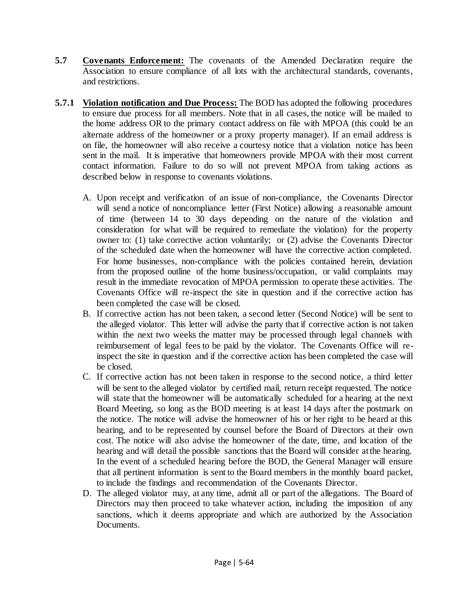- **5.7 Covenants Enforcement:** The covenants of the Amended Declaration require the Association to ensure compliance of all lots with the architectural standards, covenants, and restrictions.
- **5.7.1 Violation notification and Due Process:** The BOD has adopted the following procedures to ensure due process for all members. Note that in all cases, the notice will be mailed to the home address OR to the primary contact address on file with MPOA (this could be an alternate address of the homeowner or a proxy property manager). If an email address is on file, the homeowner will also receive a courtesy notice that a violation notice has been sent in the mail. It is imperative that homeowners provide MPOA with their most current contact information. Failure to do so will not prevent MPOA from taking actions as described below in response to covenants violations.
	- A. Upon receipt and verification of an issue of non-compliance, the Covenants Director will send a notice of noncompliance letter (First Notice) allowing a reasonable amount of time (between 14 to 30 days depending on the nature of the violation and consideration for what will be required to remediate the violation) for the property owner to: (1) take corrective action voluntarily; or (2) advise the Covenants Director of the scheduled date when the homeowner will have the corrective action completed. For home businesses, non-compliance with the policies contained herein, deviation from the proposed outline of the home business/occupation, or valid complaints may result in the immediate revocation of MPOA permission to operate these activities. The Covenants Office will re-inspect the site in question and if the corrective action has been completed the case will be closed.
	- B. If corrective action has not been taken, a second letter (Second Notice) will be sent to the alleged violator. This letter will advise the party that if corrective action is not taken within the next two weeks the matter may be processed through legal channels with reimbursement of legal fees to be paid by the violator. The Covenants Office will reinspect the site in question and if the corrective action has been completed the case will be closed.
	- C. If corrective action has not been taken in response to the second notice, a third letter will be sent to the alleged violator by certified mail, return receipt requested. The notice will state that the homeowner will be automatically scheduled for a hearing at the next Board Meeting, so long as the BOD meeting is at least 14 days after the postmark on the notice. The notice will advise the homeowner of his or her right to be heard at this hearing, and to be represented by counsel before the Board of Directors at their own cost. The notice will also advise the homeowner of the date, time, and location of the hearing and will detail the possible sanctions that the Board will consider at the hearing. In the event of a scheduled hearing before the BOD, the General Manager will ensure that all pertinent information is sent to the Board members in the monthly board packet, to include the findings and recommendation of the Covenants Director.
	- D. The alleged violator may, at any time, admit all or part of the allegations. The Board of Directors may then proceed to take whatever action, including the imposition of any sanctions, which it deems appropriate and which are authorized by the Association Documents.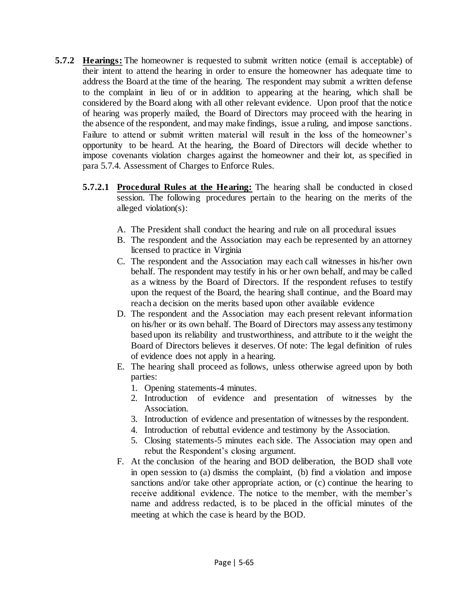- **5.7.2 Hearings:** The homeowner is requested to submit written notice (email is acceptable) of their intent to attend the hearing in order to ensure the homeowner has adequate time to address the Board at the time of the hearing. The respondent may submit a written defense to the complaint in lieu of or in addition to appearing at the hearing, which shall be considered by the Board along with all other relevant evidence. Upon proof that the notice of hearing was properly mailed, the Board of Directors may proceed with the hearing in the absence of the respondent, and may make findings, issue a ruling, and impose sanctions. Failure to attend or submit written material will result in the loss of the homeowner's opportunity to be heard. At the hearing, the Board of Directors will decide whether to impose covenants violation charges against the homeowner and their lot, as specified in para 5.7.4. Assessment of Charges to Enforce Rules.
	- **5.7.2.1 Procedural Rules at the Hearing:** The hearing shall be conducted in closed session. The following procedures pertain to the hearing on the merits of the alleged violation(s):
		- A. The President shall conduct the hearing and rule on all procedural issues
		- B. The respondent and the Association may each be represented by an attorney licensed to practice in Virginia
		- C. The respondent and the Association may each call witnesses in his/her own behalf. The respondent may testify in his or her own behalf, and may be called as a witness by the Board of Directors. If the respondent refuses to testify upon the request of the Board, the hearing shall continue, and the Board may reach a decision on the merits based upon other available evidence
		- D. The respondent and the Association may each present relevant information on his/her or its own behalf. The Board of Directors may assess any testimony based upon its reliability and trustworthiness, and attribute to it the weight the Board of Directors believes it deserves. Of note: The legal definition of rules of evidence does not apply in a hearing.
		- E. The hearing shall proceed as follows, unless otherwise agreed upon by both parties:
			- 1. Opening statements-4 minutes.
			- 2. Introduction of evidence and presentation of witnesses by the Association.
			- 3. Introduction of evidence and presentation of witnesses by the respondent.
			- 4. Introduction of rebuttal evidence and testimony by the Association.
			- 5. Closing statements-5 minutes each side. The Association may open and rebut the Respondent's closing argument.
		- F. At the conclusion of the hearing and BOD deliberation, the BOD shall vote in open session to (a) dismiss the complaint, (b) find a violation and impose sanctions and/or take other appropriate action, or (c) continue the hearing to receive additional evidence. The notice to the member, with the member's name and address redacted, is to be placed in the official minutes of the meeting at which the case is heard by the BOD.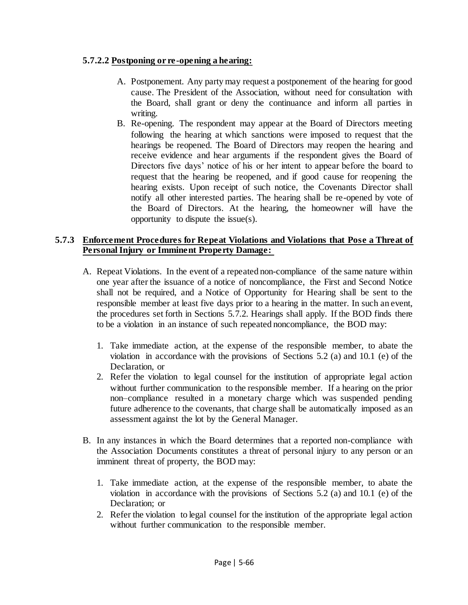## **5.7.2.2 Postponing or re-opening a hearing:**

- A. Postponement. Any party may request a postponement of the hearing for good cause. The President of the Association, without need for consultation with the Board, shall grant or deny the continuance and inform all parties in writing.
- B. Re-opening. The respondent may appear at the Board of Directors meeting following the hearing at which sanctions were imposed to request that the hearings be reopened. The Board of Directors may reopen the hearing and receive evidence and hear arguments if the respondent gives the Board of Directors five days' notice of his or her intent to appear before the board to request that the hearing be reopened, and if good cause for reopening the hearing exists. Upon receipt of such notice, the Covenants Director shall notify all other interested parties. The hearing shall be re-opened by vote of the Board of Directors. At the hearing, the homeowner will have the opportunity to dispute the issue(s).

# **5.7.3 Enforcement Procedures for Repeat Violations and Violations that Pose a Threat of Personal Injury or Imminent Property Damage:**

- A. Repeat Violations. In the event of a repeated non-compliance of the same nature within one year after the issuance of a notice of noncompliance, the First and Second Notice shall not be required, and a Notice of Opportunity for Hearing shall be sent to the responsible member at least five days prior to a hearing in the matter. In such an event, the procedures set forth in Sections 5.7.2. Hearings shall apply. If the BOD finds there to be a violation in an instance of such repeated noncompliance, the BOD may:
	- 1. Take immediate action, at the expense of the responsible member, to abate the violation in accordance with the provisions of Sections 5.2 (a) and 10.1 (e) of the Declaration, or
	- 2. Refer the violation to legal counsel for the institution of appropriate legal action without further communication to the responsible member. If a hearing on the prior non–compliance resulted in a monetary charge which was suspended pending future adherence to the covenants, that charge shall be automatically imposed as an assessment against the lot by the General Manager.
- B. In any instances in which the Board determines that a reported non-compliance with the Association Documents constitutes a threat of personal injury to any person or an imminent threat of property, the BOD may:
	- 1. Take immediate action, at the expense of the responsible member, to abate the violation in accordance with the provisions of Sections 5.2 (a) and 10.1 (e) of the Declaration; or
	- 2. Refer the violation to legal counsel for the institution of the appropriate legal action without further communication to the responsible member.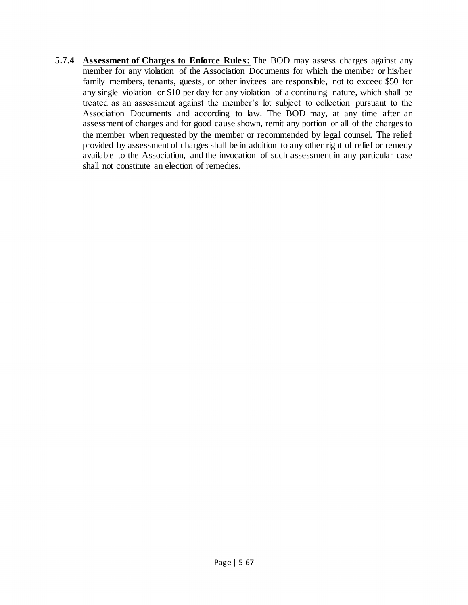**5.7.4 Assessment of Charges to Enforce Rules:** The BOD may assess charges against any member for any violation of the Association Documents for which the member or his/her family members, tenants, guests, or other invitees are responsible, not to exceed \$50 for any single violation or \$10 per day for any violation of a continuing nature, which shall be treated as an assessment against the member's lot subject to collection pursuant to the Association Documents and according to law. The BOD may, at any time after an assessment of charges and for good cause shown, remit any portion or all of the charges to the member when requested by the member or recommended by legal counsel. The relief provided by assessment of charges shall be in addition to any other right of relief or remedy available to the Association, and the invocation of such assessment in any particular case shall not constitute an election of remedies.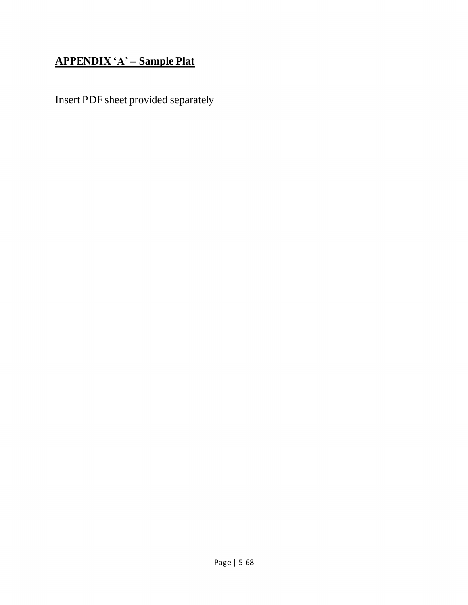# **APPENDIX 'A' – Sample Plat**

Insert PDF sheet provided separately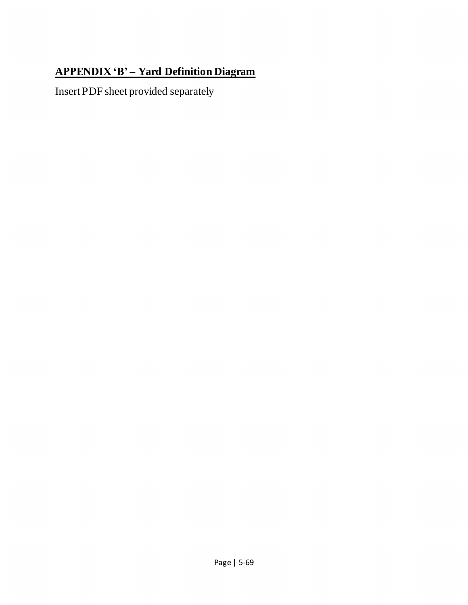# **APPENDIX 'B' – Yard Definition Diagram**

Insert PDF sheet provided separately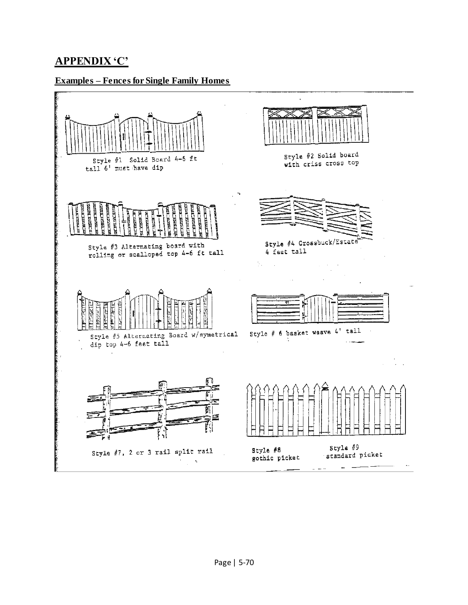# **APPENDIX 'C'**

#### **Examples – Fences for Single Family Homes**

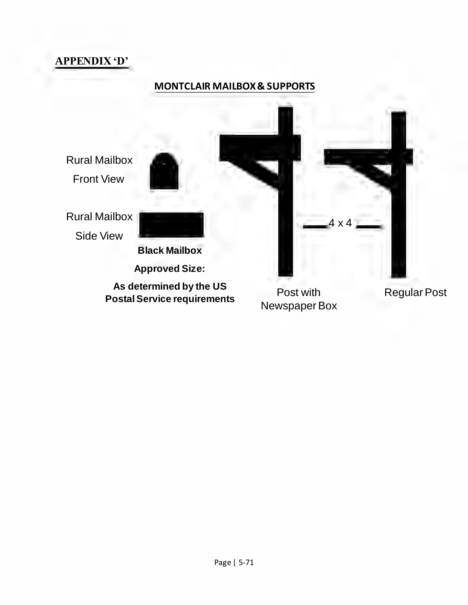

# **MONTCLAIR MAILBOX & SUPPORTS**



**Postal Service requirements**

Post with Newspaper Box Regular Post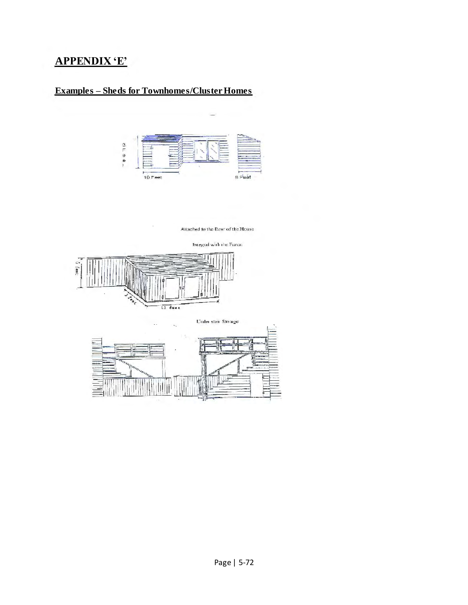# **APPENDIX 'E'**

# **Examples – Sheds for Townhomes/Cluster Homes**



Attached to the Rcar of the House  $\,$ 



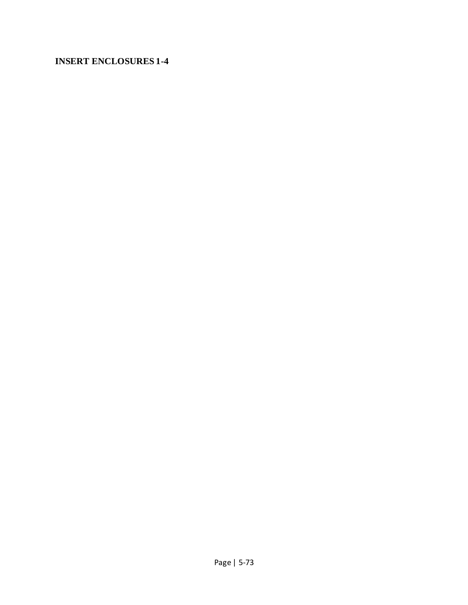## **INSERT ENCLOSURES 1-4**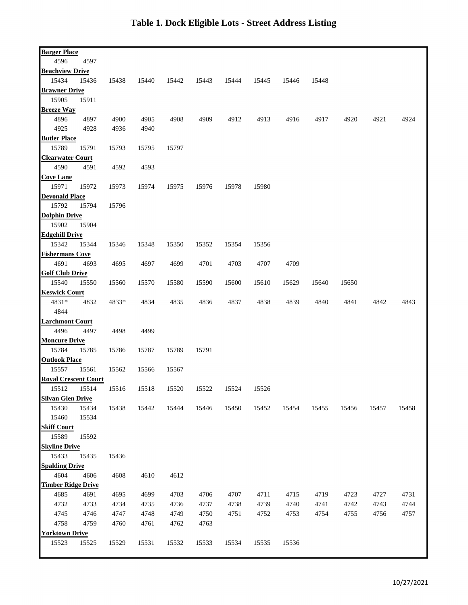| <b>Barger Place</b>         |       |       |       |       |       |       |       |       |       |       |       |       |
|-----------------------------|-------|-------|-------|-------|-------|-------|-------|-------|-------|-------|-------|-------|
| 4596                        | 4597  |       |       |       |       |       |       |       |       |       |       |       |
| <b>Beachview Drive</b>      |       |       |       |       |       |       |       |       |       |       |       |       |
| 15434                       | 15436 | 15438 | 15440 | 15442 | 15443 | 15444 | 15445 | 15446 | 15448 |       |       |       |
| <b>Brawner Drive</b>        |       |       |       |       |       |       |       |       |       |       |       |       |
| 15905                       | 15911 |       |       |       |       |       |       |       |       |       |       |       |
| <b>Breeze Way</b>           |       |       |       |       |       |       |       |       |       |       |       |       |
| 4896                        | 4897  | 4900  | 4905  | 4908  | 4909  | 4912  | 4913  | 4916  | 4917  | 4920  | 4921  | 4924  |
| 4925                        | 4928  | 4936  | 4940  |       |       |       |       |       |       |       |       |       |
| <b>Butler Place</b>         |       |       |       |       |       |       |       |       |       |       |       |       |
| 15789                       | 15791 | 15793 | 15795 | 15797 |       |       |       |       |       |       |       |       |
| <b>Clearwater Court</b>     |       |       |       |       |       |       |       |       |       |       |       |       |
| 4590                        | 4591  | 4592  | 4593  |       |       |       |       |       |       |       |       |       |
| <b>Cove Lane</b>            |       |       |       |       |       |       |       |       |       |       |       |       |
| 15971                       | 15972 | 15973 | 15974 | 15975 | 15976 | 15978 | 15980 |       |       |       |       |       |
| <b>Devonald Place</b>       |       |       |       |       |       |       |       |       |       |       |       |       |
| 15792                       | 15794 | 15796 |       |       |       |       |       |       |       |       |       |       |
| <b>Dolphin Drive</b>        |       |       |       |       |       |       |       |       |       |       |       |       |
| 15902                       | 15904 |       |       |       |       |       |       |       |       |       |       |       |
| <b>Edgehill Drive</b>       |       |       |       |       |       |       |       |       |       |       |       |       |
|                             |       |       |       |       |       |       |       |       |       |       |       |       |
| 15342                       | 15344 | 15346 | 15348 | 15350 | 15352 | 15354 | 15356 |       |       |       |       |       |
| <b>Fishermans Cove</b>      |       |       |       |       |       |       |       |       |       |       |       |       |
| 4691                        | 4693  | 4695  | 4697  | 4699  | 4701  | 4703  | 4707  | 4709  |       |       |       |       |
| <b>Golf Club Drive</b>      |       |       |       |       |       |       |       |       |       |       |       |       |
| 15540                       | 15550 | 15560 | 15570 | 15580 | 15590 | 15600 | 15610 | 15629 | 15640 | 15650 |       |       |
| <b>Keswick Court</b>        |       |       |       |       |       |       |       |       |       |       |       |       |
| 4831*                       | 4832  | 4833* | 4834  | 4835  | 4836  | 4837  | 4838  | 4839  | 4840  | 4841  | 4842  | 4843  |
| 4844                        |       |       |       |       |       |       |       |       |       |       |       |       |
| <b>Larchmont Court</b>      |       |       |       |       |       |       |       |       |       |       |       |       |
| 4496                        | 4497  | 4498  | 4499  |       |       |       |       |       |       |       |       |       |
| <b>Moncure Drive</b>        |       |       |       |       |       |       |       |       |       |       |       |       |
| 15784                       | 15785 | 15786 | 15787 | 15789 | 15791 |       |       |       |       |       |       |       |
| <b>Outlook Place</b>        |       |       |       |       |       |       |       |       |       |       |       |       |
| 15557                       | 15561 | 15562 | 15566 | 15567 |       |       |       |       |       |       |       |       |
| <b>Royal Crescent Court</b> |       |       |       |       |       |       |       |       |       |       |       |       |
| 15512                       | 15514 | 15516 | 15518 | 15520 | 15522 | 15524 | 15526 |       |       |       |       |       |
| <b>Silvan Glen Drive</b>    |       |       |       |       |       |       |       |       |       |       |       |       |
| 15430                       | 15434 | 15438 | 15442 | 15444 | 15446 | 15450 | 15452 | 15454 | 15455 | 15456 | 15457 | 15458 |
| 15460                       | 15534 |       |       |       |       |       |       |       |       |       |       |       |
| <b>Skiff Court</b>          |       |       |       |       |       |       |       |       |       |       |       |       |
| 15589                       | 15592 |       |       |       |       |       |       |       |       |       |       |       |
| <b>Skyline Drive</b>        |       |       |       |       |       |       |       |       |       |       |       |       |
| 15433                       | 15435 | 15436 |       |       |       |       |       |       |       |       |       |       |
| <b>Spalding Drive</b>       |       |       |       |       |       |       |       |       |       |       |       |       |
| 4604                        | 4606  | 4608  | 4610  | 4612  |       |       |       |       |       |       |       |       |
| <b>Timber Ridge Drive</b>   |       |       |       |       |       |       |       |       |       |       |       |       |
| 4685                        | 4691  | 4695  | 4699  | 4703  | 4706  | 4707  | 4711  | 4715  | 4719  | 4723  | 4727  | 4731  |
| 4732                        | 4733  | 4734  | 4735  | 4736  | 4737  | 4738  | 4739  | 4740  | 4741  | 4742  | 4743  | 4744  |
| 4745                        | 4746  | 4747  | 4748  | 4749  | 4750  | 4751  | 4752  | 4753  | 4754  | 4755  | 4756  | 4757  |
| 4758                        | 4759  | 4760  | 4761  | 4762  | 4763  |       |       |       |       |       |       |       |
| <b>Yorktown Drive</b>       |       |       |       |       |       |       |       |       |       |       |       |       |
| 15523                       | 15525 | 15529 | 15531 | 15532 | 15533 | 15534 | 15535 | 15536 |       |       |       |       |
|                             |       |       |       |       |       |       |       |       |       |       |       |       |
|                             |       |       |       |       |       |       |       |       |       |       |       |       |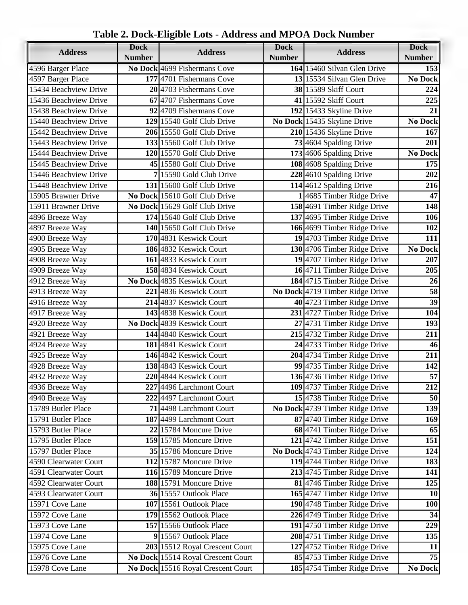|                       | <b>Dock</b>   |                                    | <b>Dock</b>                 |                                 | <b>Dock</b>      |
|-----------------------|---------------|------------------------------------|-----------------------------|---------------------------------|------------------|
| <b>Address</b>        | <b>Number</b> | <b>Address</b>                     | <b>Number</b>               | <b>Address</b>                  | <b>Number</b>    |
| 4596 Barger Place     |               | No Dock 4699 Fishermans Cove       |                             | 164 15460 Silvan Glen Drive     | 153              |
| 4597 Barger Place     |               | 177 4701 Fishermans Cove           |                             | 13 15534 Silvan Glen Drive      |                  |
| 15434 Beachview Drive |               | 20 4703 Fishermans Cove            | <b>38 15589 Skiff Court</b> |                                 | 224              |
| 15436 Beachview Drive |               | 67 4707 Fishermans Cove            |                             | 41 15592 Skiff Court            | 225              |
| 15438 Beachview Drive |               | 92 4709 Fishermans Cove            |                             | $192$  15433 Skyline Drive      | 21               |
| 15440 Beachview Drive |               | 129 15540 Golf Club Drive          |                             | No Dock 15435 Skyline Drive     | No Dock          |
| 15442 Beachview Drive |               | 206 15550 Golf Club Drive          |                             | 210 15436 Skyline Drive         | 167              |
| 15443 Beachview Drive |               | 133 15560 Golf Club Drive          |                             | 73 4604 Spalding Drive          | 201              |
| 15444 Beachview Drive |               | 120 15570 Golf Club Drive          |                             | 173 4606 Spalding Drive         | No Dock          |
| 15445 Beachview Drive |               | 45 15580 Golf Club Drive           |                             | 108 4608 Spalding Drive         | 175              |
| 15446 Beachview Drive |               | 7 15590 Gold Club Drive            |                             | 228 4610 Spalding Drive         | 202              |
| 15448 Beachview Drive |               | 131 15600 Golf Club Drive          |                             | 114 4612 Spalding Drive         | 216              |
| 15905 Brawner Drive   |               | No Dock 15610 Golf Club Drive      |                             | 14685 Timber Ridge Drive        | 47               |
| 15911 Brawner Drive   |               | No Dock 15629 Golf Club Drive      |                             | 158 4691 Timber Ridge Drive     | 148              |
| 4896 Breeze Way       |               | 174 15640 Golf Club Drive          |                             | 137 4695 Timber Ridge Drive     | 106              |
| 4897 Breeze Way       |               | $140$   15650 Golf Club Drive      |                             | 166 4699 Timber Ridge Drive     | 102              |
| 4900 Breeze Way       |               | 170 4831 Keswick Court             |                             | 19 4703 Timber Ridge Drive      | 111              |
| 4905 Breeze Way       |               | 186 4832 Keswick Court             |                             | 130 4706 Timber Ridge Drive     | No Dock          |
| 4908 Breeze Way       |               | 161 4833 Keswick Court             |                             | 19 4707 Timber Ridge Drive      | 207              |
| 4909 Breeze Way       |               | 158 4834 Keswick Court             |                             | 164711 Timber Ridge Drive       | 205              |
| 4912 Breeze Way       |               | No Dock 4835 Keswick Court         |                             | 184 4715 Timber Ridge Drive     | 26               |
| 4913 Breeze Way       |               | 221 4836 Keswick Court             |                             | No Dock 4719 Timber Ridge Drive | 58               |
| 4916 Breeze Way       |               | 214 4837 Keswick Court             |                             | 40 4723 Timber Ridge Drive      | 39               |
| 4917 Breeze Way       |               | 143 4838 Keswick Court             |                             | 231 4727 Timber Ridge Drive     | 104              |
| 4920 Breeze Way       |               | No Dock 4839 Keswick Court         |                             | 27 4731 Timber Ridge Drive      | 193              |
| 4921 Breeze Way       |               | 144 4840 Keswick Court             |                             | 215 4732 Timber Ridge Drive     | 211              |
| 4924 Breeze Way       |               | 181 4841 Keswick Court             |                             | 24 4733 Timber Ridge Drive      | 46               |
| 4925 Breeze Way       |               | 146 4842 Keswick Court             |                             | 204 4734 Timber Ridge Drive     | 211              |
| 4928 Breeze Way       |               | 138 4843 Keswick Court             |                             | 99 4735 Timber Ridge Drive      | 142              |
| 4932 Breeze Way       |               | 220 4844 Keswick Court             |                             | 136 4736 Timber Ridge Drive     | 57               |
| 4936 Breeze Way       |               | 227 4496 Larchmont Court           |                             | 109 4737 Timber Ridge Drive     | 212              |
| 4940 Breeze Way       |               | 222 4497 Larchmont Court           |                             | 15 4738 Timber Ridge Drive      | 50               |
| 15789 Butler Place    |               | 71 4498 Larchmont Court            |                             | No Dock 4739 Timber Ridge Drive | 139              |
| 15791 Butler Place    |               | 187 4499 Larchmont Court           |                             | 87 4740 Timber Ridge Drive      | 169              |
| 15793 Butler Place    |               | 22 15784 Moncure Drive             |                             | 68 4741 Timber Ridge Drive      | 65               |
| 15795 Butler Place    |               | 159 15785 Moncure Drive            |                             | 121 4742 Timber Ridge Drive     | 151              |
| 15797 Butler Place    |               | $35 15786$ Moncure Drive           |                             | No Dock 4743 Timber Ridge Drive | 124              |
| 4590 Clearwater Court |               | 112 15787 Moncure Drive            |                             | 119 4744 Timber Ridge Drive     | 183              |
| 4591 Clearwater Court |               | 116 15789 Moncure Drive            |                             | 213 4745 Timber Ridge Drive     | 141              |
| 4592 Clearwater Court |               | 188 15791 Moncure Drive            |                             | 81 4746 Timber Ridge Drive      | $\overline{125}$ |
| 4593 Clearwater Court |               | 36 15557 Outlook Place             |                             | 165 4747 Timber Ridge Drive     | <b>10</b>        |
| 15971 Cove Lane       |               | <b>107</b> 15561 Outlook Place     |                             | 190 4748 Timber Ridge Drive     | <b>100</b>       |
| 15972 Cove Lane       |               | 179 15562 Outlook Place            |                             | 226 4749 Timber Ridge Drive     | 34               |
| 15973 Cove Lane       |               | <b>157</b> 15566 Outlook Place     |                             | 191 4750 Timber Ridge Drive     | 229              |
| 15974 Cove Lane       |               | 9 15567 Outlook Place              |                             | 208 4751 Timber Ridge Drive     | 135              |
| 15975 Cove Lane       |               | 203 15512 Royal Crescent Court     |                             | 127 4752 Timber Ridge Drive     | 11               |
| 15976 Cove Lane       |               | No Dock 15514 Royal Crescent Court |                             | 85 4753 Timber Ridge Drive      | $\overline{75}$  |
| 15978 Cove Lane       |               | No Dock 15516 Royal Crescent Court |                             | 185 4754 Timber Ridge Drive     | No Dock          |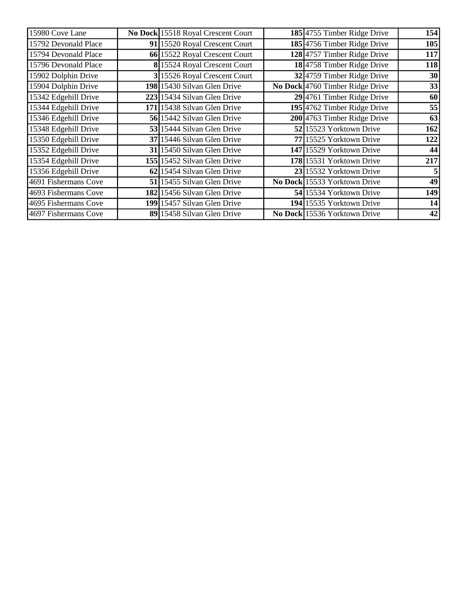| 15980 Cove Lane      | No Dock 15518 Royal Crescent Court | 185 4755 Timber Ridge Drive     | 154 |
|----------------------|------------------------------------|---------------------------------|-----|
| 15792 Devonald Place | 91 15520 Royal Crescent Court      | 185 4756 Timber Ridge Drive     | 105 |
| 15794 Devonald Place | 66 15522 Royal Crescent Court      | 128 4757 Timber Ridge Drive     | 117 |
| 15796 Devonald Place | 8 15524 Royal Crescent Court       | 18 4758 Timber Ridge Drive      | 118 |
| 15902 Dolphin Drive  | 3 15526 Royal Crescent Court       | 32 4759 Timber Ridge Drive      | 30  |
| 15904 Dolphin Drive  | 198 15430 Silvan Glen Drive        | No Dock 4760 Timber Ridge Drive | 33  |
| 15342 Edgehill Drive | 223 15434 Silvan Glen Drive        | $29$ 4761 Timber Ridge Drive    | 60  |
| 15344 Edgehill Drive | 171 15438 Silvan Glen Drive        | 195 4762 Timber Ridge Drive     | 55  |
| 15346 Edgehill Drive | 56 15442 Silvan Glen Drive         | 200 4763 Timber Ridge Drive     | 63  |
| 15348 Edgehill Drive | 53 15444 Silvan Glen Drive         | 52 15523 Yorktown Drive         | 162 |
| 15350 Edgehill Drive | 37 15446 Silvan Glen Drive         | 77 15525 Yorktown Drive         | 122 |
| 15352 Edgehill Drive | 31 15450 Silvan Glen Drive         | 147 15529 Yorktown Drive        | 44  |
| 15354 Edgehill Drive | 155 15452 Silvan Glen Drive        | 178 15531 Yorktown Drive        | 217 |
| 15356 Edgehill Drive | 62 15454 Silvan Glen Drive         | 23 15532 Yorktown Drive         |     |
| 4691 Fishermans Cove | 51 15455 Silvan Glen Drive         | No Dock 15533 Yorktown Drive    | 49  |
| 4693 Fishermans Cove | 182 15456 Silvan Glen Drive        | 54 15534 Yorktown Drive         | 149 |
| 4695 Fishermans Cove | 199 15457 Silvan Glen Drive        | 194 15535 Yorktown Drive        | 14  |
| 4697 Fishermans Cove | 89 15458 Silvan Glen Drive         | No Dock 15536 Yorktown Drive    | 42  |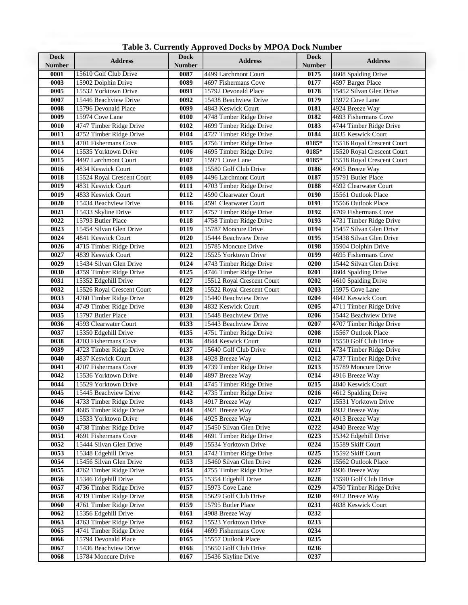| Table 3. Currently Approved Docks by MPOA Dock Number |
|-------------------------------------------------------|
|                                                       |

| <b>Dock</b><br><b>Number</b> | <b>Address</b>                             | . .<br><b>Dock</b><br>Number | <b>Address</b>                             | <b>Dock</b><br>Number | <b>Address</b>                                 |
|------------------------------|--------------------------------------------|------------------------------|--------------------------------------------|-----------------------|------------------------------------------------|
| 0001                         | 15610 Golf Club Drive                      | 0087                         | 4499 Larchmont Court                       | 0175                  | 4608 Spalding Drive                            |
| 0003                         | 15902 Dolphin Drive                        | 0089                         | 4697 Fishermans Cove                       | 0177                  | 4597 Barger Place                              |
| 0005                         | 15532 Yorktown Drive                       | 0091                         | 15792 Devonald Place                       | 0178                  | 15452 Silvan Glen Drive                        |
| 0007                         | 15446 Beachview Drive                      | 0092                         | 15438 Beachview Drive                      | 0179                  | 15972 Cove Lane                                |
| 0008                         | 15796 Devonald Place                       | 0099                         | 4843 Keswick Court                         | 0181                  | 4924 Breeze Way                                |
| 0009                         | 15974 Cove Lane                            | 0100                         | 4748 Timber Ridge Drive                    | 0182                  | 4693 Fishermans Cove                           |
| 0010                         | 4747 Timber Ridge Drive                    | 0102                         | 4699 Timber Ridge Drive                    | 0183                  | 4744 Timber Ridge Drive                        |
| 0011                         | 4752 Timber Ridge Drive                    | 0104                         | 4727 Timber Ridge Drive                    | 0184                  | 4835 Keswick Court                             |
| 0013                         | 4701 Fishermans Cove                       | 0105                         | 4756 Timber Ridge Drive                    | 0185*                 | 15516 Royal Crescent Court                     |
| 0014                         | 15535 Yorktown Drive                       | 0106                         | 4695 Timber Ridge Drive                    | 0185*                 | 15520 Royal Crescent Court                     |
| 0015                         | 4497 Larchmont Court                       | 0107                         | 15971 Cove Lane                            | 0185*                 | 15518 Royal Crescent Court                     |
| 0016                         | 4834 Keswick Court                         | 0108                         | 15580 Golf Club Drive                      | 0186                  | 4905 Breeze Way                                |
| 0018                         | 15524 Royal Crescent Court                 | 0109                         | 4496 Larchmont Court                       | 0187                  | 15791 Butler Place                             |
| 0019                         | 4831 Keswick Court                         | 0111                         | 4703 Timber Ridge Drive                    | 0188                  | 4592 Clearwater Court                          |
| 0019                         | 4833 Keswick Court                         | 0112                         | 4590 Clearwater Court                      | 0190                  | 15561 Outlook Place                            |
| 0020                         | 15434 Beachview Drive                      | 0116                         | 4591 Clearwater Court                      | 0191                  | 15566 Outlook Place                            |
| 0021                         | 15433 Skyline Drive                        | 0117                         | 4757 Timber Ridge Drive                    | 0192                  | 4709 Fishermans Cove                           |
| 0022                         | 15793 Butler Place                         | 0118                         | 4758 Timber Ridge Drive                    | 0193                  | 4731 Timber Ridge Drive                        |
| 0023                         | 15454 Silvan Glen Drive                    | 0119                         | 15787 Moncure Drive                        | 0194                  | 15457 Silvan Glen Drive                        |
| 0024                         | 4841 Keswick Court                         | 0120                         | 15444 Beachview Drive                      | 0195                  | 15438 Silvan Glen Drive                        |
| 0026                         | 4715 Timber Ridge Drive                    | 0121                         | 15785 Moncure Drive                        | 0198                  | 15904 Dolphin Drive                            |
| 0027                         | 4839 Keswick Court                         | 0122                         | 15525 Yorktown Drive                       | 0199                  | 4695 Fishermans Cove                           |
| 0029                         | 15434 Silvan Glen Drive                    | 0124                         | 4743 Timber Ridge Drive                    | 0200                  | 15442 Silvan Glen Drive                        |
| 0030                         | 4759 Timber Ridge Drive                    | 0125                         | 4746 Timber Ridge Drive                    | 0201                  | 4604 Spalding Drive                            |
| 0031                         | 15352 Edgehill Drive                       | 0127                         | 15512 Royal Crescent Court                 | 0202                  | 4610 Spalding Drive                            |
| 0032                         | 15526 Royal Crescent Court                 | 0128                         | 15522 Royal Crescent Court                 | 0203                  | 15975 Cove Lane                                |
| 0033                         | 4760 Timber Ridge Drive                    | 0129                         | 15440 Beachview Drive                      | 0204                  | 4842 Keswick Court                             |
| 0034                         | 4749 Timber Ridge Drive                    | 0130                         | 4832 Keswick Court                         | 0205                  | 4711 Timber Ridge Drive                        |
| 0035                         | 15797 Butler Place                         | 0131                         | 15448 Beachview Drive                      | 0206                  | 15442 Beachview Drive                          |
| 0036                         | 4593 Clearwater Court                      | 0133                         | 15443 Beachview Drive                      | 0207                  | 4707 Timber Ridge Drive                        |
| 0037                         | 15350 Edgehill Drive                       | 0135                         | 4751 Timber Ridge Drive                    | 0208                  | 15567 Outlook Place                            |
| 0038                         | 4703 Fishermans Cove                       | 0136                         | 4844 Keswick Court                         | 0210                  | 15550 Golf Club Drive                          |
| 0039                         | 4723 Timber Ridge Drive                    | 0137                         | 15640 Golf Club Drive                      | 0211                  | 4734 Timber Ridge Drive                        |
| 0040<br>0041                 | 4837 Keswick Court<br>4707 Fishermans Cove | 0138<br>0139                 | 4928 Breeze Way<br>4739 Timber Ridge Drive | 0212<br>0213          | 4737 Timber Ridge Drive<br>15789 Moncure Drive |
| 0042                         | 15536 Yorktown Drive                       | 0140                         | 4897 Breeze Way                            | 0214                  | 4916 Breeze Way                                |
| 0044                         | 15529 Yorktown Drive                       | 0141                         | 4745 Timber Ridge Drive                    | 0215                  | 4840 Keswick Court                             |
| 0045                         | 15445 Beachview Drive                      | 0142                         | 4735 Timber Ridge Drive                    | $\overline{0216}$     | 4612 Spalding Drive                            |
| 0046                         | 4733 Timber Ridge Drive                    | 0143                         | 4917 Breeze Way                            | 0217                  | 15531 Yorktown Drive                           |
| 0047                         | 4685 Timber Ridge Drive                    | 0144                         | 4921 Breeze Way                            | 0220                  | 4932 Breeze Way                                |
| 0049                         | 15533 Yorktown Drive                       | 0146                         | 4925 Breeze Way                            | 0221                  | 4913 Breeze Way                                |
| 0050                         | 4738 Timber Ridge Drive                    | 0147                         | 15450 Silvan Glen Drive                    | 0222                  | 4940 Breeze Way                                |
| 0051                         | 4691 Fishermans Cove                       | 0148                         | 4691 Timber Ridge Drive                    | 0223                  | 15342 Edgehill Drive                           |
| 0052                         | 15444 Silvan Glen Drive                    | 0149                         | 15534 Yorktown Drive                       | 0224                  | 15589 Skiff Court                              |
| 0053                         | 15348 Edgehill Drive                       | 0151                         | 4742 Timber Ridge Drive                    | 0225                  | 15592 Skiff Court                              |
| 0054                         | 15456 Silvan Glen Drive                    | 0153                         | 15460 Silvan Glen Drive                    | 0226                  | 15562 Outlook Place                            |
| 0055                         | 4762 Timber Ridge Drive                    | 0154                         | 4755 Timber Ridge Drive                    | 0227                  | 4936 Breeze Way                                |
| 0056                         | 15346 Edgehill Drive                       | 0155                         | 15354 Edgehill Drive                       | 0228                  | 15590 Golf Club Drive                          |
| 0057                         | 4736 Timber Ridge Drive                    | 0157                         | 15973 Cove Lane                            | 0229                  | 4750 Timber Ridge Drive                        |
| 0058                         | 4719 Timber Ridge Drive                    | 0158                         | 15629 Golf Club Drive                      | 0230                  | 4912 Breeze Way                                |
| 0060                         | 4761 Timber Ridge Drive                    | 0159                         | 15795 Butler Place                         | 0231                  | 4838 Keswick Court                             |
| 0062                         | 15356 Edgehill Drive                       | 0161                         | 4908 Breeze Way                            | 0232                  |                                                |
| 0063                         | 4763 Timber Ridge Drive                    | 0162                         | 15523 Yorktown Drive                       | 0233                  |                                                |
| 0065                         | 4741 Timber Ridge Drive                    | 0164                         | 4699 Fishermans Cove                       | 0234                  |                                                |
| 0066                         | 15794 Devonald Place                       | 0165                         | 15557 Outlook Place                        | 0235                  |                                                |
| 0067                         | 15436 Beachview Drive                      | 0166                         | 15650 Golf Club Drive                      | 0236                  |                                                |
| 0068                         | 15784 Moncure Drive                        | 0167                         | 15436 Skyline Drive                        | 0237                  |                                                |